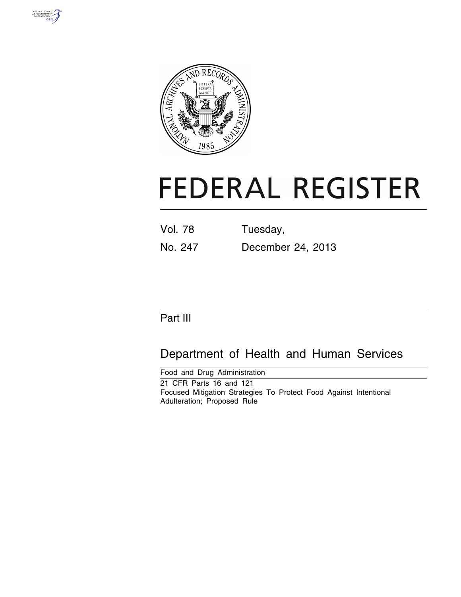



# **FEDERAL REGISTER**

| <b>Vol. 78</b> | Tuesday,          |
|----------------|-------------------|
| No. 247        | December 24, 2013 |

# Part III

# Department of Health and Human Services

Food and Drug Administration 21 CFR Parts 16 and 121 Focused Mitigation Strategies To Protect Food Against Intentional Adulteration; Proposed Rule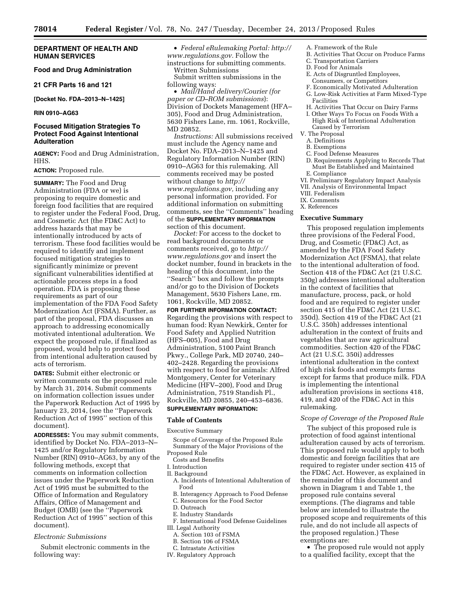# **DEPARTMENT OF HEALTH AND HUMAN SERVICES**

# **Food and Drug Administration**

**21 CFR Parts 16 and 121** 

**[Docket No. FDA–2013–N–1425]** 

**RIN 0910–AG63** 

# **Focused Mitigation Strategies To Protect Food Against Intentional Adulteration**

**AGENCY:** Food and Drug Administration, HHS.

# **ACTION:** Proposed rule.

**SUMMARY:** The Food and Drug Administration (FDA or we) is proposing to require domestic and foreign food facilities that are required to register under the Federal Food, Drug, and Cosmetic Act (the FD&C Act) to address hazards that may be intentionally introduced by acts of terrorism. These food facilities would be required to identify and implement focused mitigation strategies to significantly minimize or prevent significant vulnerabilities identified at actionable process steps in a food operation. FDA is proposing these requirements as part of our implementation of the FDA Food Safety Modernization Act (FSMA). Further, as part of the proposal, FDA discusses an approach to addressing economically motivated intentional adulteration. We expect the proposed rule, if finalized as proposed, would help to protect food from intentional adulteration caused by acts of terrorism.

**DATES:** Submit either electronic or written comments on the proposed rule by March 31, 2014. Submit comments on information collection issues under the Paperwork Reduction Act of 1995 by January 23, 2014, (see the ''Paperwork Reduction Act of 1995'' section of this document).

**ADDRESSES:** You may submit comments, identified by Docket No. FDA–2013–N– 1425 and/or Regulatory Information Number (RIN) 0910–AG63, by any of the following methods, except that comments on information collection issues under the Paperwork Reduction Act of 1995 must be submitted to the Office of Information and Regulatory Affairs, Office of Management and Budget (OMB) (see the ''Paperwork Reduction Act of 1995'' section of this document).

#### *Electronic Submissions*

Submit electronic comments in the following way:

• *Federal eRulemaking Portal: [http://](http://www.regulations.gov)  [www.regulations.gov.](http://www.regulations.gov)* Follow the

instructions for submitting comments. Written Submissions

Submit written submissions in the following ways:

• *Mail/Hand delivery/Courier (for paper or CD–ROM submissions*): Division of Dockets Management (HFA– 305), Food and Drug Administration, 5630 Fishers Lane, rm. 1061, Rockville, MD 20852.

*Instructions:* All submissions received must include the Agency name and Docket No. FDA–2013–N–1425 and Regulatory Information Number (RIN) 0910–AG63 for this rulemaking. All comments received may be posted without change to *[http://](http://www.regulations.gov) [www.regulations.gov,](http://www.regulations.gov)* including any personal information provided. For additional information on submitting comments, see the ''Comments'' heading of the **SUPPLEMENTARY INFORMATION** section of this document.

*Docket:* For access to the docket to read background documents or comments received, go to *[http://](http://www.regulations.gov) [www.regulations.gov](http://www.regulations.gov)* and insert the docket number, found in brackets in the heading of this document, into the ''Search'' box and follow the prompts and/or go to the Division of Dockets Management, 5630 Fishers Lane, rm. 1061, Rockville, MD 20852.

#### **FOR FURTHER INFORMATION CONTACT:**

Regarding the provisions with respect to human food: Ryan Newkirk, Center for Food Safety and Applied Nutrition (HFS–005), Food and Drug Administration, 5100 Paint Branch Pkwy., College Park, MD 20740, 240– 402–2428. Regarding the provisions with respect to food for animals: Alfred Montgomery, Center for Veterinary Medicine (HFV–200), Food and Drug Administration, 7519 Standish Pl., Rockville, MD 20855, 240–453–6836.

# **SUPPLEMENTARY INFORMATION:**

#### **Table of Contents**

Executive Summary

- Scope of Coverage of the Proposed Rule Summary of the Major Provisions of the
- Proposed Rule Costs and Benefits
- I. Introduction
- II. Background
- A. Incidents of Intentional Adulteration of Food
- B. Interagency Approach to Food Defense
- C. Resources for the Food Sector
- D. Outreach
- E. Industry Standards
- F. International Food Defense Guidelines III. Legal Authority
	- A. Section 103 of FSMA
	- B. Section 106 of FSMA
	- C. Intrastate Activities
- IV. Regulatory Approach
- A. Framework of the Rule
- B. Activities That Occur on Produce Farms
- C. Transportation Carriers
- D. Food for Animals
- E. Acts of Disgruntled Employees, Consumers, or Competitors
- F. Economically Motivated Adulteration
- G. Low-Risk Activities at Farm Mixed-Type Facilities
- H. Activities That Occur on Dairy Farms
- I. Other Ways To Focus on Foods With a High Risk of Intentional Adulteration Caused by Terrorism
- V. The Proposal
- A. Definitions
- B. Exemptions
- C. Food Defense Measures
- D. Requirements Applying to Records That Must Be Established and Maintained E. Compliance
- VI. Preliminary Regulatory Impact Analysis
- VII. Analysis of Environmental Impact
- VIII. Federalism
- IX. Comments
- X. References

#### **Executive Summary**

This proposed regulation implements three provisions of the Federal Food, Drug, and Cosmetic (FD&C) Act, as amended by the FDA Food Safety Modernization Act (FSMA), that relate to the intentional adulteration of food. Section 418 of the FD&C Act (21 U.S.C. 350g) addresses intentional adulteration in the context of facilities that manufacture, process, pack, or hold food and are required to register under section 415 of the FD&C Act (21 U.S.C. 350d). Section 419 of the FD&C Act (21 U.S.C. 350h) addresses intentional adulteration in the context of fruits and vegetables that are raw agricultural commodities. Section 420 of the FD&C Act (21 U.S.C. 350i) addresses intentional adulteration in the context of high risk foods and exempts farms except for farms that produce milk. FDA is implementing the intentional adulteration provisions in sections 418, 419, and 420 of the FD&C Act in this rulemaking.

# *Scope of Coverage of the Proposed Rule*

The subject of this proposed rule is protection of food against intentional adulteration caused by acts of terrorism. This proposed rule would apply to both domestic and foreign facilities that are required to register under section 415 of the FD&C Act. However, as explained in the remainder of this document and shown in Diagram 1 and Table 1, the proposed rule contains several exemptions. (The diagrams and table below are intended to illustrate the proposed scope and requirements of this rule, and do not include all aspects of the proposed regulation.) These exemptions are:

• The proposed rule would not apply to a qualified facility, except that the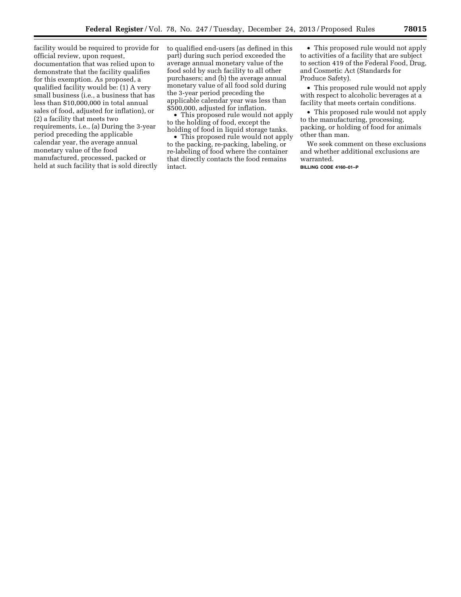facility would be required to provide for official review, upon request, documentation that was relied upon to demonstrate that the facility qualifies for this exemption. As proposed, a qualified facility would be: (1) A very small business (i.e., a business that has less than \$10,000,000 in total annual sales of food, adjusted for inflation), or (2) a facility that meets two requirements, i.e., (a) During the 3-year period preceding the applicable calendar year, the average annual monetary value of the food manufactured, processed, packed or held at such facility that is sold directly

to qualified end-users (as defined in this part) during such period exceeded the average annual monetary value of the food sold by such facility to all other purchasers; and (b) the average annual monetary value of all food sold during the 3-year period preceding the applicable calendar year was less than \$500,000, adjusted for inflation.

• This proposed rule would not apply to the holding of food, except the holding of food in liquid storage tanks.

• This proposed rule would not apply to the packing, re-packing, labeling, or re-labeling of food where the container that directly contacts the food remains intact.

• This proposed rule would not apply to activities of a facility that are subject to section 419 of the Federal Food, Drug, and Cosmetic Act (Standards for Produce Safety).

• This proposed rule would not apply with respect to alcoholic beverages at a facility that meets certain conditions.

• This proposed rule would not apply to the manufacturing, processing, packing, or holding of food for animals other than man.

We seek comment on these exclusions and whether additional exclusions are warranted.

**BILLING CODE 4160–01–P**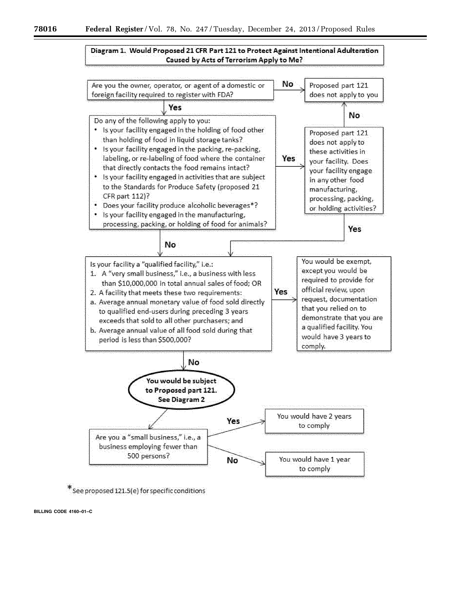# Diagram 1. Would Proposed 21 CFR Part 121 to Protect Against Intentional Adulteration Caused by Acts of Terrorism Apply to Me?



 $*$  See proposed 121.5(e) for specific conditions

**BILLING CODE 4160–01–C**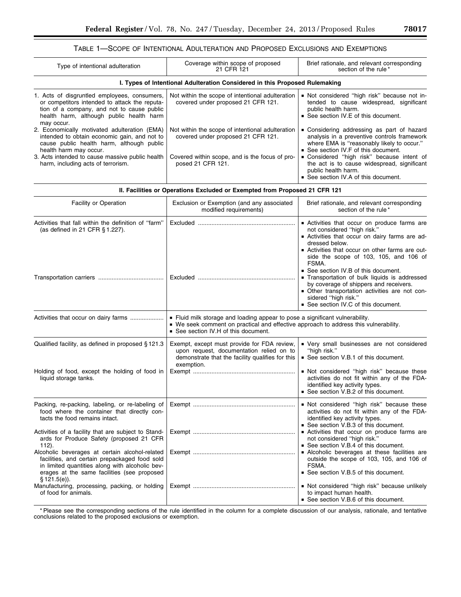# TABLE 1—SCOPE OF INTENTIONAL ADULTERATION AND PROPOSED EXCLUSIONS AND EXEMPTIONS

| Type of intentional adulteration                                                                                                                                                                                                                             | Coverage within scope of proposed<br>21 CFR 121                                                                                                               | Brief rationale, and relevant corresponding<br>section of the rule*                                                                                                                                                                                                                                 |  |  |  |
|--------------------------------------------------------------------------------------------------------------------------------------------------------------------------------------------------------------------------------------------------------------|---------------------------------------------------------------------------------------------------------------------------------------------------------------|-----------------------------------------------------------------------------------------------------------------------------------------------------------------------------------------------------------------------------------------------------------------------------------------------------|--|--|--|
| I. Types of Intentional Adulteration Considered in this Proposed Rulemaking                                                                                                                                                                                  |                                                                                                                                                               |                                                                                                                                                                                                                                                                                                     |  |  |  |
| 1. Acts of disgruntled employees, consumers,<br>or competitors intended to attack the reputa-<br>tion of a company, and not to cause public<br>health harm, although public health harm<br>may occur.                                                        | Not within the scope of intentional adulteration<br>covered under proposed 21 CFR 121.                                                                        | Not considered "high risk" because not in-<br>tended to cause widespread, significant<br>public health harm.<br>■ See section IV.E of this document.                                                                                                                                                |  |  |  |
| 2. Economically motivated adulteration (EMA)<br>intended to obtain economic gain, and not to<br>cause public health harm, although public<br>health harm may occur.<br>3. Acts intended to cause massive public health<br>harm, including acts of terrorism. | Not within the scope of intentional adulteration<br>covered under proposed 21 CFR 121.<br>Covered within scope, and is the focus of pro-<br>posed 21 CFR 121. | • Considering addressing as part of hazard<br>analysis in a preventive controls framework<br>where EMA is "reasonably likely to occur."<br>■ See section IV.F of this document.<br>■ Considered "high risk" because intent of<br>the act is to cause widespread, significant<br>public health harm. |  |  |  |
|                                                                                                                                                                                                                                                              |                                                                                                                                                               | ■ See section IV.A of this document.                                                                                                                                                                                                                                                                |  |  |  |

| II. Facilities or Operations Excluded or Exempted from Proposed 21 CFR 121                                                                                                                                          |                                                                                                                                                                                                              |                                                                                                                                                                                                                                                                                             |  |  |
|---------------------------------------------------------------------------------------------------------------------------------------------------------------------------------------------------------------------|--------------------------------------------------------------------------------------------------------------------------------------------------------------------------------------------------------------|---------------------------------------------------------------------------------------------------------------------------------------------------------------------------------------------------------------------------------------------------------------------------------------------|--|--|
| <b>Facility or Operation</b>                                                                                                                                                                                        | Exclusion or Exemption (and any associated<br>modified requirements)                                                                                                                                         | Brief rationale, and relevant corresponding<br>section of the rule*                                                                                                                                                                                                                         |  |  |
| Activities that fall within the definition of "farm"<br>(as defined in 21 CFR § 1.227).                                                                                                                             |                                                                                                                                                                                                              | Activities that occur on produce farms are<br>not considered "high risk."<br>- Activities that occur on dairy farms are ad-<br>dressed below.<br>- Activities that occur on other farms are out-<br>side the scope of 103, 105, and 106 of<br>FSMA.<br>■ See section IV.B of this document. |  |  |
|                                                                                                                                                                                                                     |                                                                                                                                                                                                              | Transportation of bulk liquids is addressed<br>by coverage of shippers and receivers.<br>- Other transportation activities are not con-<br>sidered "high risk."<br>■ See section IV.C of this document.                                                                                     |  |  |
| Activities that occur on dairy farms                                                                                                                                                                                | • Fluid milk storage and loading appear to pose a significant vulnerability.<br>• We seek comment on practical and effective approach to address this vulnerability.<br>■ See section IV.H of this document. |                                                                                                                                                                                                                                                                                             |  |  |
| Qualified facility, as defined in proposed §121.3                                                                                                                                                                   | Exempt, except must provide for FDA review,<br>upon request, documentation relied on to<br>demonstrate that the facility qualifies for this<br>exemption.                                                    | • Very small businesses are not considered<br>"high risk."<br>■ See section V.B.1 of this document.                                                                                                                                                                                         |  |  |
| Holding of food, except the holding of food in<br>liquid storage tanks.                                                                                                                                             |                                                                                                                                                                                                              | Not considered "high risk" because these<br>activities do not fit within any of the FDA-<br>identified key activity types.<br>See section V.B.2 of this document.                                                                                                                           |  |  |
| Packing, re-packing, labeling, or re-labeling of<br>food where the container that directly con-<br>tacts the food remains intact.                                                                                   |                                                                                                                                                                                                              | Not considered "high risk" because these<br>activities do not fit within any of the FDA-<br>identified key activity types.<br>See section V.B.3 of this document.                                                                                                                           |  |  |
| Activities of a facility that are subject to Stand-<br>ards for Produce Safety (proposed 21 CFR<br>$112$ ).                                                                                                         |                                                                                                                                                                                                              | Activities that occur on produce farms are<br>not considered "high risk."<br>See section V.B.4 of this document.                                                                                                                                                                            |  |  |
| Alcoholic beverages at certain alcohol-related<br>facilities, and certain prepackaged food sold<br>in limited quantities along with alcoholic bev-<br>erages at the same facilities (see proposed<br>$$121.5(e)$ ). |                                                                                                                                                                                                              | Alcoholic beverages at these facilities are<br>outside the scope of 103, 105, and 106 of<br>FSMA.<br>See section V.B.5 of this document.                                                                                                                                                    |  |  |
| Manufacturing, processing, packing, or holding<br>of food for animals.                                                                                                                                              |                                                                                                                                                                                                              | Not considered "high risk" because unlikely<br>to impact human health.<br>■ See section V.B.6 of this document.                                                                                                                                                                             |  |  |

\* Please see the corresponding sections of the rule identified in the column for a complete discussion of our analysis, rationale, and tentative conclusions related to the proposed exclusions or exemption.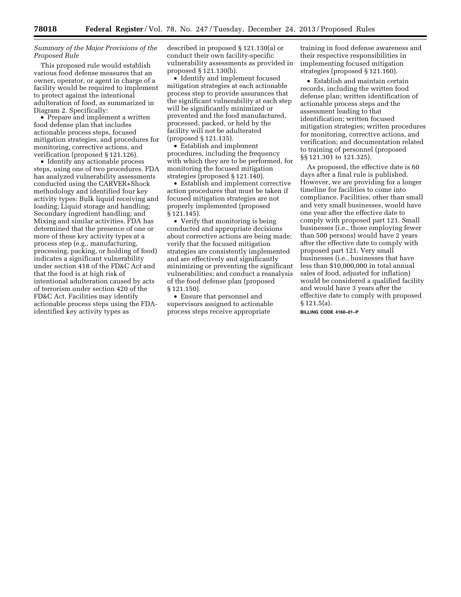# *Summary of the Major Provisions of the Proposed Rule*

This proposed rule would establish various food defense measures that an owner, operator, or agent in charge of a facility would be required to implement to protect against the intentional adulteration of food, as summarized in Diagram 2. Specifically:

• Prepare and implement a written food defense plan that includes actionable process steps, focused mitigation strategies, and procedures for monitoring, corrective actions, and verification (proposed § 121.126).

• Identify any actionable process steps, using one of two procedures. FDA has analyzed vulnerability assessments conducted using the CARVER+Shock methodology and identified four key activity types: Bulk liquid receiving and loading; Liquid storage and handling; Secondary ingredient handling; and Mixing and similar activities. FDA has determined that the presence of one or more of these key activity types at a process step (e.g., manufacturing, processing, packing, or holding of food) indicates a significant vulnerability under section 418 of the FD&C Act and that the food is at high risk of intentional adulteration caused by acts of terrorism under section 420 of the FD&C Act. Facilities may identify actionable process steps using the FDAidentified key activity types as

described in proposed § 121.130(a) or conduct their own facility-specific vulnerability assessments as provided in proposed § 121.130(b).

• Identify and implement focused mitigation strategies at each actionable process step to provide assurances that the significant vulnerability at each step will be significantly minimized or prevented and the food manufactured, processed, packed, or held by the facility will not be adulterated (proposed § 121.135).

• Establish and implement procedures, including the frequency with which they are to be performed, for monitoring the focused mitigation strategies (proposed § 121.140).

• Establish and implement corrective action procedures that must be taken if focused mitigation strategies are not properly implemented (proposed § 121.145).

• Verify that monitoring is being conducted and appropriate decisions about corrective actions are being made; verify that the focused mitigation strategies are consistently implemented and are effectively and significantly minimizing or preventing the significant vulnerabilities; and conduct a reanalysis of the food defense plan (proposed § 121.150).

• Ensure that personnel and supervisors assigned to actionable process steps receive appropriate

training in food defense awareness and their respective responsibilities in implementing focused mitigation strategies (proposed § 121.160).

• Establish and maintain certain records, including the written food defense plan; written identification of actionable process steps and the assessment leading to that identification; written focused mitigation strategies; written procedures for monitoring, corrective actions, and verification; and documentation related to training of personnel (proposed §§ 121.301 to 121.325).

As proposed, the effective date is 60 days after a final rule is published. However, we are providing for a longer timeline for facilities to come into compliance. Facilities, other than small and very small businesses, would have one year after the effective date to comply with proposed part 121. Small businesses (i.e., those employing fewer than 500 persons) would have 2 years after the effective date to comply with proposed part 121. Very small businesses (i.e., businesses that have less than \$10,000,000 in total annual sales of food, adjusted for inflation) would be considered a qualified facility and would have 3 years after the effective date to comply with proposed § 121.5(a). **BILLING CODE 4160–01–P**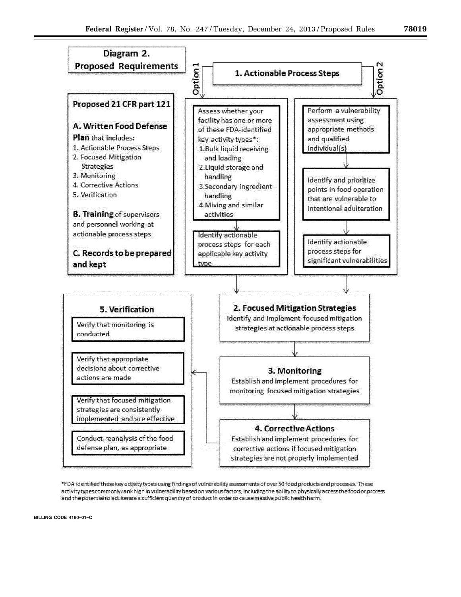

\*FDA identified these key activity types using findings of vulnerability assessments of over 50 food products and processes. These activity types commonly rank high in vulnerability based on various factors, including the ability to physically access the food or process and the potential to adulterate a sufficient quantity of product in order to cause massive public health harm.

**BILLING CODE 4160–01–C**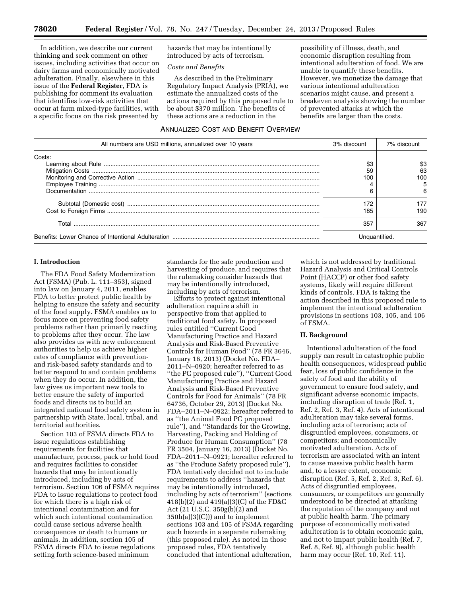In addition, we describe our current thinking and seek comment on other issues, including activities that occur on dairy farms and economically motivated adulteration. Finally, elsewhere in this issue of the **Federal Register**, FDA is publishing for comment its evaluation that identifies low-risk activities that occur at farm mixed-type facilities, with a specific focus on the risk presented by

hazards that may be intentionally introduced by acts of terrorism.

# *Costs and Benefits*

As described in the Preliminary Regulatory Impact Analysis (PRIA), we estimate the annualized costs of the actions required by this proposed rule to be about \$370 million. The benefits of these actions are a reduction in the

possibility of illness, death, and economic disruption resulting from intentional adulteration of food. We are unable to quantify these benefits. However, we monetize the damage that various intentional adulteration scenarios might cause, and present a breakeven analysis showing the number of prevented attacks at which the benefits are larger than the costs.

# ANNUALIZED COST AND BENEFIT OVERVIEW

| All numbers are USD millions, annualized over 10 years | 3% discount | 7% discount |
|--------------------------------------------------------|-------------|-------------|
| Costs:                                                 |             |             |
|                                                        | \$3         | \$3         |
|                                                        | 59          | 63          |
|                                                        | 100         | 100         |
|                                                        |             |             |
|                                                        | ิค          |             |
|                                                        | 172         |             |
|                                                        | 185         | 190         |
| Total                                                  | 357         | 367         |
|                                                        |             |             |

#### **I. Introduction**

The FDA Food Safety Modernization Act (FSMA) (Pub. L. 111–353), signed into law on January 4, 2011, enables FDA to better protect public health by helping to ensure the safety and security of the food supply. FSMA enables us to focus more on preventing food safety problems rather than primarily reacting to problems after they occur. The law also provides us with new enforcement authorities to help us achieve higher rates of compliance with preventionand risk-based safety standards and to better respond to and contain problems when they do occur. In addition, the law gives us important new tools to better ensure the safety of imported foods and directs us to build an integrated national food safety system in partnership with State, local, tribal, and territorial authorities.

Section 103 of FSMA directs FDA to issue regulations establishing requirements for facilities that manufacture, process, pack or hold food and requires facilities to consider hazards that may be intentionally introduced, including by acts of terrorism. Section 106 of FSMA requires FDA to issue regulations to protect food for which there is a high risk of intentional contamination and for which such intentional contamination could cause serious adverse health consequences or death to humans or animals. In addition, section 105 of FSMA directs FDA to issue regulations setting forth science-based minimum

standards for the safe production and harvesting of produce, and requires that the rulemaking consider hazards that may be intentionally introduced, including by acts of terrorism.

Efforts to protect against intentional adulteration require a shift in perspective from that applied to traditional food safety. In proposed rules entitled ''Current Good Manufacturing Practice and Hazard Analysis and Risk-Based Preventive Controls for Human Food'' (78 FR 3646, January 16, 2013) (Docket No. FDA– 2011–N–0920; hereafter referred to as ''the PC proposed rule''), ''Current Good Manufacturing Practice and Hazard Analysis and Risk-Based Preventive Controls for Food for Animals'' (78 FR 64736, October 29, 2013) (Docket No. FDA–2011–N–0922; hereafter referred to as ''the Animal Food PC proposed rule''), and ''Standards for the Growing, Harvesting, Packing and Holding of Produce for Human Consumption'' (78 FR 3504, January 16, 2013) (Docket No. FDA–2011–N–0921; hereafter referred to as ''the Produce Safety proposed rule''), FDA tentatively decided not to include requirements to address ''hazards that may be intentionally introduced, including by acts of terrorism'' (sections 418(b)(2) and 419(a)(3)(C) of the FD&C Act (21 U.S.C. 350g(b)(2) and 350h(a)(3)(C))) and to implement sections 103 and 105 of FSMA regarding such hazards in a separate rulemaking (this proposed rule). As noted in those proposed rules, FDA tentatively concluded that intentional adulteration,

which is not addressed by traditional Hazard Analysis and Critical Controls Point (HACCP) or other food safety systems, likely will require different kinds of controls. FDA is taking the action described in this proposed rule to implement the intentional adulteration provisions in sections 103, 105, and 106 of FSMA.

# **II. Background**

Intentional adulteration of the food supply can result in catastrophic public health consequences, widespread public fear, loss of public confidence in the safety of food and the ability of government to ensure food safety, and significant adverse economic impacts, including disruption of trade (Ref. 1, Ref. 2, Ref. 3, Ref. 4). Acts of intentional adulteration may take several forms, including acts of terrorism; acts of disgruntled employees, consumers, or competitors; and economically motivated adulteration. Acts of terrorism are associated with an intent to cause massive public health harm and, to a lesser extent, economic disruption (Ref. 5, Ref. 2, Ref. 3, Ref. 6). Acts of disgruntled employees, consumers, or competitors are generally understood to be directed at attacking the reputation of the company and not at public health harm. The primary purpose of economically motivated adulteration is to obtain economic gain, and not to impact public health (Ref. 7, Ref. 8, Ref. 9), although public health harm may occur (Ref. 10, Ref. 11).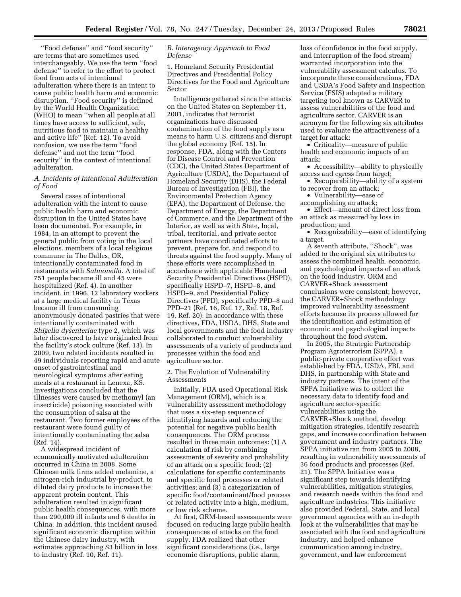''Food defense'' and ''food security'' are terms that are sometimes used interchangeably. We use the term ''food defense'' to refer to the effort to protect food from acts of intentional adulteration where there is an intent to cause public health harm and economic disruption. ''Food security'' is defined by the World Health Organization (WHO) to mean ''when all people at all times have access to sufficient, safe, nutritious food to maintain a healthy and active life'' (Ref. 12). To avoid confusion, we use the term ''food defense'' and not the term ''food security'' in the context of intentional adulteration.

# *A. Incidents of Intentional Adulteration of Food*

Several cases of intentional adulteration with the intent to cause public health harm and economic disruption in the United States have been documented. For example, in 1984, in an attempt to prevent the general public from voting in the local elections, members of a local religious commune in The Dalles, OR, intentionally contaminated food in restaurants with *Salmonella.* A total of 751 people became ill and 45 were hospitalized (Ref. 4). In another incident, in 1996, 12 laboratory workers at a large medical facility in Texas became ill from consuming anonymously donated pastries that were intentionally contaminated with *Shigella dysenteriae* type 2, which was later discovered to have originated from the facility's stock culture (Ref. 13). In 2009, two related incidents resulted in 49 individuals reporting rapid and acute onset of gastrointestinal and neurological symptoms after eating meals at a restaurant in Lenexa, KS. Investigations concluded that the illnesses were caused by methomyl (an insecticide) poisoning associated with the consumption of salsa at the restaurant. Two former employees of the restaurant were found guilty of intentionally contaminating the salsa (Ref. 14).

A widespread incident of economically motivated adulteration occurred in China in 2008. Some Chinese milk firms added melamine, a nitrogen-rich industrial by-product, to diluted dairy products to increase the apparent protein content. This adulteration resulted in significant public health consequences, with more than 290,000 ill infants and 6 deaths in China. In addition, this incident caused significant economic disruption within the Chinese dairy industry, with estimates approaching \$3 billion in loss to industry (Ref. 10, Ref. 11).

# *B. Interagency Approach to Food Defense*

1. Homeland Security Presidential Directives and Presidential Policy Directives for the Food and Agriculture Sector

Intelligence gathered since the attacks on the United States on September 11, 2001, indicates that terrorist organizations have discussed contamination of the food supply as a means to harm U.S. citizens and disrupt the global economy (Ref. 15). In response, FDA, along with the Centers for Disease Control and Prevention (CDC), the United States Department of Agriculture (USDA), the Department of Homeland Security (DHS), the Federal Bureau of Investigation (FBI), the Environmental Protection Agency (EPA), the Department of Defense, the Department of Energy, the Department of Commerce, and the Department of the Interior, as well as with State, local, tribal, territorial, and private sector partners have coordinated efforts to prevent, prepare for, and respond to threats against the food supply. Many of these efforts were accomplished in accordance with applicable Homeland Security Presidential Directives (HSPD), specifically HSPD–7, HSPD–8, and HSPD–9, and Presidential Policy Directives (PPD), specifically PPD–8 and PPD–21 (Ref. 16, Ref. 17, Ref. 18, Ref. 19, Ref. 20). In accordance with these directives, FDA, USDA, DHS, State and local governments and the food industry collaborated to conduct vulnerability assessments of a variety of products and processes within the food and agriculture sector.

2. The Evolution of Vulnerability Assessments

Initially, FDA used Operational Risk Management (ORM), which is a vulnerability assessment methodology that uses a six-step sequence of identifying hazards and reducing the potential for negative public health consequences. The ORM process resulted in three main outcomes: (1) A calculation of risk by combining assessments of severity and probability of an attack on a specific food; (2) calculations for specific contaminants and specific food processes or related activities; and (3) a categorization of specific food/contaminant/food process or related activity into a high, medium, or low risk scheme.

At first, ORM-based assessments were focused on reducing large public health consequences of attacks on the food supply. FDA realized that other significant considerations (i.e., large economic disruptions, public alarm,

loss of confidence in the food supply, and interruption of the food stream) warranted incorporation into the vulnerability assessment calculus. To incorporate these considerations, FDA and USDA's Food Safety and Inspection Service (FSIS) adapted a military targeting tool known as CARVER to assess vulnerabilities of the food and agriculture sector. CARVER is an acronym for the following six attributes used to evaluate the attractiveness of a target for attack:

• Criticality—measure of public health and economic impacts of an attack;

• Accessibility—ability to physically access and egress from target;

• Recuperability—ability of a system to recover from an attack;

• Vulnerability—ease of

accomplishing an attack;

• Effect—amount of direct loss from an attack as measured by loss in production; and

• Recognizability—ease of identifying a target.

A seventh attribute, ''Shock'', was added to the original six attributes to assess the combined health, economic, and psychological impacts of an attack on the food industry. ORM and CARVER+Shock assessment conclusions were consistent; however, the CARVER+Shock methodology improved vulnerability assessment efforts because its process allowed for the identification and estimation of economic and psychological impacts throughout the food system.

In 2005, the Strategic Partnership Program Agroterrorism (SPPA), a public-private cooperative effort was established by FDA, USDA, FBI, and DHS, in partnership with State and industry partners. The intent of the SPPA Initiative was to collect the necessary data to identify food and agriculture sector-specific vulnerabilities using the CARVER+Shock method, develop mitigation strategies, identify research gaps, and increase coordination between government and industry partners. The SPPA initiative ran from 2005 to 2008, resulting in vulnerability assessments of 36 food products and processes (Ref. 21). The SPPA Initiative was a significant step towards identifying vulnerabilities, mitigation strategies, and research needs within the food and agriculture industries. This initiative also provided Federal, State, and local government agencies with an in-depth look at the vulnerabilities that may be associated with the food and agriculture industry, and helped enhance communication among industry, government, and law enforcement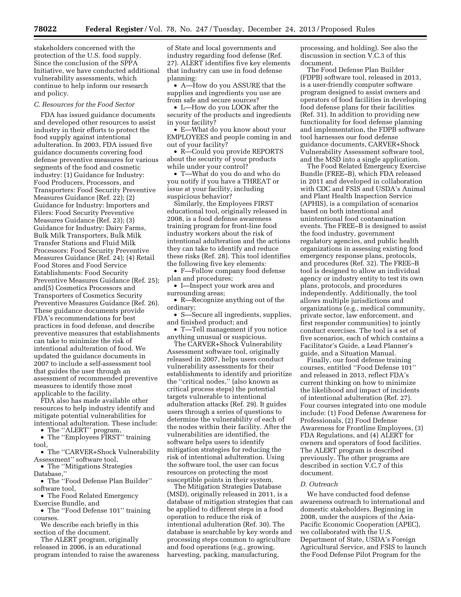stakeholders concerned with the protection of the U.S. food supply. Since the conclusion of the SPPA Initiative, we have conducted additional vulnerability assessments, which continue to help inform our research and policy.

#### *C. Resources for the Food Sector*

FDA has issued guidance documents and developed other resources to assist industry in their efforts to protect the food supply against intentional adulteration. In 2003, FDA issued five guidance documents covering food defense preventive measures for various segments of the food and cosmetic industry: (1) Guidance for Industry: Food Producers, Processors, and Transporters: Food Security Preventive Measures Guidance (Ref. 22); (2) Guidance for Industry: Importers and Filers: Food Security Preventive Measures Guidance (Ref. 23); (3) Guidance for Industry: Dairy Farms, Bulk Milk Transporters, Bulk Milk Transfer Stations and Fluid Milk Processors: Food Security Preventive Measures Guidance (Ref. 24); (4) Retail Food Stores and Food Service Establishments: Food Security Preventive Measures Guidance (Ref. 25); and(5) Cosmetics Processors and Transporters of Cosmetics Security Preventive Measures Guidance (Ref. 26). These guidance documents provide FDA's recommendations for best practices in food defense, and describe preventive measures that establishments can take to minimize the risk of intentional adulteration of food. We updated the guidance documents in 2007 to include a self-assessment tool that guides the user through an assessment of recommended preventive measures to identify those most applicable to the facility.

FDA also has made available other resources to help industry identify and mitigate potential vulnerabilities for intentional adulteration. These include:

• The ''ALERT'' program, • The "Employees FIRST" training tool,

• The ''CARVER+Shock Vulnerability Assessment'' software tool,

• The "Mitigations Strategies

Database,''

• The ''Food Defense Plan Builder'' software tool,

• The Food Related Emergency Exercise Bundle, and

• The "Food Defense 101" training courses.

We describe each briefly in this section of the document.

The ALERT program, originally released in 2006, is an educational program intended to raise the awareness

of State and local governments and industry regarding food defense (Ref. 27). ALERT identifies five key elements that industry can use in food defense planning:

• A—How do you ASSURE that the supplies and ingredients you use are from safe and secure sources?

• L—How do you LOOK after the security of the products and ingredients in your facility?

• E—What do you know about your EMPLOYEES and people coming in and out of your facility?

• R—Could you provide REPORTS about the security of your products while under your control?

• T—What do you do and who do you notify if you have a THREAT or issue at your facility, including suspicious behavior?

Similarly, the Employees FIRST educational tool, originally released in 2008, is a food defense awareness training program for front-line food industry workers about the risk of intentional adulteration and the actions they can take to identify and reduce these risks (Ref. 28). This tool identifies the following five key elements:

• F—Follow company food defense plan and procedures;

• I—Inspect your work area and surrounding areas;

• R—Recognize anything out of the ordinary;

• S—Secure all ingredients, supplies, and finished product; and

• T—Tell management if you notice anything unusual or suspicious.

The CARVER+Shock Vulnerability Assessment software tool, originally released in 2007, helps users conduct vulnerability assessments for their establishments to identify and prioritize the ''critical nodes,'' (also known as critical process steps) the potential targets vulnerable to intentional adulteration attacks (Ref. 29). It guides users through a series of questions to determine the vulnerability of each of the nodes within their facility. After the vulnerabilities are identified, the software helps users to identify mitigation strategies for reducing the risk of intentional adulteration. Using the software tool, the user can focus resources on protecting the most susceptible points in their system.

The Mitigation Strategies Database (MSD), originally released in 2011, is a database of mitigation strategies that can be applied to different steps in a food operation to reduce the risk of intentional adulteration (Ref. 30). The database is searchable by key words and processing steps common to agriculture and food operations (e.g., growing, harvesting, packing, manufacturing,

processing, and holding). See also the discussion in section V.C.3 of this document.

The Food Defense Plan Builder (FDPB) software tool, released in 2013, is a user-friendly computer software program designed to assist owners and operators of food facilities in developing food defense plans for their facilities (Ref. 31). In addition to providing new functionality for food defense planning and implementation, the FDPB software tool harnesses our food defense guidance documents, CARVER+Shock Vulnerability Assessment software tool, and the MSD into a single application.

The Food Related Emergency Exercise Bundle (FREE–B), which FDA released in 2011 and developed in collaboration with CDC and FSIS and USDA's Animal and Plant Health Inspection Service (APHIS), is a compilation of scenarios based on both intentional and unintentional food contamination events. The FREE–B is designed to assist the food industry, government regulatory agencies, and public health organizations in assessing existing food emergency response plans, protocols, and procedures (Ref. 32). The FREE–B tool is designed to allow an individual agency or industry entity to test its own plans, protocols, and procedures independently. Additionally, the tool allows multiple jurisdictions and organizations (e.g., medical community, private sector, law enforcement, and first responder communities) to jointly conduct exercises. The tool is a set of five scenarios, each of which contains a Facilitator's Guide, a Lead Planner's guide, and a Situation Manual.

Finally, our food defense training courses, entitled ''Food Defense 101'' and released in 2013, reflect FDA's current thinking on how to minimize the likelihood and impact of incidents of intentional adulteration (Ref. 27). Four courses integrated into one module include: (1) Food Defense Awareness for Professionals, (2) Food Defense Awareness for Frontline Employees, (3) FDA Regulations, and (4) ALERT for owners and operators of food facilities. The ALERT program is described previously. The other programs are described in section V.C.7 of this document.

# *D. Outreach*

We have conducted food defense awareness outreach to international and domestic stakeholders. Beginning in 2008, under the auspices of the Asia-Pacific Economic Cooperation (APEC), we collaborated with the U.S. Department of State, USDA's Foreign Agricultural Service, and FSIS to launch the Food Defense Pilot Program for the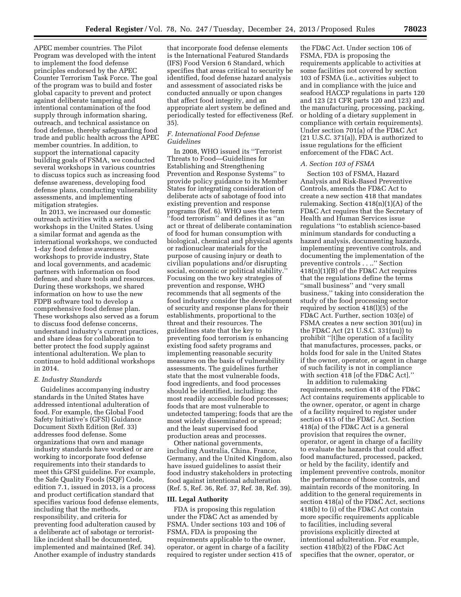APEC member countries. The Pilot Program was developed with the intent to implement the food defense principles endorsed by the APEC Counter Terrorism Task Force. The goal of the program was to build and foster global capacity to prevent and protect against deliberate tampering and intentional contamination of the food supply through information sharing, outreach, and technical assistance on food defense, thereby safeguarding food trade and public health across the APEC member countries. In addition, to support the international capacity building goals of FSMA, we conducted several workshops in various countries to discuss topics such as increasing food defense awareness, developing food defense plans, conducting vulnerability assessments, and implementing mitigation strategies.

In 2013, we increased our domestic outreach activities with a series of workshops in the United States. Using a similar format and agenda as the international workshops, we conducted 1-day food defense awareness workshops to provide industry, State and local governments, and academic partners with information on food defense, and share tools and resources. During these workshops, we shared information on how to use the new FDPB software tool to develop a comprehensive food defense plan. These workshops also served as a forum to discuss food defense concerns, understand industry's current practices, and share ideas for collaboration to better protect the food supply against intentional adulteration. We plan to continue to hold additional workshops in 2014.

#### *E. Industry Standards*

Guidelines accompanying industry standards in the United States have addressed intentional adulteration of food. For example, the Global Food Safety Initiative's (GFSI) Guidance Document Sixth Edition (Ref. 33) addresses food defense. Some organizations that own and manage industry standards have worked or are working to incorporate food defense requirements into their standards to meet this GFSI guideline. For example, the Safe Quality Foods (SQF) Code, edition 7.1, issued in 2013, is a process and product certification standard that specifies various food defense elements, including that the methods, responsibility, and criteria for preventing food adulteration caused by a deliberate act of sabotage or terroristlike incident shall be documented, implemented and maintained (Ref. 34). Another example of industry standards

that incorporate food defense elements is the International Featured Standards (IFS) Food Version 6 Standard, which specifies that areas critical to security be identified, food defense hazard analysis and assessment of associated risks be conducted annually or upon changes that affect food integrity, and an appropriate alert system be defined and periodically tested for effectiveness (Ref. 35).

#### *F. International Food Defense Guidelines*

In 2008, WHO issued its ''Terrorist Threats to Food—Guidelines for Establishing and Strengthening Prevention and Response Systems'' to provide policy guidance to its Member States for integrating consideration of deliberate acts of sabotage of food into existing prevention and response programs (Ref. 6). WHO uses the term ''food terrorism'' and defines it as ''an act or threat of deliberate contamination of food for human consumption with biological, chemical and physical agents or radionuclear materials for the purpose of causing injury or death to civilian populations and/or disrupting social, economic or political stability. Focusing on the two key strategies of prevention and response, WHO recommends that all segments of the food industry consider the development of security and response plans for their establishments, proportional to the threat and their resources. The guidelines state that the key to preventing food terrorism is enhancing existing food safety programs and implementing reasonable security measures on the basis of vulnerability assessments. The guidelines further state that the most vulnerable foods, food ingredients, and food processes should be identified, including: the most readily accessible food processes; foods that are most vulnerable to undetected tampering; foods that are the most widely disseminated or spread; and the least supervised food

production areas and processes. Other national governments, including Australia, China, France, Germany, and the United Kingdom, also have issued guidelines to assist their food industry stakeholders in protecting food against intentional adulteration (Ref. 5, Ref. 36, Ref. 37, Ref. 38, Ref. 39).

#### **III. Legal Authority**

FDA is proposing this regulation under the FD&C Act as amended by FSMA. Under sections 103 and 106 of FSMA, FDA is proposing the requirements applicable to the owner, operator, or agent in charge of a facility required to register under section 415 of

the FD&C Act. Under section 106 of FSMA, FDA is proposing the requirements applicable to activities at some facilities not covered by section 103 of FSMA (i.e., activities subject to and in compliance with the juice and seafood HACCP regulations in parts 120 and 123 (21 CFR parts 120 and 123) and the manufacturing, processing, packing, or holding of a dietary supplement in compliance with certain requirements). Under section 701(a) of the FD&C Act (21 U.S.C. 371(a)), FDA is authorized to issue regulations for the efficient enforcement of the FD&C Act.

#### *A. Section 103 of FSMA*

Section 103 of FSMA, Hazard Analysis and Risk-Based Preventive Controls, amends the FD&C Act to create a new section 418 that mandates rulemaking. Section 418(n)(1)(A) of the FD&C Act requires that the Secretary of Health and Human Services issue regulations ''to establish science-based minimum standards for conducting a hazard analysis, documenting hazards, implementing preventive controls, and documenting the implementation of the preventive controls . . ..'' Section 418(n)(1)(B) of the FD&C Act requires that the regulations define the terms ''small business'' and ''very small business,'' taking into consideration the study of the food processing sector required by section 418(l)(5) of the FD&C Act. Further, section 103(e) of FSMA creates a new section 301(uu) in the FD&C Act (21 U.S.C. 331(uu)) to prohibit ''[t]he operation of a facility that manufactures, processes, packs, or holds food for sale in the United States if the owner, operator, or agent in charge of such facility is not in compliance with section 418 [of the FD&C Act].''

In addition to rulemaking requirements, section 418 of the FD&C Act contains requirements applicable to the owner, operator, or agent in charge of a facility required to register under section 415 of the FD&C Act. Section 418(a) of the FD&C Act is a general provision that requires the owner, operator, or agent in charge of a facility to evaluate the hazards that could affect food manufactured, processed, packed, or held by the facility, identify and implement preventive controls, monitor the performance of those controls, and maintain records of the monitoring. In addition to the general requirements in section 418(a) of the FD&C Act, sections 418(b) to (i) of the FD&C Act contain more specific requirements applicable to facilities, including several provisions explicitly directed at intentional adulteration. For example, section 418(b)(2) of the FD&C Act specifies that the owner, operator, or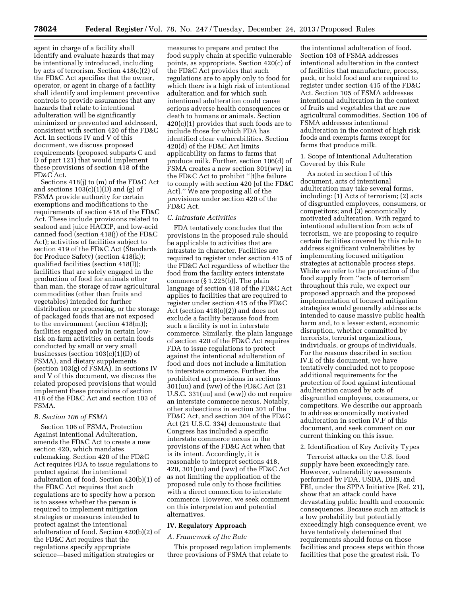agent in charge of a facility shall identify and evaluate hazards that may be intentionally introduced, including by acts of terrorism. Section 418(c)(2) of the FD&C Act specifies that the owner, operator, or agent in charge of a facility shall identify and implement preventive controls to provide assurances that any hazards that relate to intentional adulteration will be significantly minimized or prevented and addressed, consistent with section 420 of the FD&C Act. In sections IV and V of this document, we discuss proposed requirements (proposed subparts C and D of part 121) that would implement these provisions of section 418 of the FD&C Act.

Sections 418(j) to (m) of the FD&C Act and sections  $103(c)(1)(D)$  and  $(g)$  of FSMA provide authority for certain exemptions and modifications to the requirements of section 418 of the FD&C Act. These include provisions related to seafood and juice HACCP, and low-acid canned food (section 418(j) of the FD&C Act); activities of facilities subject to section 419 of the FD&C Act (Standards for Produce Safety) (section 418(k)); qualified facilities (section 418(l)); facilities that are solely engaged in the production of food for animals other than man, the storage of raw agricultural commodities (other than fruits and vegetables) intended for further distribution or processing, or the storage of packaged foods that are not exposed to the environment (section 418(m)); facilities engaged only in certain lowrisk on-farm activities on certain foods conducted by small or very small businesses (section 103(c)(1)(D) of FSMA), and dietary supplements (section  $103(g)$  of FSMA). In sections IV and V of this document, we discuss the related proposed provisions that would implement these provisions of section 418 of the FD&C Act and section 103 of FSMA.

# *B. Section 106 of FSMA*

Section 106 of FSMA, Protection Against Intentional Adulteration, amends the FD&C Act to create a new section 420, which mandates rulemaking. Section 420 of the FD&C Act requires FDA to issue regulations to protect against the intentional adulteration of food. Section 420(b)(1) of the FD&C Act requires that such regulations are to specify how a person is to assess whether the person is required to implement mitigation strategies or measures intended to protect against the intentional adulteration of food. Section 420(b)(2) of the FD&C Act requires that the regulations specify appropriate science—based mitigation strategies or

measures to prepare and protect the food supply chain at specific vulnerable points, as appropriate. Section 420(c) of the FD&C Act provides that such regulations are to apply only to food for which there is a high risk of intentional adulteration and for which such intentional adulteration could cause serious adverse health consequences or death to humans or animals. Section  $420(c)(1)$  provides that such foods are to include those for which FDA has identified clear vulnerabilities. Section 420(d) of the FD&C Act limits applicability on farms to farms that produce milk. Further, section 106(d) of FSMA creates a new section 301(ww) in the FD&C Act to prohibit ''[t]he failure to comply with section 420 [of the FD&C Act].'' We are proposing all of the provisions under section 420 of the FD&C Act.

#### *C. Intrastate Activities*

FDA tentatively concludes that the provisions in the proposed rule should be applicable to activities that are intrastate in character. Facilities are required to register under section 415 of the FD&C Act regardless of whether the food from the facility enters interstate commerce (§ 1.225(b)). The plain language of section 418 of the FD&C Act applies to facilities that are required to register under section 415 of the FD&C Act (section 418(o)(2)) and does not exclude a facility because food from such a facility is not in interstate commerce. Similarly, the plain language of section 420 of the FD&C Act requires FDA to issue regulations to protect against the intentional adulteration of food and does not include a limitation to interstate commerce. Further, the prohibited act provisions in sections 301(uu) and (ww) of the FD&C Act (21 U.S.C. 331(uu) and (ww)) do not require an interstate commerce nexus. Notably, other subsections in section 301 of the FD&C Act, and section 304 of the FD&C Act (21 U.S.C. 334) demonstrate that Congress has included a specific interstate commerce nexus in the provisions of the FD&C Act when that is its intent. Accordingly, it is reasonable to interpret sections 418, 420, 301(uu) and (ww) of the FD&C Act as not limiting the application of the proposed rule only to those facilities with a direct connection to interstate commerce. However, we seek comment on this interpretation and potential alternatives.

#### **IV. Regulatory Approach**

#### *A. Framework of the Rule*

This proposed regulation implements three provisions of FSMA that relate to

the intentional adulteration of food. Section 103 of FSMA addresses intentional adulteration in the context of facilities that manufacture, process, pack, or hold food and are required to register under section 415 of the FD&C Act. Section 105 of FSMA addresses intentional adulteration in the context of fruits and vegetables that are raw agricultural commodities. Section 106 of FSMA addresses intentional adulteration in the context of high risk foods and exempts farms except for farms that produce milk.

# 1. Scope of Intentional Adulteration Covered by this Rule

As noted in section I of this document, acts of intentional adulteration may take several forms, including: (1) Acts of terrorism; (2) acts of disgruntled employees, consumers, or competitors; and (3) economically motivated adulteration. With regard to intentional adulteration from acts of terrorism, we are proposing to require certain facilities covered by this rule to address significant vulnerabilities by implementing focused mitigation strategies at actionable process steps. While we refer to the protection of the food supply from ''acts of terrorism'' throughout this rule, we expect our proposed approach and the proposed implementation of focused mitigation strategies would generally address acts intended to cause massive public health harm and, to a lesser extent, economic disruption, whether committed by terrorists, terrorist organizations, individuals, or groups of individuals. For the reasons described in section IV.E of this document, we have tentatively concluded not to propose additional requirements for the protection of food against intentional adulteration caused by acts of disgruntled employees, consumers, or competitors. We describe our approach to address economically motivated adulteration in section IV.F of this document, and seek comment on our current thinking on this issue.

#### 2. Identification of Key Activity Types

Terrorist attacks on the U.S. food supply have been exceedingly rare. However, vulnerability assessments performed by FDA, USDA, DHS, and FBI, under the SPPA Initiative (Ref. 21), show that an attack could have devastating public health and economic consequences. Because such an attack is a low probability but potentially exceedingly high consequence event, we have tentatively determined that requirements should focus on those facilities and process steps within those facilities that pose the greatest risk. To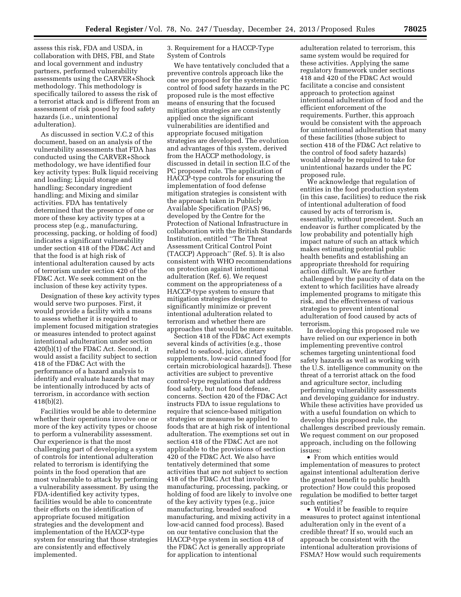assess this risk, FDA and USDA, in collaboration with DHS, FBI, and State and local government and industry partners, performed vulnerability assessments using the CARVER+Shock methodology. This methodology is specifically tailored to assess the risk of a terrorist attack and is different from an assessment of risk posed by food safety hazards (i.e., unintentional adulteration).

As discussed in section V.C.2 of this document, based on an analysis of the vulnerability assessments that FDA has conducted using the CARVER+Shock methodology, we have identified four key activity types: Bulk liquid receiving and loading; Liquid storage and handling; Secondary ingredient handling; and Mixing and similar activities. FDA has tentatively determined that the presence of one or more of these key activity types at a process step (e.g., manufacturing, processing, packing, or holding of food) indicates a significant vulnerability under section 418 of the FD&C Act and that the food is at high risk of intentional adulteration caused by acts of terrorism under section 420 of the FD&C Act. We seek comment on the inclusion of these key activity types.

Designation of these key activity types would serve two purposes. First, it would provide a facility with a means to assess whether it is required to implement focused mitigation strategies or measures intended to protect against intentional adulteration under section 420(b)(1) of the FD&C Act. Second, it would assist a facility subject to section 418 of the FD&C Act with the performance of a hazard analysis to identify and evaluate hazards that may be intentionally introduced by acts of terrorism, in accordance with section 418(b)(2).

Facilities would be able to determine whether their operations involve one or more of the key activity types or choose to perform a vulnerability assessment. Our experience is that the most challenging part of developing a system of controls for intentional adulteration related to terrorism is identifying the points in the food operation that are most vulnerable to attack by performing a vulnerability assessment. By using the FDA-identified key activity types, facilities would be able to concentrate their efforts on the identification of appropriate focused mitigation strategies and the development and implementation of the HACCP-type system for ensuring that those strategies are consistently and effectively implemented.

3. Requirement for a HACCP-Type System of Controls

We have tentatively concluded that a preventive controls approach like the one we proposed for the systematic control of food safety hazards in the PC proposed rule is the most effective means of ensuring that the focused mitigation strategies are consistently applied once the significant vulnerabilities are identified and appropriate focused mitigation strategies are developed. The evolution and advantages of this system, derived from the HACCP methodology, is discussed in detail in section II.C of the PC proposed rule. The application of HACCP-type controls for ensuring the implementation of food defense mitigation strategies is consistent with the approach taken in Publicly Available Specification (PAS) 96, developed by the Centre for the Protection of National Infrastructure in collaboration with the British Standards Institution, entitled ''The Threat Assessment Critical Control Point (TACCP) Approach'' (Ref. 5). It is also consistent with WHO recommendations on protection against intentional adulteration (Ref. 6). We request comment on the appropriateness of a HACCP-type system to ensure that mitigation strategies designed to significantly minimize or prevent intentional adulteration related to terrorism and whether there are approaches that would be more suitable.

Section 418 of the FD&C Act exempts several kinds of activities (e.g., those related to seafood, juice, dietary supplements, low-acid canned food [for certain microbiological hazards]). These activities are subject to preventive control-type regulations that address food safety, but not food defense, concerns. Section 420 of the FD&C Act instructs FDA to issue regulations to require that science-based mitigation strategies or measures be applied to foods that are at high risk of intentional adulteration. The exemptions set out in section 418 of the FD&C Act are not applicable to the provisions of section 420 of the FD&C Act. We also have tentatively determined that some activities that are not subject to section 418 of the FD&C Act that involve manufacturing, processing, packing, or holding of food are likely to involve one of the key activity types (e.g., juice manufacturing, breaded seafood manufacturing, and mixing activity in a low-acid canned food process). Based on our tentative conclusion that the HACCP-type system in section 418 of the FD&C Act is generally appropriate for application to intentional

adulteration related to terrorism, this same system would be required for these activities. Applying the same regulatory framework under sections 418 and 420 of the FD&C Act would facilitate a concise and consistent approach to protection against intentional adulteration of food and the efficient enforcement of the requirements. Further, this approach would be consistent with the approach for unintentional adulteration that many of these facilities (those subject to section 418 of the FD&C Act relative to the control of food safety hazards) would already be required to take for unintentional hazards under the PC proposed rule.

We acknowledge that regulation of entities in the food production system (in this case, facilities) to reduce the risk of intentional adulteration of food caused by acts of terrorism is, essentially, without precedent. Such an endeavor is further complicated by the low probability and potentially high impact nature of such an attack which makes estimating potential public health benefits and establishing an appropriate threshold for requiring action difficult. We are further challenged by the paucity of data on the extent to which facilities have already implemented programs to mitigate this risk, and the effectiveness of various strategies to prevent intentional adulteration of food caused by acts of terrorism.

In developing this proposed rule we have relied on our experience in both implementing preventive control schemes targeting unintentional food safety hazards as well as working with the U.S. intelligence community on the threat of a terrorist attack on the food and agriculture sector, including performing vulnerability assessments and developing guidance for industry. While these activities have provided us with a useful foundation on which to develop this proposed rule, the challenges described previously remain. We request comment on our proposed approach, including on the following issues:

• From which entities would implementation of measures to protect against intentional adulteration derive the greatest benefit to public health protection? How could this proposed regulation be modified to better target such entities?

• Would it be feasible to require measures to protect against intentional adulteration only in the event of a credible threat? If so, would such an approach be consistent with the intentional adulteration provisions of FSMA? How would such requirements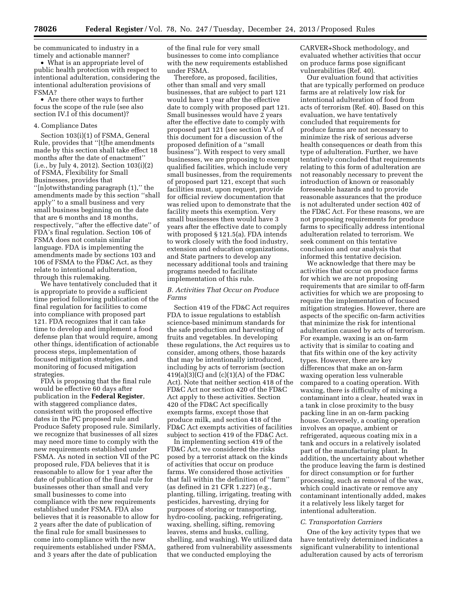be communicated to industry in a timely and actionable manner?

• What is an appropriate level of public health protection with respect to intentional adulteration, considering the intentional adulteration provisions of FSMA?

• Are there other ways to further focus the scope of the rule (see also section IV.I of this document)?

# 4. Compliance Dates

Section 103(i)(1) of FSMA, General Rule, provides that ''[t]he amendments made by this section shall take effect 18 months after the date of enactment'' (i.e., by July 4, 2012). Section 103(i)(2) of FSMA, Flexibility for Small Businesses, provides that ''[n]otwithstanding paragraph (1),'' the amendments made by this section ''shall apply'' to a small business and very small business beginning on the date that are 6 months and 18 months, respectively, ''after the effective date'' of FDA's final regulation. Section 106 of FSMA does not contain similar language. FDA is implementing the amendments made by sections 103 and 106 of FSMA to the FD&C Act, as they relate to intentional adulteration, through this rulemaking.

We have tentatively concluded that it is appropriate to provide a sufficient time period following publication of the final regulation for facilities to come into compliance with proposed part 121. FDA recognizes that it can take time to develop and implement a food defense plan that would require, among other things, identification of actionable process steps, implementation of focused mitigation strategies, and monitoring of focused mitigation strategies.

FDA is proposing that the final rule would be effective 60 days after publication in the **Federal Register**, with staggered compliance dates, consistent with the proposed effective dates in the PC proposed rule and Produce Safety proposed rule. Similarly, we recognize that businesses of all sizes may need more time to comply with the new requirements established under FSMA. As noted in section VII of the PC proposed rule, FDA believes that it is reasonable to allow for 1 year after the date of publication of the final rule for businesses other than small and very small businesses to come into compliance with the new requirements established under FSMA. FDA also believes that it is reasonable to allow for 2 years after the date of publication of the final rule for small businesses to come into compliance with the new requirements established under FSMA, and 3 years after the date of publication

of the final rule for very small businesses to come into compliance with the new requirements established under FSMA.

Therefore, as proposed, facilities, other than small and very small businesses, that are subject to part 121 would have 1 year after the effective date to comply with proposed part 121. Small businesses would have 2 years after the effective date to comply with proposed part 121 (see section V.A of this document for a discussion of the proposed definition of a ''small business''). With respect to very small businesses, we are proposing to exempt qualified facilities, which include very small businesses, from the requirements of proposed part 121, except that such facilities must, upon request, provide for official review documentation that was relied upon to demonstrate that the facility meets this exemption. Very small businesses then would have 3 years after the effective date to comply with proposed § 121.5(a). FDA intends to work closely with the food industry, extension and education organizations, and State partners to develop any necessary additional tools and training programs needed to facilitate implementation of this rule.

# *B. Activities That Occur on Produce Farms*

Section 419 of the FD&C Act requires FDA to issue regulations to establish science-based minimum standards for the safe production and harvesting of fruits and vegetables. In developing these regulations, the Act requires us to consider, among others, those hazards that may be intentionally introduced, including by acts of terrorism (section 419(a)(3)(C) and (c)(1)(A) of the FD&C Act). Note that neither section 418 of the FD&C Act nor section 420 of the FD&C Act apply to these activities. Section 420 of the FD&C Act specifically exempts farms, except those that produce milk, and section 418 of the FD&C Act exempts activities of facilities subject to section 419 of the FD&C Act.

In implementing section 419 of the FD&C Act, we considered the risks posed by a terrorist attack on the kinds of activities that occur on produce farms. We considered those activities that fall within the definition of ''farm'' (as defined in 21 CFR 1.227) (e.g., planting, tilling, irrigating, treating with pesticides, harvesting, drying for purposes of storing or transporting, hydro-cooling, packing, refrigerating, waxing, shelling, sifting, removing leaves, stems and husks, culling, shelling, and washing). We utilized data gathered from vulnerability assessments that we conducted employing the

CARVER+Shock methodology, and evaluated whether activities that occur on produce farms pose significant vulnerabilities (Ref. 40).

Our evaluation found that activities that are typically performed on produce farms are at relatively low risk for intentional adulteration of food from acts of terrorism (Ref. 40). Based on this evaluation, we have tentatively concluded that requirements for produce farms are not necessary to minimize the risk of serious adverse health consequences or death from this type of adulteration. Further, we have tentatively concluded that requirements relating to this form of adulteration are not reasonably necessary to prevent the introduction of known or reasonably foreseeable hazards and to provide reasonable assurances that the produce is not adulterated under section 402 of the FD&C Act. For these reasons, we are not proposing requirements for produce farms to specifically address intentional adulteration related to terrorism. We seek comment on this tentative conclusion and our analysis that informed this tentative decision.

We acknowledge that there may be activities that occur on produce farms for which we are not proposing requirements that are similar to off-farm activities for which we are proposing to require the implementation of focused mitigation strategies. However, there are aspects of the specific on-farm activities that minimize the risk for intentional adulteration caused by acts of terrorism. For example, waxing is an on-farm activity that is similar to coating and that fits within one of the key activity types. However, there are key differences that make an on-farm waxing operation less vulnerable compared to a coating operation. With waxing, there is difficulty of mixing a contaminant into a clear, heated wax in a tank in close proximity to the busy packing line in an on-farm packing house. Conversely, a coating operation involves an opaque, ambient or refrigerated, aqueous coating mix in a tank and occurs in a relatively isolated part of the manufacturing plant. In addition, the uncertainty about whether the produce leaving the farm is destined for direct consumption or for further processing, such as removal of the wax, which could inactivate or remove any contaminant intentionally added, makes it a relatively less likely target for intentional adulteration.

#### *C. Transportation Carriers*

One of the key activity types that we have tentatively determined indicates a significant vulnerability to intentional adulteration caused by acts of terrorism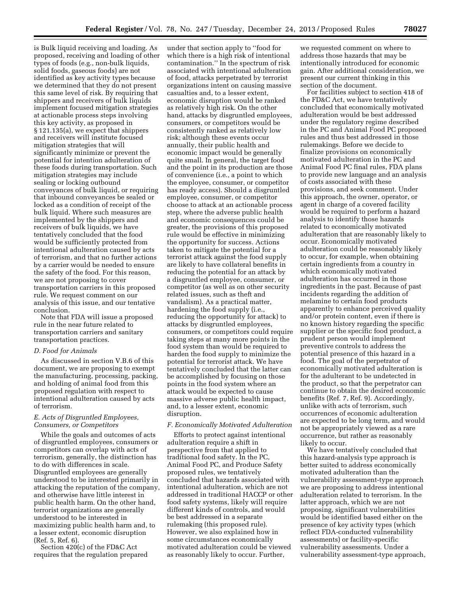is Bulk liquid receiving and loading. As proposed, receiving and loading of other types of foods (e.g., non-bulk liquids, solid foods, gaseous foods) are not identified as key activity types because we determined that they do not present this same level of risk. By requiring that shippers and receivers of bulk liquids implement focused mitigation strategies at actionable process steps involving this key activity, as proposed in § 121.135(a), we expect that shippers and receivers will institute focused mitigation strategies that will significantly minimize or prevent the potential for intention adulteration of these foods during transportation. Such mitigation strategies may include sealing or locking outbound conveyances of bulk liquid, or requiring that inbound conveyances be sealed or locked as a condition of receipt of the bulk liquid. Where such measures are implemented by the shippers and receivers of bulk liquids, we have tentatively concluded that the food would be sufficiently protected from intentional adulteration caused by acts of terrorism, and that no further actions by a carrier would be needed to ensure the safety of the food. For this reason, we are not proposing to cover transportation carriers in this proposed rule. We request comment on our analysis of this issue, and our tentative conclusion.

Note that FDA will issue a proposed rule in the near future related to transportation carriers and sanitary transportation practices.

# *D. Food for Animals*

As discussed in section V.B.6 of this document, we are proposing to exempt the manufacturing, processing, packing, and holding of animal food from this proposed regulation with respect to intentional adulteration caused by acts of terrorism.

# *E. Acts of Disgruntled Employees, Consumers, or Competitors*

While the goals and outcomes of acts of disgruntled employees, consumers or competitors can overlap with acts of terrorism, generally, the distinction has to do with differences in scale. Disgruntled employees are generally understood to be interested primarily in attacking the reputation of the company, and otherwise have little interest in public health harm. On the other hand, terrorist organizations are generally understood to be interested in maximizing public health harm and, to a lesser extent, economic disruption (Ref. 5, Ref. 6).

Section 420(c) of the FD&C Act requires that the regulation prepared

under that section apply to ''food for which there is a high risk of intentional contamination.'' In the spectrum of risk associated with intentional adulteration of food, attacks perpetrated by terrorist organizations intent on causing massive casualties and, to a lesser extent, economic disruption would be ranked as relatively high risk. On the other hand, attacks by disgruntled employees, consumers, or competitors would be consistently ranked as relatively low risk; although these events occur annually, their public health and economic impact would be generally quite small. In general, the target food and the point in its production are those of convenience (i.e., a point to which the employee, consumer, or competitor has ready access). Should a disgruntled employee, consumer, or competitor choose to attack at an actionable process step, where the adverse public health and economic consequences could be greater, the provisions of this proposed rule would be effective in minimizing the opportunity for success. Actions taken to mitigate the potential for a terrorist attack against the food supply are likely to have collateral benefits in reducing the potential for an attack by a disgruntled employee, consumer, or competitor (as well as on other security related issues, such as theft and vandalism). As a practical matter, hardening the food supply (i.e., reducing the opportunity for attack) to attacks by disgruntled employees, consumers, or competitors could require taking steps at many more points in the food system than would be required to harden the food supply to minimize the potential for terrorist attack. We have tentatively concluded that the latter can be accomplished by focusing on those points in the food system where an attack would be expected to cause massive adverse public health impact, and, to a lesser extent, economic disruption.

#### *F. Economically Motivated Adulteration*

Efforts to protect against intentional adulteration require a shift in perspective from that applied to traditional food safety. In the PC, Animal Food PC, and Produce Safety proposed rules, we tentatively concluded that hazards associated with intentional adulteration, which are not addressed in traditional HACCP or other food safety systems, likely will require different kinds of controls, and would be best addressed in a separate rulemaking (this proposed rule). However, we also explained how in some circumstances economically motivated adulteration could be viewed as reasonably likely to occur. Further,

we requested comment on where to address those hazards that may be intentionally introduced for economic gain. After additional consideration, we present our current thinking in this section of the document.

For facilities subject to section 418 of the FD&C Act, we have tentatively concluded that economically motivated adulteration would be best addressed under the regulatory regime described in the PC and Animal Food PC proposed rules and thus best addressed in those rulemakings. Before we decide to finalize provisions on economically motivated adulteration in the PC and Animal Food PC final rules, FDA plans to provide new language and an analysis of costs associated with these provisions, and seek comment. Under this approach, the owner, operator, or agent in charge of a covered facility would be required to perform a hazard analysis to identify those hazards related to economically motivated adulteration that are reasonably likely to occur. Economically motivated adulteration could be reasonably likely to occur, for example, when obtaining certain ingredients from a country in which economically motivated adulteration has occurred in those ingredients in the past. Because of past incidents regarding the addition of melamine to certain food products apparently to enhance perceived quality and/or protein content, even if there is no known history regarding the specific supplier or the specific food product, a prudent person would implement preventive controls to address the potential presence of this hazard in a food. The goal of the perpetrator of economically motivated adulteration is for the adulterant to be undetected in the product, so that the perpetrator can continue to obtain the desired economic benefits (Ref. 7, Ref. 9). Accordingly, unlike with acts of terrorism, such occurrences of economic adulteration are expected to be long term, and would not be appropriately viewed as a rare occurrence, but rather as reasonably likely to occur.

We have tentatively concluded that this hazard-analysis type approach is better suited to address economically motivated adulteration than the vulnerability assessment-type approach we are proposing to address intentional adulteration related to terrorism. In the latter approach, which we are not proposing, significant vulnerabilities would be identified based either on the presence of key activity types (which reflect FDA-conducted vulnerability assessments) or facility-specific vulnerability assessments. Under a vulnerability assessment-type approach,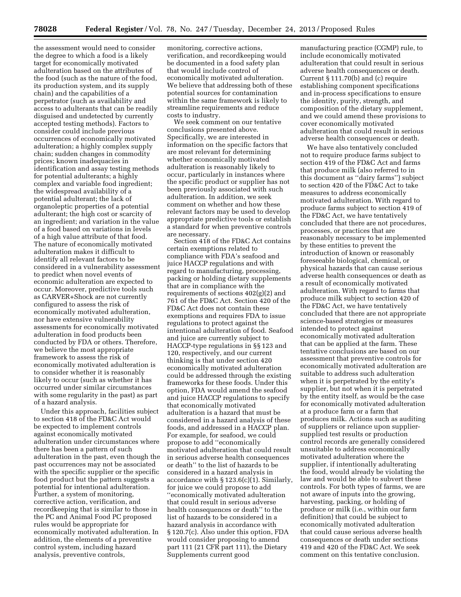the assessment would need to consider the degree to which a food is a likely target for economically motivated adulteration based on the attributes of the food (such as the nature of the food, its production system, and its supply chain) and the capabilities of a perpetrator (such as availability and access to adulterants that can be readily disguised and undetected by currently accepted testing methods). Factors to consider could include previous occurrences of economically motivated adulteration; a highly complex supply chain; sudden changes in commodity prices; known inadequacies in identification and assay testing methods for potential adulterants; a highly complex and variable food ingredient; the widespread availability of a potential adulterant; the lack of organoleptic properties of a potential adulterant; the high cost or scarcity of an ingredient; and variation in the value of a food based on variations in levels of a high value attribute of that food. The nature of economically motivated adulteration makes it difficult to identify all relevant factors to be considered in a vulnerability assessment to predict when novel events of economic adulteration are expected to occur. Moreover, predictive tools such as CARVER+Shock are not currently configured to assess the risk of economically motivated adulteration, nor have extensive vulnerability assessments for economically motivated adulteration in food products been conducted by FDA or others. Therefore, we believe the most appropriate framework to assess the risk of economically motivated adulteration is to consider whether it is reasonably likely to occur (such as whether it has occurred under similar circumstances with some regularity in the past) as part of a hazard analysis.

Under this approach, facilities subject to section 418 of the FD&C Act would be expected to implement controls against economically motivated adulteration under circumstances where there has been a pattern of such adulteration in the past, even though the past occurrences may not be associated with the specific supplier or the specific food product but the pattern suggests a potential for intentional adulteration. Further, a system of monitoring, corrective action, verification, and recordkeeping that is similar to those in the PC and Animal Food PC proposed rules would be appropriate for economically motivated adulteration. In addition, the elements of a preventive control system, including hazard analysis, preventive controls,

monitoring, corrective actions, verification, and recordkeeping would be documented in a food safety plan that would include control of economically motivated adulteration. We believe that addressing both of these potential sources for contamination within the same framework is likely to streamline requirements and reduce costs to industry.

We seek comment on our tentative conclusions presented above. Specifically, we are interested in information on the specific factors that are most relevant for determining whether economically motivated adulteration is reasonably likely to occur, particularly in instances where the specific product or supplier has not been previously associated with such adulteration. In addition, we seek comment on whether and how these relevant factors may be used to develop appropriate predictive tools or establish a standard for when preventive controls are necessary.

Section 418 of the FD&C Act contains certain exemptions related to compliance with FDA's seafood and juice HACCP regulations and with regard to manufacturing, processing, packing or holding dietary supplements that are in compliance with the requirements of sections 402(g)(2) and 761 of the FD&C Act. Section 420 of the FD&C Act does not contain these exemptions and requires FDA to issue regulations to protect against the intentional adulteration of food. Seafood and juice are currently subject to HACCP-type regulations in §§ 123 and 120, respectively, and our current thinking is that under section 420 economically motivated adulteration could be addressed through the existing frameworks for these foods. Under this option, FDA would amend the seafood and juice HACCP regulations to specify that economically motivated adulteration is a hazard that must be considered in a hazard analysis of these foods, and addressed in a HACCP plan. For example, for seafood, we could propose to add ''economically motivated adulteration that could result in serious adverse health consequences or death'' to the list of hazards to be considered in a hazard analysis in accordance with § 123.6(c)(1). Similarly, for juice we could propose to add ''economically motivated adulteration that could result in serious adverse health consequences or death'' to the list of hazards to be considered in a hazard analysis in accordance with § 120.7(c). Also under this option, FDA would consider proposing to amend part 111 (21 CFR part 111), the Dietary Supplements current good

manufacturing practice (CGMP) rule, to include economically motivated adulteration that could result in serious adverse health consequences or death. Current § 111.70(b) and (c) require establishing component specifications and in-process specifications to ensure the identity, purity, strength, and composition of the dietary supplement, and we could amend these provisions to cover economically motivated adulteration that could result in serious adverse health consequences or death.

We have also tentatively concluded not to require produce farms subject to section 419 of the FD&C Act and farms that produce milk (also referred to in this document as ''dairy farms'') subject to section 420 of the FD&C Act to take measures to address economically motivated adulteration. With regard to produce farms subject to section 419 of the FD&C Act, we have tentatively concluded that there are not procedures, processes, or practices that are reasonably necessary to be implemented by these entities to prevent the introduction of known or reasonably foreseeable biological, chemical, or physical hazards that can cause serious adverse health consequences or death as a result of economically motivated adulteration. With regard to farms that produce milk subject to section 420 of the FD&C Act, we have tentatively concluded that there are not appropriate science-based strategies or measures intended to protect against economically motivated adulteration that can be applied at the farm. These tentative conclusions are based on our assessment that preventive controls for economically motivated adulteration are suitable to address such adulteration when it is perpetrated by the entity's supplier, but not when it is perpetrated by the entity itself, as would be the case for economically motivated adulteration at a produce farm or a farm that produces milk. Actions such as auditing of suppliers or reliance upon suppliersupplied test results or production control records are generally considered unsuitable to address economically motivated adulteration where the supplier, if intentionally adulterating the food, would already be violating the law and would be able to subvert these controls. For both types of farms, we are not aware of inputs into the growing, harvesting, packing, or holding of produce or milk (i.e., within our farm definition) that could be subject to economically motivated adulteration that could cause serious adverse health consequences or death under sections 419 and 420 of the FD&C Act. We seek comment on this tentative conclusion.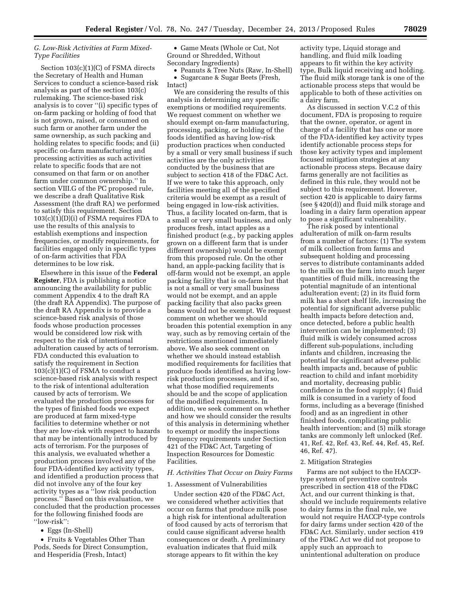# *G. Low-Risk Activities at Farm Mixed-Type Facilities*

Section 103(c)(1)(C) of FSMA directs the Secretary of Health and Human Services to conduct a science-based risk analysis as part of the section 103(c) rulemaking. The science-based risk analysis is to cover ''(i) specific types of on-farm packing or holding of food that is not grown, raised, or consumed on such farm or another farm under the same ownership, as such packing and holding relates to specific foods; and (ii) specific on-farm manufacturing and processing activities as such activities relate to specific foods that are not consumed on that farm or on another farm under common ownership.'' In section VIII.G of the PC proposed rule, we describe a draft Qualitative Risk Assessment (the draft RA) we performed to satisfy this requirement. Section  $103(c)(1)(D)(i)$  of FSMA requires FDA to use the results of this analysis to establish exemptions and inspection frequencies, or modify requirements, for facilities engaged only in specific types of on-farm activities that FDA determines to be low risk.

Elsewhere in this issue of the **Federal Register**, FDA is publishing a notice announcing the availability for public comment Appendix 4 to the draft RA (the draft RA Appendix). The purpose of the draft RA Appendix is to provide a science-based risk analysis of those foods whose production processes would be considered low risk with respect to the risk of intentional adulteration caused by acts of terrorism. FDA conducted this evaluation to satisfy the requirement in Section 103(c)(1)(C) of FSMA to conduct a science-based risk analysis with respect to the risk of intentional adulteration caused by acts of terrorism. We evaluated the production processes for the types of finished foods we expect are produced at farm mixed-type facilities to determine whether or not they are low-risk with respect to hazards that may be intentionally introduced by acts of terrorism. For the purposes of this analysis, we evaluated whether a production process involved any of the four FDA-identified key activity types, and identified a production process that did not involve any of the four key activity types as a ''low risk production process.'' Based on this evaluation, we concluded that the production processes for the following finished foods are ''low-risk'':

• Eggs (In-Shell)

• Fruits & Vegetables Other Than Pods, Seeds for Direct Consumption, and Hesperidia (Fresh, Intact)

• Game Meats (Whole or Cut, Not Ground or Shredded, Without Secondary Ingredients)

• Peanuts & Tree Nuts (Raw, In-Shell) • Sugarcane & Sugar Beets (Fresh, Intact)

We are considering the results of this analysis in determining any specific exemptions or modified requirements. We request comment on whether we should exempt on-farm manufacturing, processing, packing, or holding of the foods identified as having low-risk production practices when conducted by a small or very small business if such activities are the only activities conducted by the business that are subject to section 418 of the FD&C Act. If we were to take this approach, only facilities meeting all of the specified criteria would be exempt as a result of being engaged in low-risk activities. Thus, a facility located on-farm, that is a small or very small business, and only produces fresh, intact apples as a finished product (e.g., by packing apples grown on a different farm that is under different ownership) would be exempt from this proposed rule. On the other hand, an apple-packing facility that is off-farm would not be exempt, an apple packing facility that is on-farm but that is not a small or very small business would not be exempt, and an apple packing facility that also packs green beans would not be exempt. We request comment on whether we should broaden this potential exemption in any way, such as by removing certain of the restrictions mentioned immediately above. We also seek comment on whether we should instead establish modified requirements for facilities that produce foods identified as having lowrisk production processes, and if so, what those modified requirements should be and the scope of application of the modified requirements. In addition, we seek comment on whether and how we should consider the results of this analysis in determining whether to exempt or modify the inspections frequency requirements under Section 421 of the FD&C Act, Targeting of Inspection Resources for Domestic Facilities.

# *H. Activities That Occur on Dairy Farms*

#### 1. Assessment of Vulnerabilities

Under section 420 of the FD&C Act, we considered whether activities that occur on farms that produce milk pose a high risk for intentional adulteration of food caused by acts of terrorism that could cause significant adverse health consequences or death. A preliminary evaluation indicates that fluid milk storage appears to fit within the key

activity type, Liquid storage and handling, and fluid milk loading appears to fit within the key activity type, Bulk liquid receiving and holding. The fluid milk storage tank is one of the actionable process steps that would be applicable to both of these activities on a dairy farm.

As discussed in section V.C.2 of this document, FDA is proposing to require that the owner, operator, or agent in charge of a facility that has one or more of the FDA-identified key activity types identify actionable process steps for those key activity types and implement focused mitigation strategies at any actionable process steps. Because dairy farms generally are not facilities as defined in this rule, they would not be subject to this requirement. However, section 420 is applicable to dairy farms (see § 420(d)) and fluid milk storage and loading in a dairy farm operation appear to pose a significant vulnerability.

The risk posed by intentional adulteration of milk on-farm results from a number of factors: (1) The system of milk collection from farms and subsequent holding and processing serves to distribute contaminants added to the milk on the farm into much larger quantities of fluid milk, increasing the potential magnitude of an intentional adulteration event; (2) in its fluid form milk has a short shelf life, increasing the potential for significant adverse public health impacts before detection and, once detected, before a public health intervention can be implemented; (3) fluid milk is widely consumed across different sub-populations, including infants and children, increasing the potential for significant adverse public health impacts and, because of public reaction to child and infant morbidity and mortality, decreasing public confidence in the food supply; (4) fluid milk is consumed in a variety of food forms, including as a beverage (finished food) and as an ingredient in other finished foods, complicating public health intervention; and (5) milk storage tanks are commonly left unlocked (Ref. 41, Ref. 42, Ref. 43, Ref. 44, Ref. 45, Ref. 46, Ref. 47).

#### 2. Mitigation Strategies

Farms are not subject to the HACCPtype system of preventive controls prescribed in section 418 of the FD&C Act, and our current thinking is that, should we include requirements relative to dairy farms in the final rule, we would not require HACCP-type controls for dairy farms under section 420 of the FD&C Act. Similarly, under section 419 of the FD&C Act we did not propose to apply such an approach to unintentional adulteration on produce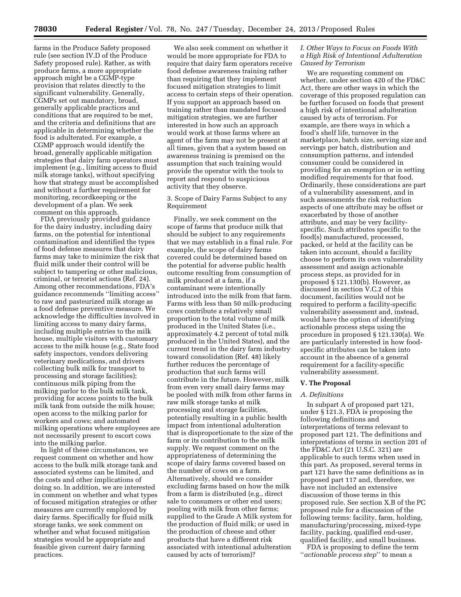farms in the Produce Safety proposed rule (see section IV.D of the Produce Safety proposed rule). Rather, as with produce farms, a more appropriate approach might be a CGMP-type provision that relates directly to the significant vulnerability. Generally, CGMPs set out mandatory, broad, generally applicable practices and conditions that are required to be met, and the criteria and definitions that are applicable in determining whether the food is adulterated. For example, a CGMP approach would identify the broad, generally applicable mitigation strategies that dairy farm operators must implement (e.g., limiting access to fluid milk storage tanks), without specifying how that strategy must be accomplished and without a further requirement for monitoring, recordkeeping or the development of a plan. We seek comment on this approach.

FDA previously provided guidance for the dairy industry, including dairy farms, on the potential for intentional contamination and identified the types of food defense measures that dairy farms may take to minimize the risk that fluid milk under their control will be subject to tampering or other malicious, criminal, or terrorist actions (Ref. 24). Among other recommendations, FDA's guidance recommends ''limiting access'' to raw and pasteurized milk storage as a food defense preventive measure. We acknowledge the difficulties involved in limiting access to many dairy farms, including multiple entries to the milk house, multiple visitors with customary access to the milk house (e.g., State food safety inspectors, vendors delivering veterinary medications, and drivers collecting bulk milk for transport to processing and storage facilities); continuous milk piping from the milking parlor to the bulk milk tank, providing for access points to the bulk milk tank from outside the milk house; open access to the milking parlor for workers and cows; and automated milking operations where employees are not necessarily present to escort cows into the milking parlor.

In light of these circumstances, we request comment on whether and how access to the bulk milk storage tank and associated systems can be limited, and the costs and other implications of doing so. In addition, we are interested in comment on whether and what types of focused mitigation strategies or other measures are currently employed by dairy farms. Specifically for fluid milk storage tanks, we seek comment on whether and what focused mitigation strategies would be appropriate and feasible given current dairy farming practices.

We also seek comment on whether it would be more appropriate for FDA to require that dairy farm operators receive food defense awareness training rather than requiring that they implement focused mitigation strategies to limit access to certain steps of their operation. If you support an approach based on training rather than mandated focused mitigation strategies, we are further interested in how such an approach would work at those farms where an agent of the farm may not be present at all times, given that a system based on awareness training is premised on the assumption that such training would provide the operator with the tools to report and respond to suspicious activity that they observe.

# 3. Scope of Dairy Farms Subject to any Requirement

Finally, we seek comment on the scope of farms that produce milk that should be subject to any requirements that we may establish in a final rule. For example, the scope of dairy farms covered could be determined based on the potential for adverse public health outcome resulting from consumption of milk produced at a farm, if a contaminant were intentionally introduced into the milk from that farm. Farms with less than 50 milk-producing cows contribute a relatively small proportion to the total volume of milk produced in the United States (i.e., approximately 4.2 percent of total milk produced in the United States), and the current trend in the dairy farm industry toward consolidation (Ref. 48) likely further reduces the percentage of production that such farms will contribute in the future. However, milk from even very small dairy farms may be pooled with milk from other farms in raw milk storage tanks at milk processing and storage facilities, potentially resulting in a public health impact from intentional adulteration that is disproportionate to the size of the farm or its contribution to the milk supply. We request comment on the appropriateness of determining the scope of dairy farms covered based on the number of cows on a farm. Alternatively, should we consider excluding farms based on how the milk from a farm is distributed (e.g., direct sale to consumers or other end users; pooling with milk from other farms; supplied to the Grade A Milk system for the production of fluid milk; or used in the production of cheese and other products that have a different risk associated with intentional adulteration caused by acts of terrorism)?

# *I. Other Ways to Focus on Foods With a High Risk of Intentional Adulteration Caused by Terrorism*

We are requesting comment on whether, under section 420 of the FD&C Act, there are other ways in which the coverage of this proposed regulation can be further focused on foods that present a high risk of intentional adulteration caused by acts of terrorism. For example, are there ways in which a food's shelf life, turnover in the marketplace, batch size, serving size and servings per batch, distribution and consumption patterns, and intended consumer could be considered in providing for an exemption or in setting modified requirements for that food. Ordinarily, these considerations are part of a vulnerability assessment, and in such assessments the risk reduction aspects of one attribute may be offset or exacerbated by those of another attribute, and may be very facilityspecific. Such attributes specific to the food(s) manufactured, processed, packed, or held at the facility can be taken into account, should a facility choose to perform its own vulnerability assessment and assign actionable process steps, as provided for in proposed § 121.130(b). However, as discussed in section V.C.2 of this document, facilities would not be required to perform a facility-specific vulnerability assessment and, instead, would have the option of identifying actionable process steps using the procedure in proposed § 121.130(a). We are particularly interested in how foodspecific attributes can be taken into account in the absence of a general requirement for a facility-specific vulnerability assessment.

#### **V. The Proposal**

# *A. Definitions*

In subpart A of proposed part 121, under § 121.3, FDA is proposing the following definitions and interpretations of terms relevant to proposed part 121. The definitions and interpretations of terms in section 201 of the FD&C Act (21 U.S.C. 321) are applicable to such terms when used in this part. As proposed, several terms in part 121 have the same definitions as in proposed part 117 and, therefore, we have not included an extensive discussion of those terms in this proposed rule. See section X.B of the PC proposed rule for a discussion of the following terms: facility, farm, holding, manufacturing/processing, mixed-type facility, packing, qualified end-user, qualified facility, and small business.

FDA is proposing to define the term ''*actionable process step*'' to mean a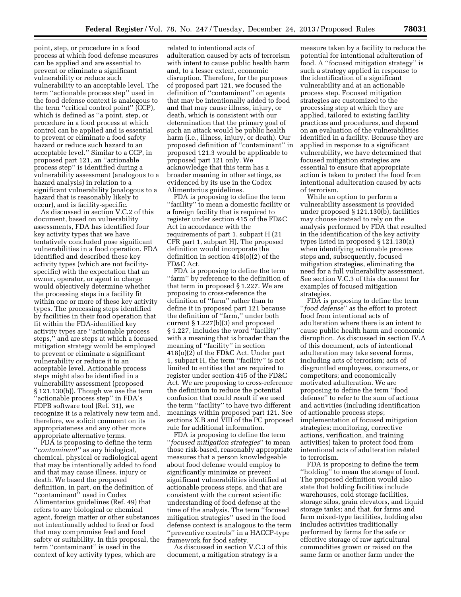point, step, or procedure in a food process at which food defense measures can be applied and are essential to prevent or eliminate a significant vulnerability or reduce such vulnerability to an acceptable level. The term ''actionable process step'' used in the food defense context is analogous to the term ''critical control point'' (CCP), which is defined as ''a point, step, or procedure in a food process at which control can be applied and is essential to prevent or eliminate a food safety hazard or reduce such hazard to an acceptable level.'' Similar to a CCP, in proposed part 121, an ''actionable process step'' is identified during a vulnerability assessment (analogous to a hazard analysis) in relation to a significant vulnerability (analogous to a hazard that is reasonably likely to occur), and is facility-specific.

As discussed in section V.C.2 of this document, based on vulnerability assessments, FDA has identified four key activity types that we have tentatively concluded pose significant vulnerabilities in a food operation. FDA identified and described these key activity types (which are not facilityspecific) with the expectation that an owner, operator, or agent in charge would objectively determine whether the processing steps in a facility fit within one or more of these key activity types. The processing steps identified by facilities in their food operation that fit within the FDA-identified key activity types are ''actionable process steps,'' and are steps at which a focused mitigation strategy would be employed to prevent or eliminate a significant vulnerability or reduce it to an acceptable level. Actionable process steps might also be identified in a vulnerability assessment (proposed § 121.130(b)). Though we use the term ''actionable process step'' in FDA's FDPB software tool (Ref. 31), we recognize it is a relatively new term and, therefore, we solicit comment on its appropriateness and any other more appropriate alternative terms.

FDA is proposing to define the term ''*contaminant*'' as any biological, chemical, physical or radiological agent that may be intentionally added to food and that may cause illness, injury or death. We based the proposed definition, in part, on the definition of ''contaminant'' used in Codex Alimentarius guidelines (Ref. 49) that refers to any biological or chemical agent, foreign matter or other substances not intentionally added to feed or food that may compromise feed and food safety or suitability. In this proposal, the term ''contaminant'' is used in the context of key activity types, which are

related to intentional acts of adulteration caused by acts of terrorism with intent to cause public health harm and, to a lesser extent, economic disruption. Therefore, for the purposes of proposed part 121, we focused the definition of ''contaminant'' on agents that may be intentionally added to food and that may cause illness, injury, or death, which is consistent with our determination that the primary goal of such an attack would be public health harm (i.e., illness, injury, or death). Our proposed definition of ''contaminant'' in proposed 121.3 would be applicable to proposed part 121 only. We acknowledge that this term has a broader meaning in other settings, as evidenced by its use in the Codex Alimentarius guidelines.

FDA is proposing to define the term ''facility'' to mean a domestic facility or a foreign facility that is required to register under section 415 of the FD&C Act in accordance with the requirements of part 1, subpart H (21 CFR part 1, subpart H). The proposed definition would incorporate the definition in section 418(o)(2) of the FD&C Act.

FDA is proposing to define the term ''farm'' by reference to the definition of that term in proposed § 1.227. We are proposing to cross-reference the definition of ''farm'' rather than to define it in proposed part 121 because the definition of ''farm,'' under both current § 1.227(b)(3) and proposed § 1.227, includes the word ''facility'' with a meaning that is broader than the meaning of ''facility'' in section 418(o)(2) of the FD&C Act. Under part 1, subpart H, the term ''facility'' is not limited to entities that are required to register under section 415 of the FD&C Act. We are proposing to cross-reference the definition to reduce the potential confusion that could result if we used the term ''facility'' to have two different meanings within proposed part 121. See sections X.B and VIII of the PC proposed rule for additional information.

FDA is proposing to define the term ''*focused mitigation strategies*'' to mean those risk-based, reasonably appropriate measures that a person knowledgeable about food defense would employ to significantly minimize or prevent significant vulnerabilities identified at actionable process steps, and that are consistent with the current scientific understanding of food defense at the time of the analysis. The term ''focused mitigation strategies'' used in the food defense context is analogous to the term ''preventive controls'' in a HACCP-type framework for food safety.

As discussed in section V.C.3 of this document, a mitigation strategy is a

measure taken by a facility to reduce the potential for intentional adulteration of food. A ''focused mitigation strategy'' is such a strategy applied in response to the identification of a significant vulnerability and at an actionable process step. Focused mitigation strategies are customized to the processing step at which they are applied, tailored to existing facility practices and procedures, and depend on an evaluation of the vulnerabilities identified in a facility. Because they are applied in response to a significant vulnerability, we have determined that focused mitigation strategies are essential to ensure that appropriate action is taken to protect the food from intentional adulteration caused by acts of terrorism.

While an option to perform a vulnerability assessment is provided under proposed § 121.130(b), facilities may choose instead to rely on the analysis performed by FDA that resulted in the identification of the key activity types listed in proposed § 121.130(a) when identifying actionable process steps and, subsequently, focused mitigation strategies, eliminating the need for a full vulnerability assessment. See section V.C.3 of this document for examples of focused mitigation strategies.

FDA is proposing to define the term ''*food defense*'' as the effort to protect food from intentional acts of adulteration where there is an intent to cause public health harm and economic disruption. As discussed in section IV.A of this document, acts of intentional adulteration may take several forms, including acts of terrorism; acts of disgruntled employees, consumers, or competitors; and economically motivated adulteration. We are proposing to define the term ''food defense'' to refer to the sum of actions and activities (including identification of actionable process steps; implementation of focused mitigation strategies; monitoring, corrective actions, verification, and training activities) taken to protect food from intentional acts of adulteration related to terrorism.

FDA is proposing to define the term ''holding'' to mean the storage of food. The proposed definition would also state that holding facilities include warehouses, cold storage facilities, storage silos, grain elevators, and liquid storage tanks; and that, for farms and farm mixed-type facilities, holding also includes activities traditionally performed by farms for the safe or effective storage of raw agricultural commodities grown or raised on the same farm or another farm under the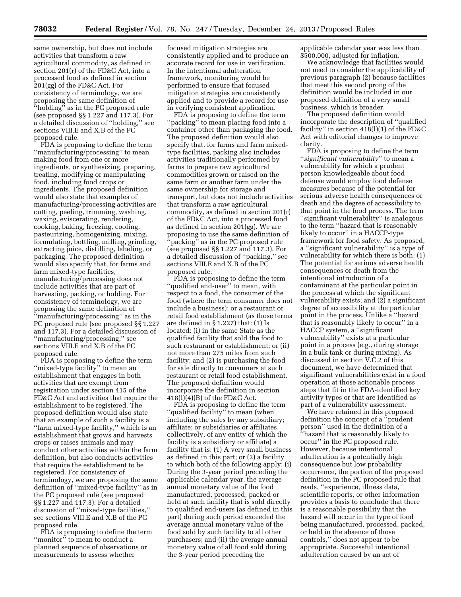same ownership, but does not include activities that transform a raw agricultural commodity, as defined in section 201(r) of the FD&C Act, into a processed food as defined in section 201(gg) of the FD&C Act. For consistency of terminology, we are proposing the same definition of ''holding'' as in the PC proposed rule (see proposed §§ 1.227 and 117.3). For a detailed discussion of ''holding,'' see sections VIII.E and X.B of the PC proposed rule.

FDA is proposing to define the term ''manufacturing/processing'' to mean making food from one or more ingredients, or synthesizing, preparing, treating, modifying or manipulating food, including food crops or ingredients. The proposed definition would also state that examples of manufacturing/processing activities are cutting, peeling, trimming, washing, waxing, eviscerating, rendering, cooking, baking, freezing, cooling, pasteurizing, homogenizing, mixing, formulating, bottling, milling, grinding, extracting juice, distilling, labeling, or packaging. The proposed definition would also specify that, for farms and farm mixed-type facilities, manufacturing/processing does not include activities that are part of harvesting, packing, or holding. For consistency of terminology, we are proposing the same definition of ''manufacturing/processing'' as in the PC proposed rule (see proposed §§ 1.227 and 117.3). For a detailed discussion of ''manufacturing/processing,'' see sections VIII.E and X.B of the PC proposed rule.

FDA is proposing to define the term ''mixed-type facility'' to mean an establishment that engages in both activities that are exempt from registration under section 415 of the FD&C Act and activities that require the establishment to be registered. The proposed definition would also state that an example of such a facility is a ''farm mixed-type facility,'' which is an establishment that grows and harvests crops or raises animals and may conduct other activities within the farm definition, but also conducts activities that require the establishment to be registered. For consistency of terminology, we are proposing the same definition of ''mixed-type facility'' as in the PC proposed rule (see proposed §§ 1.227 and 117.3). For a detailed discussion of ''mixed-type facilities,'' see sections VIII.E and X.B of the PC proposed rule.

FDA is proposing to define the term ''monitor'' to mean to conduct a planned sequence of observations or measurements to assess whether

focused mitigation strategies are consistently applied and to produce an accurate record for use in verification. In the intentional adulteration framework, monitoring would be performed to ensure that focused mitigation strategies are consistently applied and to provide a record for use in verifying consistent application.

FDA is proposing to define the term "packing" to mean placing food into a container other than packaging the food. The proposed definition would also specify that, for farms and farm mixedtype facilities, packing also includes activities traditionally performed by farms to prepare raw agricultural commodities grown or raised on the same farm or another farm under the same ownership for storage and transport, but does not include activities that transform a raw agricultural commodity, as defined in section 201(r) of the FD&C Act, into a processed food as defined in section 201(gg). We are proposing to use the same definition of 'packing'' as in the PC proposed rule (see proposed §§ 1.227 and 117.3). For a detailed discussion of ''packing,'' see sections VIII.E and X.B of the PC proposed rule.

FDA is proposing to define the term ''qualified end-user'' to mean, with respect to a food, the consumer of the food (where the term consumer does not include a business); or a restaurant or retail food establishment (as those terms are defined in § 1.227) that: (1) Is located: (i) in the same State as the qualified facility that sold the food to such restaurant or establishment; or (ii) not more than 275 miles from such facility; and (2) is purchasing the food for sale directly to consumers at such restaurant or retail food establishment. The proposed definition would incorporate the definition in section 418(l)(4)(B) of the FD&C Act.

FDA is proposing to define the term ''qualified facility'' to mean (when including the sales by any subsidiary; affiliate; or subsidiaries or affiliates, collectively, of any entity of which the facility is a subsidiary or affiliate) a facility that is: (1) A very small business as defined in this part; or (2) a facility to which both of the following apply: (i) During the 3-year period preceding the applicable calendar year, the average annual monetary value of the food manufactured, processed, packed or held at such facility that is sold directly to qualified end-users (as defined in this part) during such period exceeded the average annual monetary value of the food sold by such facility to all other purchasers; and (ii) the average annual monetary value of all food sold during the 3-year period preceding the

applicable calendar year was less than \$500,000, adjusted for inflation.

We acknowledge that facilities would not need to consider the applicability of previous paragraph (2) because facilities that meet this second prong of the definition would be included in our proposed definition of a very small business, which is broader.

The proposed definition would incorporate the description of ''qualified facility'' in section 418(l)(1) of the FD&C Act with editorial changes to improve clarity.

FDA is proposing to define the term ''*significant vulnerability*'' to mean a vulnerability for which a prudent person knowledgeable about food defense would employ food defense measures because of the potential for serious adverse health consequences or death and the degree of accessibility to that point in the food process. The term ''significant vulnerability'' is analogous to the term ''hazard that is reasonably likely to occur'' in a HACCP-type framework for food safety. As proposed, a ''significant vulnerability'' is a type of vulnerability for which there is both: (1) The potential for serious adverse health consequences or death from the intentional introduction of a contaminant at the particular point in the process at which the significant vulnerability exists; and (2) a significant degree of accessibility at the particular point in the process. Unlike a ''hazard that is reasonably likely to occur'' in a HACCP system, a ''significant vulnerability'' exists at a particular point in a process (e.g., during storage in a bulk tank or during mixing). As discussed in section V.C.2 of this document, we have determined that significant vulnerabilities exist in a food operation at those actionable process steps that fit in the FDA-identified key activity types or that are identified as part of a vulnerability assessment.

We have retained in this proposed definition the concept of a ''prudent person'' used in the definition of a ''hazard that is reasonably likely to occur'' in the PC proposed rule. However, because intentional adulteration is a potentially high consequence but low probability occurrence, the portion of the proposed definition in the PC proposed rule that reads, ''experience, illness data, scientific reports, or other information provides a basis to conclude that there is a reasonable possibility that the hazard will occur in the type of food being manufactured, processed, packed, or held in the absence of those controls,'' does not appear to be appropriate. Successful intentional adulteration caused by an act of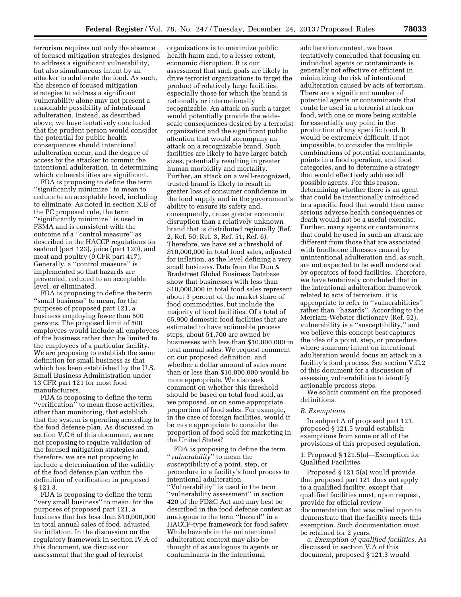terrorism requires not only the absence of focused mitigation strategies designed to address a significant vulnerability, but also simultaneous intent by an attacker to adulterate the food. As such, the absence of focused mitigation strategies to address a significant vulnerability alone may not present a reasonable possibility of intentional adulteration. Instead, as described above, we have tentatively concluded that the prudent person would consider the potential for public health consequences should intentional adulteration occur, and the degree of access by the attacker to commit the intentional adulteration, in determining which vulnerabilities are significant.

FDA is proposing to define the term ''significantly minimize'' to mean to reduce to an acceptable level, including to eliminate. As noted in section X.B of the PC proposed rule, the term ''significantly minimize'' is used in FSMA and is consistent with the outcome of a ''control measure'' as described in the HACCP regulations for seafood (part 123), juice (part 120), and meat and poultry (9 CFR part 417). Generally, a ''control measure'' is implemented so that hazards are prevented, reduced to an acceptable level, or eliminated.

FDA is proposing to define the term ''small business'' to mean, for the purposes of proposed part 121, a business employing fewer than 500 persons. The proposed limit of 500 employees would include all employees of the business rather than be limited to the employees of a particular facility. We are proposing to establish the same definition for small business as that which has been established by the U.S. Small Business Administration under 13 CFR part 121 for most food manufacturers.

FDA is proposing to define the term "verification" to mean those activities, other than monitoring, that establish that the system is operating according to the food defense plan. As discussed in section V.C.6 of this document, we are not proposing to require validation of the focused mitigation strategies and, therefore, we are not proposing to include a determination of the validity of the food defense plan within the definition of verification in proposed § 121.3.

FDA is proposing to define the term ''very small business'' to mean, for the purposes of proposed part 121, a business that has less than \$10,000,000 in total annual sales of food, adjusted for inflation. In the discussion on the regulatory framework in section IV.A of this document, we discuss our assessment that the goal of terrorist

organizations is to maximize public health harm and, to a lesser extent, economic disruption. It is our assessment that such goals are likely to drive terrorist organizations to target the product of relatively large facilities, especially those for which the brand is nationally or internationally recognizable. An attack on such a target would potentially provide the widescale consequences desired by a terrorist organization and the significant public attention that would accompany an attack on a recognizable brand. Such facilities are likely to have larger batch sizes, potentially resulting in greater human morbidity and mortality. Further, an attack on a well-recognized, trusted brand is likely to result in greater loss of consumer confidence in the food supply and in the government's ability to ensure its safety and, consequently, cause greater economic disruption than a relatively unknown brand that is distributed regionally (Ref. 2, Ref. 50, Ref. 3, Ref. 51, Ref. 6). Therefore, we have set a threshold of \$10,000,000 in total food sales, adjusted for inflation, as the level defining a very small business. Data from the Dun & Bradstreet Global Business Database show that businesses with less than \$10,000,000 in total food sales represent about 3 percent of the market share of food commodities, but include the majority of food facilities. Of a total of 65,900 domestic food facilities that are estimated to have actionable process steps, about 51,700 are owned by businesses with less than \$10,000,000 in total annual sales. We request comment on our proposed definition, and whether a dollar amount of sales more than or less than \$10,000,000 would be more appropriate. We also seek comment on whether this threshold should be based on total food sold, as we proposed, or on some appropriate proportion of food sales. For example, in the case of foreign facilities, would it be more appropriate to consider the proportion of food sold for marketing in the United States?

FDA is proposing to define the term ''*vulnerability*'' to mean the susceptibility of a point, step, or procedure in a facility's food process to intentional adulteration. ''Vulnerability'' is used in the term ''vulnerability assessment'' in section 420 of the FD&C Act and may best be described in the food defense context as analogous to the term ''hazard'' in a HACCP-type framework for food safety. While hazards in the unintentional adulteration context may also be thought of as analogous to agents or contaminants in the intentional

adulteration context, we have tentatively concluded that focusing on individual agents or contaminants is generally not effective or efficient in minimizing the risk of intentional adulteration caused by acts of terrorism. There are a significant number of potential agents or contaminants that could be used in a terrorist attack on food, with one or more being suitable for essentially any point in the production of any specific food. It would be extremely difficult, if not impossible, to consider the multiple combinations of potential contaminants, points in a food operation, and food categories, and to determine a strategy that would effectively address all possible agents. For this reason, determining whether there is an agent that could be intentionally introduced to a specific food that would then cause serious adverse health consequences or death would not be a useful exercise. Further, many agents or contaminants that could be used in such an attack are different from those that are associated with foodborne illnesses caused by unintentional adulteration and, as such, are not expected to be well understood by operators of food facilities. Therefore, we have tentatively concluded that in the intentional adulteration framework related to acts of terrorism, it is appropriate to refer to ''vulnerabilities'' rather than ''hazards''. According to the Merriam-Webster dictionary (Ref. 52), vulnerability is a ''susceptibility,'' and we believe this concept best captures the idea of a point, step, or procedure where someone intent on intentional adulteration would focus an attack in a facility's food process. See section V.C.2 of this document for a discussion of assessing vulnerabilities to identify actionable process steps.

We solicit comment on the proposed definitions.

#### *B. Exemptions*

In subpart A of proposed part 121, proposed § 121.5 would establish exemptions from some or all of the provisions of this proposed regulation.

1. Proposed § 121.5(a)—Exemption for Qualified Facilities

Proposed § 121.5(a) would provide that proposed part 121 does not apply to a qualified facility, except that qualified facilities must, upon request, provide for official review documentation that was relied upon to demonstrate that the facility meets this exemption. Such documentation must be retained for 2 years.

*a. Exemption of qualified facilities.* As discussed in section V.A of this document, proposed § 121.3 would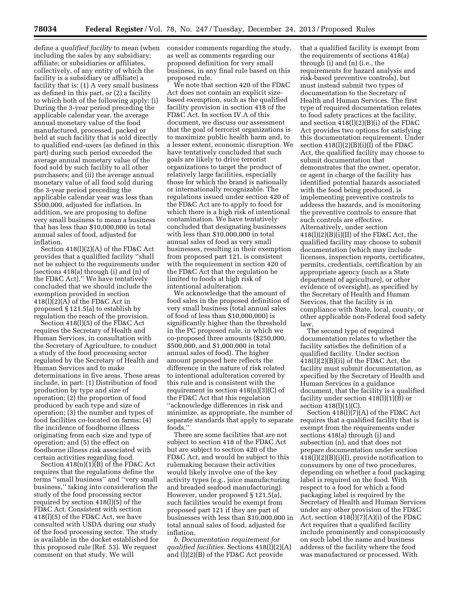define a *qualified facility* to mean (when including the sales by any subsidiary; affiliate; or subsidiaries or affiliates, collectively, of any entity of which the facility is a subsidiary or affiliate) a facility that is: (1) A very small business as defined in this part, or (2) a facility to which both of the following apply: (i) During the 3-year period preceding the applicable calendar year, the average annual monetary value of the food manufactured, processed, packed or held at such facility that is sold directly to qualified end-users (as defined in this part) during such period exceeded the average annual monetary value of the food sold by such facility to all other purchasers; and (ii) the average annual monetary value of all food sold during the 3-year period preceding the applicable calendar year was less than \$500,000, adjusted for inflation. In addition, we are proposing to define very small business to mean a business that has less than \$10,000,000 in total annual sales of food, adjusted for inflation.

Section 418(l)(2)(A) of the FD&C Act provides that a qualified facility ''shall not be subject to the requirements under [sections 418(a) through (i) and (n) of the FD&C Act].'' We have tentatively concluded that we should include the exemption provided in section 418(l)(2)(A) of the FD&C Act in proposed § 121.5(a) to establish by regulation the reach of the provision.

Section 418(l)(5) of the FD&C Act requires the Secretary of Health and Human Services, in consultation with the Secretary of Agriculture, to conduct a study of the food processing sector regulated by the Secretary of Health and Human Services and to make determinations in five areas. These areas include, in part: (1) Distribution of food production by type and size of operation; (2) the proportion of food produced by each type and size of operation; (3) the number and types of food facilities co-located on farms; (4) the incidence of foodborne illness originating from each size and type of operation; and (5) the effect on foodborne illness risk associated with certain activities regarding food.

Section 418(n)(1)(B) of the FD&C Act requires that the regulations define the terms ''small business'' and ''very small business,'' taking into consideration the study of the food processing sector required by section 418(l)(5) of the FD&C Act. Consistent with section 418(l)(5) of the FD&C Act, we have consulted with USDA during our study of the food processing sector. The study is available in the docket established for this proposed rule (Ref. 53). We request comment on that study. We will

consider comments regarding the study, as well as comments regarding our proposed definition for very small business, in any final rule based on this proposed rule.

We note that section 420 of the FD&C Act does not contain an explicit sizebased exemption, such as the qualified facility provision in section 418 of the FD&C Act. In section IV.A of this document, we discuss our assessment that the goal of terrorist organizations is to maximize public health harm and, to a lesser extent, economic disruption. We have tentatively concluded that such goals are likely to drive terrorist organizations to target the product of relatively large facilities, especially those for which the brand is nationally or internationally recognizable. The regulations issued under section 420 of the FD&C Act are to apply to food for which there is a high risk of intentional contamination. We have tentatively concluded that designating businesses with less than \$10,000,000 in total annual sales of food as very small businesses, resulting in their exemption from proposed part 121, is consistent with the requirement in section 420 of the FD&C Act that the regulation be limited to foods at high risk of intentional adulteration.

We acknowledge that the amount of food sales in the proposed definition of very small business (total annual sales of food of less than \$10,000,000) is significantly higher than the threshold in the PC proposed rule, in which we co-proposed three amounts (\$250,000, \$500,000, and \$1,000,000 in total annual sales of food). The higher amount proposed here reflects the difference in the nature of risk related to intentional adulteration covered by this rule and is consistent with the requirement in section 418(n)(3)(C) of the FD&C Act that this regulation ''acknowledge differences in risk and minimize, as appropriate, the number of separate standards that apply to separate foods.''

There are some facilities that are not subject to section 418 of the FD&C Act but are subject to section 420 of the FD&C Act, and would be subject to this rulemaking because their activities would likely involve one of the key activity types (e.g., juice manufacturing and breaded seafood manufacturing). However, under proposed § 121.5(a), such facilities would be exempt from proposed part 121 if they are part of businesses with less than \$10,000,000 in total annual sales of food, adjusted for inflation.

*b. Documentation requirement for qualified facilities.* Sections 418(l)(2)(A) and (l)(2)(B) of the FD&C Act provide

that a qualified facility is exempt from the requirements of sections 418(a) through (i) and (n) (i.e., the requirements for hazard analysis and risk-based preventive controls), but must instead submit two types of documentation to the Secretary of Health and Human Services. The first type of required documentation relates to food safety practices at the facility, and section 418(l)(2)(B)(i) of the FD&C Act provides two options for satisfying this documentation requirement. Under section  $418(1)(2)(B)(i)(I)$  of the FD&C Act, the qualified facility may choose to submit documentation that demonstrates that the owner, operator, or agent in charge of the facility has identified potential hazards associated with the food being produced, is implementing preventive controls to address the hazards, and is monitoring the preventive controls to ensure that such controls are effective. Alternatively, under section  $418(1)(2)(B)(i)(II)$  of the FD&C Act, the qualified facility may choose to submit documentation (which may include licenses, inspection reports, certificates, permits, credentials, certification by an appropriate agency (such as a State department of agriculture), or other evidence of oversight), as specified by the Secretary of Health and Human Services, that the facility is in compliance with State, local, county, or other applicable non-Federal food safety law.

The second type of required documentation relates to whether the facility satisfies the definition of a qualified facility. Under section 418(l)(2)(B)(ii) of the FD&C Act, the facility must submit documentation, as specified by the Secretary of Health and Human Services in a guidance document, that the facility is a qualified facility under section 418(l)(1)(B) or section 418(l)(1)(C).

Section 418(l)(7)(A) of the FD&C Act requires that a qualified facility that is exempt from the requirements under sections 418(a) through (i) and subsection (n), and that does not prepare documentation under section  $418(1)(2)(B)(i)(I)$ , provide notification to consumers by one of two procedures, depending on whether a food packaging label is required on the food. With respect to a food for which a food packaging label is required by the Secretary of Health and Human Services under any other provision of the FD&C Act, section  $418(1)(7)(A)(i)$  of the FD&C Act requires that a qualified facility include prominently and conspicuously on such label the name and business address of the facility where the food was manufactured or processed. With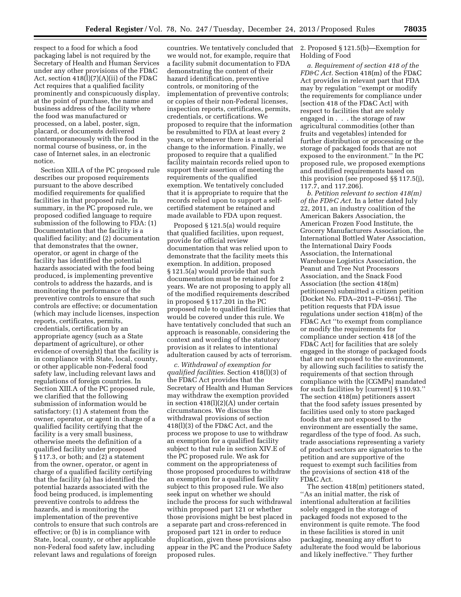respect to a food for which a food packaging label is not required by the Secretary of Health and Human Services under any other provisions of the FD&C Act, section 418(l)(7)(A)(ii) of the FD&C Act requires that a qualified facility prominently and conspicuously display, at the point of purchase, the name and business address of the facility where the food was manufactured or processed, on a label, poster, sign, placard, or documents delivered contemporaneously with the food in the normal course of business, or, in the case of Internet sales, in an electronic notice.

Section XIII.A of the PC proposed rule describes our proposed requirements pursuant to the above described modified requirements for qualified facilities in that proposed rule. In summary, in the PC proposed rule, we proposed codified language to require submission of the following to FDA: (1) Documentation that the facility is a qualified facility; and (2) documentation that demonstrates that the owner, operator, or agent in charge of the facility has identified the potential hazards associated with the food being produced, is implementing preventive controls to address the hazards, and is monitoring the performance of the preventive controls to ensure that such controls are effective; or documentation (which may include licenses, inspection reports, certificates, permits, credentials, certification by an appropriate agency (such as a State department of agriculture), or other evidence of oversight) that the facility is in compliance with State, local, county, or other applicable non-Federal food safety law, including relevant laws and regulations of foreign countries. In Section XIII.A of the PC proposed rule, we clarified that the following submission of information would be satisfactory: (1) A statement from the owner, operator, or agent in charge of a qualified facility certifying that the facility is a very small business, otherwise meets the definition of a qualified facility under proposed § 117.3, or both; and (2) a statement from the owner, operator, or agent in charge of a qualified facility certifying that the facility (a) has identified the potential hazards associated with the food being produced, is implementing preventive controls to address the hazards, and is monitoring the implementation of the preventive controls to ensure that such controls are effective; or (b) is in compliance with State, local, county, or other applicable non-Federal food safety law, including relevant laws and regulations of foreign

countries. We tentatively concluded that we would not, for example, require that a facility submit documentation to FDA demonstrating the content of their hazard identification, preventive controls, or monitoring of the implementation of preventive controls; or copies of their non-Federal licenses, inspection reports, certificates, permits, credentials, or certifications. We proposed to require that the information be resubmitted to FDA at least every 2 years, or whenever there is a material change to the information. Finally, we proposed to require that a qualified facility maintain records relied upon to support their assertion of meeting the requirements of the qualified exemption. We tentatively concluded that it is appropriate to require that the records relied upon to support a selfcertified statement be retained and made available to FDA upon request.

Proposed § 121.5(a) would require that qualified facilities, upon request, provide for official review documentation that was relied upon to demonstrate that the facility meets this exemption. In addition, proposed § 121.5(a) would provide that such documentation must be retained for 2 years. We are not proposing to apply all of the modified requirements described in proposed § 117.201 in the PC proposed rule to qualified facilities that would be covered under this rule. We have tentatively concluded that such an approach is reasonable, considering the context and wording of the statutory provision as it relates to intentional adulteration caused by acts of terrorism.

*c. Withdrawal of exemption for qualified facilities.* Section 418(l)(3) of the FD&C Act provides that the Secretary of Health and Human Services may withdraw the exemption provided in section 418(l)(2)(A) under certain circumstances. We discuss the withdrawal provisions of section 418(l)(3) of the FD&C Act, and the process we propose to use to withdraw an exemption for a qualified facility subject to that rule in section XIV.E of the PC proposed rule. We ask for comment on the appropriateness of those proposed procedures to withdraw an exemption for a qualified facility subject to this proposed rule. We also seek input on whether we should include the process for such withdrawal within proposed part 121 or whether those provisions might be best placed in a separate part and cross-referenced in proposed part 121 in order to reduce duplication, given these provisions also appear in the PC and the Produce Safety proposed rules.

2. Proposed § 121.5(b)—Exemption for Holding of Food

*a. Requirement of section 418 of the FD&C Act.* Section 418(m) of the FD&C Act provides in relevant part that FDA may by regulation ''exempt or modify the requirements for compliance under [section 418 of the FD&C Act] with respect to facilities that are solely engaged in . . . the storage of raw agricultural commodities (other than fruits and vegetables) intended for further distribution or processing or the storage of packaged foods that are not exposed to the environment.'' In the PC proposed rule, we proposed exemptions and modified requirements based on this provision (see proposed §§ 117.5(j), 117.7, and 117.206).

*b. Petition relevant to section 418(m) of the FD&C Act.* In a letter dated July 22, 2011, an industry coalition of the American Bakers Association, the American Frozen Food Institute, the Grocery Manufacturers Association, the International Bottled Water Association, the International Dairy Foods Association, the International Warehouse Logistics Association, the Peanut and Tree Nut Processors Association, and the Snack Food Association (the section 418(m) petitioners) submitted a citizen petition (Docket No. FDA–2011–P–0561). The petition requests that FDA issue regulations under section 418(m) of the FD&C Act ''to exempt from compliance or modify the requirements for compliance under section 418 [of the FD&C Act] for facilities that are solely engaged in the storage of packaged foods that are not exposed to the environment, by allowing such facilities to satisfy the requirements of that section through compliance with the [CGMPs] mandated for such facilities by [current] § 110.93.'' The section 418(m) petitioners assert that the food safety issues presented by facilities used only to store packaged foods that are not exposed to the environment are essentially the same, regardless of the type of food. As such, trade associations representing a variety of product sectors are signatories to the petition and are supportive of the request to exempt such facilities from the provisions of section 418 of the FD&C Act.

The section 418(m) petitioners stated, ''As an initial matter, the risk of intentional adulteration at facilities solely engaged in the storage of packaged foods not exposed to the environment is quite remote. The food in these facilities is stored in unit packaging, meaning any effort to adulterate the food would be laborious and likely ineffective.'' They further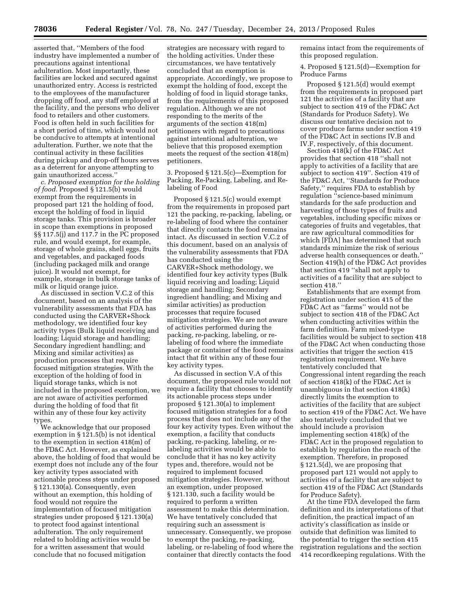asserted that, ''Members of the food industry have implemented a number of precautions against intentional adulteration. Most importantly, these facilities are locked and secured against unauthorized entry. Access is restricted to the employees of the manufacturer dropping off food, any staff employed at the facility, and the persons who deliver food to retailers and other customers. Food is often held in such facilities for a short period of time, which would not be conducive to attempts at intentional adulteration. Further, we note that the continual activity in these facilities during pickup and drop-off hours serves as a deterrent for anyone attempting to gain unauthorized access.''

*c. Proposed exemption for the holding of food.* Proposed § 121.5(b) would exempt from the requirements in proposed part 121 the holding of food, except the holding of food in liquid storage tanks. This provision is broader in scope than exemptions in proposed §§ 117.5(j) and 117.7 in the PC proposed rule, and would exempt, for example, storage of whole grains, shell eggs, fruits and vegetables, and packaged foods (including packaged milk and orange juice). It would not exempt, for example, storage in bulk storage tanks of milk or liquid orange juice.

As discussed in section V.C.2 of this document, based on an analysis of the vulnerability assessments that FDA has conducted using the CARVER+Shock methodology, we identified four key activity types (Bulk liquid receiving and loading; Liquid storage and handling; Secondary ingredient handling; and Mixing and similar activities) as production processes that require focused mitigation strategies. With the exception of the holding of food in liquid storage tanks, which is not included in the proposed exemption, we are not aware of activities performed during the holding of food that fit within any of these four key activity types.

We acknowledge that our proposed exemption in § 121.5(b) is not identical to the exemption in section 418(m) of the FD&C Act. However, as explained above, the holding of food that would be exempt does not include any of the four key activity types associated with actionable process steps under proposed § 121.130(a). Consequently, even without an exemption, this holding of food would not require the implementation of focused mitigation strategies under proposed § 121.130(a) to protect food against intentional adulteration. The only requirement related to holding activities would be for a written assessment that would conclude that no focused mitigation

strategies are necessary with regard to the holding activities. Under these circumstances, we have tentatively concluded that an exemption is appropriate. Accordingly, we propose to exempt the holding of food, except the holding of food in liquid storage tanks, from the requirements of this proposed regulation. Although we are not responding to the merits of the arguments of the section 418(m) petitioners with regard to precautions against intentional adulteration, we believe that this proposed exemption meets the request of the section 418(m) petitioners.

3. Proposed § 121.5(c)—Exemption for Packing, Re-Packing, Labeling, and Relabeling of Food

Proposed § 121.5(c) would exempt from the requirements in proposed part 121 the packing, re-packing, labeling, or re-labeling of food where the container that directly contacts the food remains intact. As discussed in section V.C.2 of this document, based on an analysis of the vulnerability assessments that FDA has conducted using the CARVER+Shock methodology, we identified four key activity types (Bulk liquid receiving and loading; Liquid storage and handling; Secondary ingredient handling; and Mixing and similar activities) as production processes that require focused mitigation strategies. We are not aware of activities performed during the packing, re-packing, labeling, or relabeling of food where the immediate package or container of the food remains intact that fit within any of these four key activity types.

As discussed in section V.A of this document, the proposed rule would not require a facility that chooses to identify its actionable process steps under proposed § 121.30(a) to implement focused mitigation strategies for a food process that does not include any of the four key activity types. Even without the exemption, a facility that conducts packing, re-packing, labeling, or relabeling activities would be able to conclude that it has no key activity types and, therefore, would not be required to implement focused mitigation strategies. However, without an exemption, under proposed § 121.130, such a facility would be required to perform a written assessment to make this determination. We have tentatively concluded that requiring such an assessment is unnecessary. Consequently, we propose to exempt the packing, re-packing, labeling, or re-labeling of food where the container that directly contacts the food

remains intact from the requirements of this proposed regulation.

4. Proposed § 121.5(d)—Exemption for Produce Farms

Proposed § 121.5(d) would exempt from the requirements in proposed part 121 the activities of a facility that are subject to section 419 of the FD&C Act (Standards for Produce Safety). We discuss our tentative decision not to cover produce farms under section 419 of the FD&C Act in sections IV.B and IV.F, respectively, of this document.

Section 418(k) of the FD&C Act provides that section 418 ''shall not apply to activities of a facility that are subject to section 419''. Section 419 of the FD&C Act, ''Standards for Produce Safety,'' requires FDA to establish by regulation ''science-based minimum standards for the safe production and harvesting of those types of fruits and vegetables, including specific mixes or categories of fruits and vegetables, that are raw agricultural commodities for which [FDA] has determined that such standards minimize the risk of serious adverse health consequences or death.'' Section 419(h) of the FD&C Act provides that section 419 ''shall not apply to activities of a facility that are subject to section 418.''

Establishments that are exempt from registration under section 415 of the FD&C Act as ''farms'' would not be subject to section 418 of the FD&C Act when conducting activities within the farm definition. Farm mixed-type facilities would be subject to section 418 of the FD&C Act when conducting those activities that trigger the section 415 registration requirement. We have tentatively concluded that Congressional intent regarding the reach of section 418(k) of the FD&C Act is unambiguous in that section 418(k) directly limits the exemption to activities of the facility that are subject to section 419 of the FD&C Act. We have also tentatively concluded that we should include a provision implementing section 418(k) of the FD&C Act in the proposed regulation to establish by regulation the reach of the exemption. Therefore, in proposed § 121.5(d), we are proposing that proposed part 121 would not apply to activities of a facility that are subject to section 419 of the FD&C Act (Standards for Produce Safety).

At the time FDA developed the farm definition and its interpretations of that definition, the practical impact of an activity's classification as inside or outside that definition was limited to the potential to trigger the section 415 registration regulations and the section 414 recordkeeping regulations. With the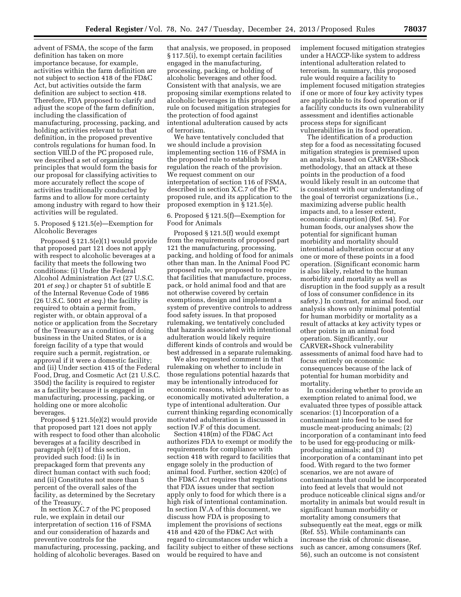advent of FSMA, the scope of the farm definition has taken on more importance because, for example, activities within the farm definition are not subject to section 418 of the FD&C Act, but activities outside the farm definition are subject to section 418. Therefore, FDA proposed to clarify and adjust the scope of the farm definition, including the classification of manufacturing, processing, packing, and holding activities relevant to that definition, in the proposed preventive controls regulations for human food. In section VIII.D of the PC proposed rule, we described a set of organizing principles that would form the basis for our proposal for classifying activities to more accurately reflect the scope of activities traditionally conducted by farms and to allow for more certainty among industry with regard to how their activities will be regulated.

# 5. Proposed § 121.5(e)—Exemption for Alcoholic Beverages

Proposed § 121.5(e)(1) would provide that proposed part 121 does not apply with respect to alcoholic beverages at a facility that meets the following two conditions: (i) Under the Federal Alcohol Administration Act (27 U.S.C. 201 *et seq.*) or chapter 51 of subtitle E of the Internal Revenue Code of 1986 (26 U.S.C. 5001 *et seq.*) the facility is required to obtain a permit from, register with, or obtain approval of a notice or application from the Secretary of the Treasury as a condition of doing business in the United States, or is a foreign facility of a type that would require such a permit, registration, or approval if it were a domestic facility; and (ii) Under section 415 of the Federal Food, Drug, and Cosmetic Act (21 U.S.C. 350d) the facility is required to register as a facility because it is engaged in manufacturing, processing, packing, or holding one or more alcoholic beverages.

Proposed § 121.5(e)(2) would provide that proposed part 121 does not apply with respect to food other than alcoholic beverages at a facility described in paragraph (e)(1) of this section, provided such food: (i) Is in prepackaged form that prevents any direct human contact with such food; and (ii) Constitutes not more than 5 percent of the overall sales of the facility, as determined by the Secretary of the Treasury.

In section X.C.7 of the PC proposed rule, we explain in detail our interpretation of section 116 of FSMA and our consideration of hazards and preventive controls for the manufacturing, processing, packing, and holding of alcoholic beverages. Based on

that analysis, we proposed, in proposed § 117.5(i), to exempt certain facilities engaged in the manufacturing, processing, packing, or holding of alcoholic beverages and other food. Consistent with that analysis, we are proposing similar exemptions related to alcoholic beverages in this proposed rule on focused mitigation strategies for the protection of food against intentional adulteration caused by acts of terrorism.

We have tentatively concluded that we should include a provision implementing section 116 of FSMA in the proposed rule to establish by regulation the reach of the provision. We request comment on our interpretation of section 116 of FSMA, described in section X.C.7 of the PC proposed rule, and its application to the proposed exemption in § 121.5(e).

# 6. Proposed § 121.5(f)—Exemption for Food for Animals

Proposed § 121.5(f) would exempt from the requirements of proposed part 121 the manufacturing, processing, packing, and holding of food for animals other than man. In the Animal Food PC proposed rule, we proposed to require that facilities that manufacture, process, pack, or hold animal food and that are not otherwise covered by certain exemptions, design and implement a system of preventive controls to address food safety issues. In that proposed rulemaking, we tentatively concluded that hazards associated with intentional adulteration would likely require different kinds of controls and would be best addressed in a separate rulemaking.

We also requested comment in that rulemaking on whether to include in those regulations potential hazards that may be intentionally introduced for economic reasons, which we refer to as economically motivated adulteration, a type of intentional adulteration. Our current thinking regarding economically motivated adulteration is discussed in section IV.F of this document.

Section 418(m) of the FD&C Act authorizes FDA to exempt or modify the requirements for compliance with section 418 with regard to facilities that engage solely in the production of animal food. Further, section 420(c) of the FD&C Act requires that regulations that FDA issues under that section apply only to food for which there is a high risk of intentional contamination. In section IV.A of this document, we discuss how FDA is proposing to implement the provisions of sections 418 and 420 of the FD&C Act with regard to circumstances under which a facility subject to either of these sections would be required to have and

implement focused mitigation strategies under a HACCP-like system to address intentional adulteration related to terrorism. In summary, this proposed rule would require a facility to implement focused mitigation strategies if one or more of four key activity types are applicable to its food operation or if a facility conducts its own vulnerability assessment and identifies actionable process steps for significant vulnerabilities in its food operation.

The identification of a production step for a food as necessitating focused mitigation strategies is premised upon an analysis, based on CARVER+Shock methodology, that an attack at these points in the production of a food would likely result in an outcome that is consistent with our understanding of the goal of terrorist organizations (i.e., maximizing adverse public health impacts and, to a lesser extent, economic disruption) (Ref. 54). For human foods, our analyses show the potential for significant human morbidity and mortality should intentional adulteration occur at any one or more of these points in a food operation. (Significant economic harm is also likely, related to the human morbidity and mortality as well as disruption in the food supply as a result of loss of consumer confidence in its safety.) In contrast, for animal food, our analysis shows only minimal potential for human morbidity or mortality as a result of attacks at key activity types or other points in an animal food operation. Significantly, our CARVER+Shock vulnerability assessments of animal food have had to focus entirely on economic consequences because of the lack of potential for human morbidity and mortality.

In considering whether to provide an exemption related to animal food, we evaluated three types of possible attack scenarios: (1) Incorporation of a contaminant into feed to be used for muscle meat-producing animals; (2) incorporation of a contaminant into feed to be used for egg-producing or milkproducing animals; and (3) incorporation of a contaminant into pet food. With regard to the two former scenarios, we are not aware of contaminants that could be incorporated into feed at levels that would not produce noticeable clinical signs and/or mortality in animals but would result in significant human morbidity or mortality among consumers that subsequently eat the meat, eggs or milk (Ref. 55). While contaminants can increase the risk of chronic disease, such as cancer, among consumers (Ref. 56), such an outcome is not consistent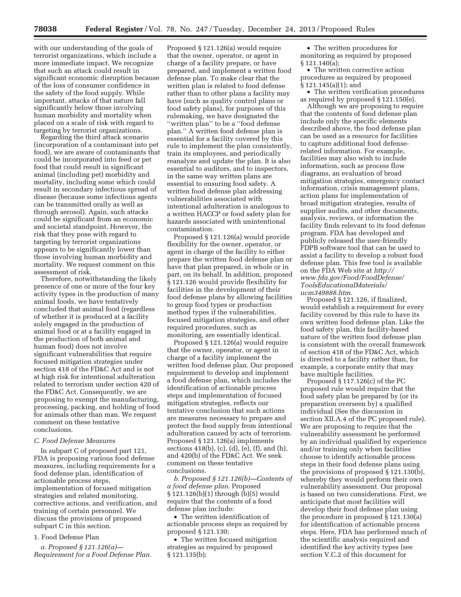with our understanding of the goals of terrorist organizations, which include a more immediate impact. We recognize that such an attack could result in significant economic disruption because of the loss of consumer confidence in the safety of the food supply. While important, attacks of that nature fall significantly below those involving human morbidity and mortality when placed on a scale of risk with regard to targeting by terrorist organizations.

Regarding the third attack scenario (incorporation of a contaminant into pet food), we are aware of contaminants that could be incorporated into feed or pet food that could result in significant animal (including pet) morbidity and mortality, including some which could result in secondary infectious spread of disease (because some infectious agents can be transmitted orally as well as through aerosol). Again, such attacks could be significant from an economic and societal standpoint. However, the risk that they pose with regard to targeting by terrorist organizations appears to be significantly lower than those involving human morbidity and mortality. We request comment on this assessment of risk.

Therefore, notwithstanding the likely presence of one or more of the four key activity types in the production of many animal foods, we have tentatively concluded that animal food (regardless of whether it is produced at a facility solely engaged in the production of animal food or at a facility engaged in the production of both animal and human food) does not involve significant vulnerabilities that require focused mitigation strategies under section 418 of the FD&C Act and is not at high risk for intentional adulteration related to terrorism under section 420 of the FD&C Act. Consequently, we are proposing to exempt the manufacturing, processing, packing, and holding of food for animals other than man. We request comment on these tentative conclusions.

#### *C. Food Defense Measures*

In subpart C of proposed part 121, FDA is proposing various food defense measures, including requirements for a food defense plan, identification of actionable process steps, implementation of focused mitigation strategies and related monitoring, corrective actions, and verification, and training of certain personnel. We discuss the provisions of proposed subpart C in this section.

# 1. Food Defense Plan

*a. Proposed § 121.126(a)— Requirement for a Food Defense Plan.* 

Proposed § 121.126(a) would require that the owner, operator, or agent in charge of a facility prepare, or have prepared, and implement a written food defense plan. To make clear that the written plan is related to food defense rather than to other plans a facility may have (such as quality control plans or food safety plans), for purposes of this rulemaking, we have designated the ''written plan'' to be a ''food defense plan.'' A written food defense plan is essential for a facility covered by this rule to implement the plan consistently, train its employees, and periodically reanalyze and update the plan. It is also essential to auditors, and to inspectors, in the same way written plans are essential to ensuring food safety. A written food defense plan addressing vulnerabilities associated with intentional adulteration is analogous to a written HACCP or food safety plan for hazards associated with unintentional contamination.

Proposed § 121.126(a) would provide flexibility for the owner, operator, or agent in charge of the facility to either prepare the written food defense plan or have that plan prepared, in whole or in part, on its behalf. In addition, proposed § 121.126 would provide flexibility for facilities in the development of their food defense plans by allowing facilities to group food types or production method types if the vulnerabilities, focused mitigation strategies, and other required procedures, such as monitoring, are essentially identical.

Proposed § 121.126(a) would require that the owner, operator, or agent in charge of a facility implement the written food defense plan. Our proposed requirement to develop and implement a food defense plan, which includes the identification of actionable process steps and implementation of focused mitigation strategies, reflects our tentative conclusion that such actions are measures necessary to prepare and protect the food supply from intentional adulteration caused by acts of terrorism. Proposed § 121.126(a) implements sections 418(b), (c), (d), (e), (f), and (h), and 420(b) of the FD&C Act. We seek comment on these tentative conclusions.

*b. Proposed § 121.126(b)—Contents of a food defense plan.* Proposed § 121.126(b)(1) through (b)(5) would require that the contents of a food defense plan include:

• The written identification of actionable process steps as required by proposed § 121.130;

• The written focused mitigation strategies as required by proposed § 121.135(b);

• The written procedures for monitoring as required by proposed § 121.140(a);

• The written corrective action procedures as required by proposed § 121.145(a)(1); and

• The written verification procedures as required by proposed § 121.150(e).

Although we are proposing to require that the contents of food defense plan include only the specific elements described above, the food defense plan can be used as a resource for facilities to capture additional food defenserelated information. For example, facilities may also wish to include information, such as process flow diagrams, an evaluation of broad mitigation strategies, emergency contact information, crisis management plans, action plans for implementation of broad mitigation strategies, results of supplier audits, and other documents, analysis, reviews, or information the facility finds relevant to its food defense program. FDA has developed and publicly released the user-friendly FDPB software tool that can be used to assist a facility to develop a robust food defense plan. This free tool is available on the FDA Web site at *[http://](http://www.fda.gov/Food/FoodDefense/ToolsEducationalMaterials/ucm349888.htm) [www.fda.gov/Food/FoodDefense/](http://www.fda.gov/Food/FoodDefense/ToolsEducationalMaterials/ucm349888.htm) [ToolsEducationalMaterials/](http://www.fda.gov/Food/FoodDefense/ToolsEducationalMaterials/ucm349888.htm) [ucm349888.htm.](http://www.fda.gov/Food/FoodDefense/ToolsEducationalMaterials/ucm349888.htm)* 

Proposed § 121.126, if finalized, would establish a requirement for every facility covered by this rule to have its own written food defense plan. Like the food safety plan, this facility-based nature of the written food defense plan is consistent with the overall framework of section 418 of the FD&C Act, which is directed to a facility rather than, for example, a corporate entity that may have multiple facilities.

Proposed § 117.126(c) of the PC proposed rule would require that the food safety plan be prepared by (or its preparation overseen by) a qualified individual (See the discussion in section XII.A.4 of the PC proposed rule). We are proposing to require that the vulnerability assessment be performed by an individual qualified by experience and/or training only when facilities choose to identify actionable process steps in their food defense plans using the provisions of proposed § 121.130(b), whereby they would perform their own vulnerability assessment. Our proposal is based on two considerations. First, we anticipate that most facilities will develop their food defense plan using the procedure in proposed § 121.130(a) for identification of actionable process steps. Here, FDA has performed much of the scientific analysis required and identified the key activity types (see section V.C.2 of this document for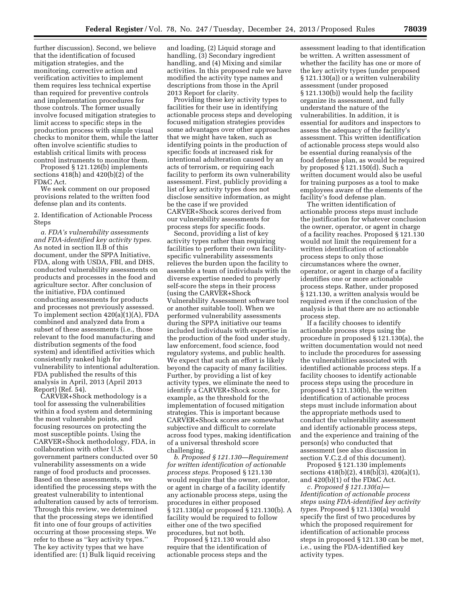further discussion). Second, we believe that the identification of focused mitigation strategies, and the monitoring, corrective action and verification activities to implement them requires less technical expertise than required for preventive controls and implementation procedures for those controls. The former usually involve focused mitigation strategies to limit access to specific steps in the production process with simple visual checks to monitor them, while the latter often involve scientific studies to establish critical limits with process control instruments to monitor them.

Proposed § 121.126(b) implements sections 418(h) and 420(b)(2) of the FD&C Act.

We seek comment on our proposed provisions related to the written food defense plan and its contents.

2. Identification of Actionable Process Steps

*a. FDA's vulnerability assessments and FDA-identified key activity types.*  As noted in section II.B of this document, under the SPPA Initiative, FDA, along with USDA, FBI, and DHS, conducted vulnerability assessments on products and processes in the food and agriculture sector. After conclusion of the initiative, FDA continued conducting assessments for products and processes not previously assessed. To implement section 420(a)(1)(A), FDA combined and analyzed data from a subset of these assessments (i.e., those relevant to the food manufacturing and distribution segments of the food system) and identified activities which consistently ranked high for vulnerability to intentional adulteration. FDA published the results of this analysis in April, 2013 (April 2013 Report) (Ref. 54).

CARVER+Shock methodology is a tool for assessing the vulnerabilities within a food system and determining the most vulnerable points, and focusing resources on protecting the most susceptible points. Using the CARVER+Shock methodology, FDA, in collaboration with other U.S. government partners conducted over 50 vulnerability assessments on a wide range of food products and processes. Based on these assessments, we identified the processing steps with the greatest vulnerability to intentional adulteration caused by acts of terrorism. Through this review, we determined that the processing steps we identified fit into one of four groups of activities occurring at those processing steps. We refer to these as ''key activity types.'' The key activity types that we have identified are: (1) Bulk liquid receiving

and loading, (2) Liquid storage and handling, (3) Secondary ingredient handling, and (4) Mixing and similar activities. In this proposed rule we have modified the activity type names and descriptions from those in the April 2013 Report for clarity.

Providing these key activity types to facilities for their use in identifying actionable process steps and developing focused mitigation strategies provides some advantages over other approaches that we might have taken, such as identifying points in the production of specific foods at increased risk for intentional adulteration caused by an acts of terrorism, or requiring each facility to perform its own vulnerability assessment. First, publicly providing a list of key activity types does not disclose sensitive information, as might be the case if we provided CARVER+Shock scores derived from our vulnerability assessments for process steps for specific foods.

Second, providing a list of key activity types rather than requiring facilities to perform their own facilityspecific vulnerability assessments relieves the burden upon the facility to assemble a team of individuals with the diverse expertise needed to properly self-score the steps in their process (using the CARVER+Shock Vulnerability Assessment software tool or another suitable tool). When we performed vulnerability assessments during the SPPA initiative our teams included individuals with expertise in the production of the food under study, law enforcement, food science, food regulatory systems, and public health. We expect that such an effort is likely beyond the capacity of many facilities. Further, by providing a list of key activity types, we eliminate the need to identify a CARVER+Shock score, for example, as the threshold for the implementation of focused mitigation strategies. This is important because CARVER+Shock scores are somewhat subjective and difficult to correlate across food types, making identification of a universal threshold score challenging.

*b. Proposed § 121.130—Requirement for written identification of actionable process steps.* Proposed § 121.130 would require that the owner, operator, or agent in charge of a facility identify any actionable process steps, using the procedures in either proposed § 121.130(a) or proposed § 121.130(b). A facility would be required to follow either one of the two specified procedures, but not both.

Proposed § 121.130 would also require that the identification of actionable process steps and the

assessment leading to that identification be written. A written assessment of whether the facility has one or more of the key activity types (under proposed § 121.130(a)) or a written vulnerability assessment (under proposed § 121.130(b)) would help the facility organize its assessment, and fully understand the nature of the vulnerabilities. In addition, it is essential for auditors and inspectors to assess the adequacy of the facility's assessment. This written identification of actionable process steps would also be essential during reanalysis of the food defense plan, as would be required by proposed § 121.150(d). Such a written document would also be useful for training purposes as a tool to make employees aware of the elements of the facility's food defense plan.

The written identification of actionable process steps must include the justification for whatever conclusion the owner, operator, or agent in charge of a facility reaches. Proposed § 121.130 would not limit the requirement for a written identification of actionable process steps to only those circumstances where the owner, operator, or agent in charge of a facility identifies one or more actionable process steps. Rather, under proposed § 121.130, a written analysis would be required even if the conclusion of the analysis is that there are no actionable process step.

If a facility chooses to identify actionable process steps using the procedure in proposed § 121.130(a), the written documentation would not need to include the procedures for assessing the vulnerabilities associated with identified actionable process steps. If a facility chooses to identify actionable process steps using the procedure in proposed § 121.130(b), the written identification of actionable process steps must include information about the appropriate methods used to conduct the vulnerability assessment and identify actionable process steps, and the experience and training of the person(s) who conducted that assessment (see also discussion in section V.C.2.d of this document).

Proposed § 121.130 implements sections 418(b)(2), 418(b)(3), 420(a)(1), and 420(b)(1) of the FD&C Act.

*c. Proposed § 121.130(a)— Identification of actionable process steps using FDA-identified key activity types.* Proposed § 121.130(a) would specify the first of two procedures by which the proposed requirement for identification of actionable process steps in proposed § 121.130 can be met, i.e., using the FDA-identified key activity types.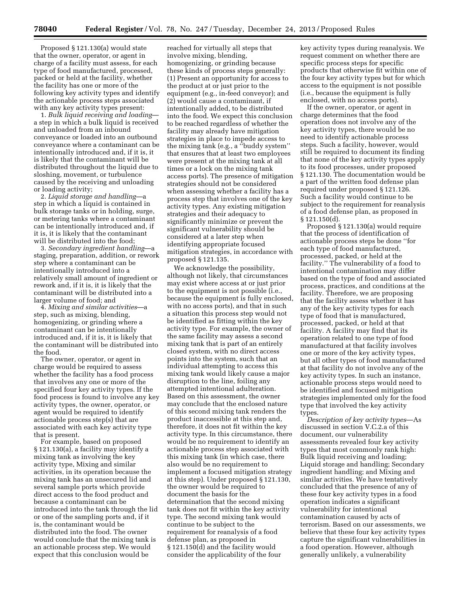Proposed § 121.130(a) would state that the owner, operator, or agent in charge of a facility must assess, for each type of food manufactured, processed, packed or held at the facility, whether the facility has one or more of the following key activity types and identify the actionable process steps associated with any key activity types present:

1. *Bulk liquid receiving and loading* a step in which a bulk liquid is received and unloaded from an inbound conveyance or loaded into an outbound conveyance where a contaminant can be intentionally introduced and, if it is, it is likely that the contaminant will be distributed throughout the liquid due to sloshing, movement, or turbulence caused by the receiving and unloading or loading activity;

2. *Liquid storage and handling*—a step in which a liquid is contained in bulk storage tanks or in holding, surge, or metering tanks where a contaminant can be intentionally introduced and, if it is, it is likely that the contaminant will be distributed into the food;

3. *Secondary ingredient handling*—a staging, preparation, addition, or rework step where a contaminant can be intentionally introduced into a relatively small amount of ingredient or rework and, if it is, it is likely that the contaminant will be distributed into a larger volume of food; and

4. *Mixing and similar activities*—a step, such as mixing, blending, homogenizing, or grinding where a contaminant can be intentionally introduced and, if it is, it is likely that the contaminant will be distributed into the food.

The owner, operator, or agent in charge would be required to assess whether the facility has a food process that involves any one or more of the specified four key activity types. If the food process is found to involve any key activity types, the owner, operator, or agent would be required to identify actionable process step(s) that are associated with each key activity type that is present.

For example, based on proposed § 121.130(a), a facility may identify a mixing tank as involving the key activity type, Mixing and similar activities, in its operation because the mixing tank has an unsecured lid and several sample ports which provide direct access to the food product and because a contaminant can be introduced into the tank through the lid or one of the sampling ports and, if it is, the contaminant would be distributed into the food. The owner would conclude that the mixing tank is an actionable process step. We would expect that this conclusion would be

reached for virtually all steps that involve mixing, blending, homogenizing, or grinding because these kinds of process steps generally: (1) Present an opportunity for access to the product at or just prior to the equipment (e.g., in-feed conveyor); and (2) would cause a contaminant, if intentionally added, to be distributed into the food. We expect this conclusion to be reached regardless of whether the facility may already have mitigation strategies in place to impede access to the mixing tank (e.g., a ''buddy system'' that ensures that at least two employees were present at the mixing tank at all times or a lock on the mixing tank access ports). The presence of mitigation strategies should not be considered when assessing whether a facility has a process step that involves one of the key activity types. Any existing mitigation strategies and their adequacy to significantly minimize or prevent the significant vulnerability should be considered at a later step when identifying appropriate focused mitigation strategies, in accordance with proposed § 121.135.

We acknowledge the possibility, although not likely, that circumstances may exist where access at or just prior to the equipment is not possible (i.e., because the equipment is fully enclosed, with no access ports), and that in such a situation this process step would not be identified as fitting within the key activity type. For example, the owner of the same facility may assess a second mixing tank that is part of an entirely closed system, with no direct access points into the system, such that an individual attempting to access this mixing tank would likely cause a major disruption to the line, foiling any attempted intentional adulteration. Based on this assessment, the owner may conclude that the enclosed nature of this second mixing tank renders the product inaccessible at this step and, therefore, it does not fit within the key activity type. In this circumstance, there would be no requirement to identify an actionable process step associated with this mixing tank (in which case, there also would be no requirement to implement a focused mitigation strategy at this step). Under proposed § 121.130, the owner would be required to document the basis for the determination that the second mixing tank does not fit within the key activity type. The second mixing tank would continue to be subject to the requirement for reanalysis of a food defense plan, as proposed in § 121.150(d) and the facility would consider the applicability of the four

key activity types during reanalysis. We request comment on whether there are specific process steps for specific products that otherwise fit within one of the four key activity types but for which access to the equipment is not possible (i.e., because the equipment is fully enclosed, with no access ports).

If the owner, operator, or agent in charge determines that the food operation does not involve any of the key activity types, there would be no need to identify actionable process steps. Such a facility, however, would still be required to document its finding that none of the key activity types apply to its food processes, under proposed § 121.130. The documentation would be a part of the written food defense plan required under proposed § 121.126. Such a facility would continue to be subject to the requirement for reanalysis of a food defense plan, as proposed in § 121.150(d).

Proposed § 121.130(a) would require that the process of identification of actionable process steps be done ''for each type of food manufactured, processed, packed, or held at the facility.'' The vulnerability of a food to intentional contamination may differ based on the type of food and associated process, practices, and conditions at the facility. Therefore, we are proposing that the facility assess whether it has any of the key activity types for each type of food that is manufactured, processed, packed, or held at that facility. A facility may find that its operation related to one type of food manufactured at that facility involves one or more of the key activity types, but all other types of food manufactured at that facility do not involve any of the key activity types. In such an instance, actionable process steps would need to be identified and focused mitigation strategies implemented only for the food type that involved the key activity types.

*Description of key activity types*—As discussed in section V.C.2.a of this document, our vulnerability assessments revealed four key activity types that most commonly rank high: Bulk liquid receiving and loading; Liquid storage and handling; Secondary ingredient handling; and Mixing and similar activities. We have tentatively concluded that the presence of any of these four key activity types in a food operation indicates a significant vulnerability for intentional contamination caused by acts of terrorism. Based on our assessments, we believe that these four key activity types capture the significant vulnerabilities in a food operation. However, although generally unlikely, a vulnerability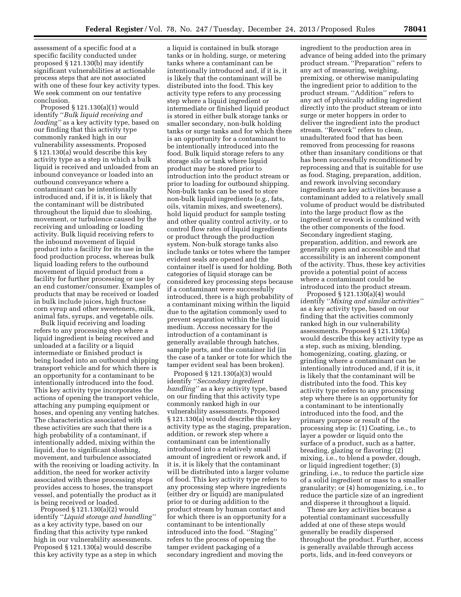assessment of a specific food at a specific facility conducted under proposed § 121.130(b) may identify significant vulnerabilities at actionable process steps that are not associated with one of these four key activity types. We seek comment on our tentative conclusion.

Proposed § 121.130(a)(1) would identify ''*Bulk liquid receiving and loading''* as a key activity type, based on our finding that this activity type commonly ranked high in our vulnerability assessments. Proposed § 121.130(a) would describe this key activity type as a step in which a bulk liquid is received and unloaded from an inbound conveyance or loaded into an outbound conveyance where a contaminant can be intentionally introduced and, if it is, it is likely that the contaminant will be distributed throughout the liquid due to sloshing, movement, or turbulence caused by the receiving and unloading or loading activity. Bulk liquid receiving refers to the inbound movement of liquid product into a facility for its use in the food production process, whereas bulk liquid loading refers to the outbound movement of liquid product from a facility for further processing or use by an end customer/consumer. Examples of products that may be received or loaded in bulk include juices, high fructose corn syrup and other sweeteners, milk, animal fats, syrups, and vegetable oils.

Bulk liquid receiving and loading refers to any processing step where a liquid ingredient is being received and unloaded at a facility or a liquid intermediate or finished product is being loaded into an outbound shipping transport vehicle and for which there is an opportunity for a contaminant to be intentionally introduced into the food. This key activity type incorporates the actions of opening the transport vehicle, attaching any pumping equipment or hoses, and opening any venting hatches. The characteristics associated with these activities are such that there is a high probability of a contaminant, if intentionally added, mixing within the liquid, due to significant sloshing, movement, and turbulence associated with the receiving or loading activity. In addition, the need for worker activity associated with these processing steps provides access to hoses, the transport vessel, and potentially the product as it is being received or loaded.

Proposed § 121.130(a)(2) would identify ''*Liquid storage and handling''*  as a key activity type, based on our finding that this activity type ranked high in our vulnerability assessments. Proposed § 121.130(a) would describe this key activity type as a step in which

a liquid is contained in bulk storage tanks or in holding, surge, or metering tanks where a contaminant can be intentionally introduced and, if it is, it is likely that the contaminant will be distributed into the food. This key activity type refers to any processing step where a liquid ingredient or intermediate or finished liquid product is stored in either bulk storage tanks or smaller secondary, non-bulk holding tanks or surge tanks and for which there is an opportunity for a contaminant to be intentionally introduced into the food. Bulk liquid storage refers to any storage silo or tank where liquid product may be stored prior to introduction into the product stream or prior to loading for outbound shipping. Non-bulk tanks can be used to store non-bulk liquid ingredients (e.g., fats, oils, vitamin mixes, and sweeteners), hold liquid product for sample testing and other quality control activity, or to control flow rates of liquid ingredients or product through the production system. Non-bulk storage tanks also include tanks or totes where the tamper evident seals are opened and the container itself is used for holding. Both categories of liquid storage can be considered key processing steps because if a contaminant were successfully introduced, there is a high probability of a contaminant mixing within the liquid due to the agitation commonly used to prevent separation within the liquid medium. Access necessary for the introduction of a contaminant is generally available through hatches, sample ports, and the container lid (in the case of a tanker or tote for which the tamper evident seal has been broken).

Proposed § 121.130(a)(3) would identify ''*Secondary ingredient handling''* as a key activity type, based on our finding that this activity type commonly ranked high in our vulnerability assessments. Proposed § 121.130(a) would describe this key activity type as the staging, preparation, addition, or rework step where a contaminant can be intentionally introduced into a relatively small amount of ingredient or rework and, if it is, it is likely that the contaminant will be distributed into a larger volume of food. This key activity type refers to any processing step where ingredients (either dry or liquid) are manipulated prior to or during addition to the product stream by human contact and for which there is an opportunity for a contaminant to be intentionally introduced into the food. ''Staging'' refers to the process of opening the tamper evident packaging of a secondary ingredient and moving the

ingredient to the production area in advance of being added into the primary product stream. ''Preparation'' refers to any act of measuring, weighing, premixing, or otherwise manipulating the ingredient prior to addition to the product stream. ''Addition'' refers to any act of physically adding ingredient directly into the product stream or into surge or meter hoppers in order to deliver the ingredient into the product stream. ''Rework'' refers to clean, unadulterated food that has been removed from processing for reasons other than insanitary conditions or that has been successfully reconditioned by reprocessing and that is suitable for use as food. Staging, preparation, addition, and rework involving secondary ingredients are key activities because a contaminant added to a relatively small volume of product would be distributed into the large product flow as the ingredient or rework is combined with the other components of the food. Secondary ingredient staging, preparation, addition, and rework are generally open and accessible and that accessibility is an inherent component of the activity. Thus, these key activities provide a potential point of access where a contaminant could be introduced into the product stream.

Proposed § 121.130(a)(4) would identify ''*Mixing and similar activities''*  as a key activity type, based on our finding that the activities commonly ranked high in our vulnerability assessments. Proposed § 121.130(a) would describe this key activity type as a step, such as mixing, blending, homogenizing, coating, glazing, or grinding where a contaminant can be intentionally introduced and, if it is, it is likely that the contaminant will be distributed into the food. This key activity type refers to any processing step where there is an opportunity for a contaminant to be intentionally introduced into the food, and the primary purpose or result of the processing step is: (1) Coating, i.e., to layer a powder or liquid onto the surface of a product, such as a batter, breading, glazing or flavoring; (2) mixing, i.e., to blend a powder, dough, or liquid ingredient together; (3) grinding, i.e., to reduce the particle size of a solid ingredient or mass to a smaller granularity; or (4) homogenizing, i.e., to reduce the particle size of an ingredient and disperse it throughout a liquid.

These are key activities because a potential contaminant successfully added at one of these steps would generally be readily dispersed throughout the product. Further, access is generally available through access ports, lids, and in-feed conveyors or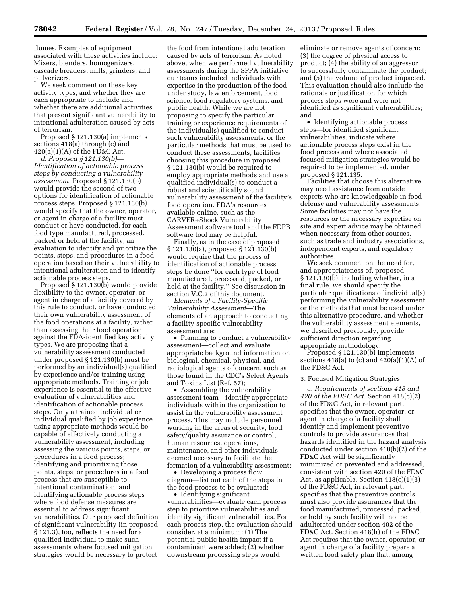flumes. Examples of equipment associated with these activities include: Mixers, blenders, homogenizers, cascade breaders, mills, grinders, and pulverizers.

We seek comment on these key activity types, and whether they are each appropriate to include and whether there are additional activities that present significant vulnerability to intentional adulteration caused by acts of terrorism.

Proposed § 121.130(a) implements sections 418(a) through (c) and  $420(a)(1)(A)$  of the FD&C Act.

*d. Proposed § 121.130(b)— Identification of actionable process steps by conducting a vulnerability assessment.* Proposed § 121.130(b) would provide the second of two options for identification of actionable process steps. Proposed § 121.130(b) would specify that the owner, operator, or agent in charge of a facility must conduct or have conducted, for each food type manufactured, processed, packed or held at the facility, an evaluation to identify and prioritize the points, steps, and procedures in a food operation based on their vulnerability to intentional adulteration and to identify actionable process steps.

Proposed § 121.130(b) would provide flexibility to the owner, operator, or agent in charge of a facility covered by this rule to conduct, or have conducted, their own vulnerability assessment of the food operations at a facility, rather than assessing their food operation against the FDA-identified key activity types. We are proposing that a vulnerability assessment conducted under proposed § 121.130(b) must be performed by an individual(s) qualified by experience and/or training using appropriate methods. Training or job experience is essential to the effective evaluation of vulnerabilities and identification of actionable process steps. Only a trained individual or individual qualified by job experience using appropriate methods would be capable of effectively conducting a vulnerability assessment, including assessing the various points, steps, or procedures in a food process; identifying and prioritizing those points, steps, or procedures in a food process that are susceptible to intentional contamination; and identifying actionable process steps where food defense measures are essential to address significant vulnerabilities. Our proposed definition of significant vulnerability (in proposed § 121.3), too, reflects the need for a qualified individual to make such assessments where focused mitigation strategies would be necessary to protect

the food from intentional adulteration caused by acts of terrorism. As noted above, when we performed vulnerability assessments during the SPPA initiative our teams included individuals with expertise in the production of the food under study, law enforcement, food science, food regulatory systems, and public health. While we are not proposing to specify the particular training or experience requirements of the individual(s) qualified to conduct such vulnerability assessments, or the particular methods that must be used to conduct these assessments, facilities choosing this procedure in proposed § 121.130(b) would be required to employ appropriate methods and use a qualified individual(s) to conduct a robust and scientifically sound vulnerability assessment of the facility's food operation. FDA's resources available online, such as the CARVER+Shock Vulnerability Assessment software tool and the FDPB software tool may be helpful.

Finally, as in the case of proposed § 121.130(a), proposed § 121.130(b) would require that the process of identification of actionable process steps be done ''for each type of food manufactured, processed, packed, or held at the facility.'' See discussion in section V.C.2 of this document.

*Elements of a Facility-Specific Vulnerability Assessment*—The elements of an approach to conducting a facility-specific vulnerability assessment are:

• Planning to conduct a vulnerability assessment—collect and evaluate appropriate background information on biological, chemical, physical, and radiological agents of concern, such as those found in the CDC's Select Agents and Toxins List (Ref. 57);

• Assembling the vulnerability assessment team—identify appropriate individuals within the organization to assist in the vulnerability assessment process. This may include personnel working in the areas of security, food safety/quality assurance or control, human resources, operations, maintenance, and other individuals deemed necessary to facilitate the formation of a vulnerability assessment;

• Developing a process flow diagram—list out each of the steps in the food process to be evaluated;

• Identifying significant vulnerabilities—evaluate each process step to prioritize vulnerabilities and identify significant vulnerabilities. For each process step, the evaluation should consider, at a minimum: (1) The potential public health impact if a contaminant were added; (2) whether downstream processing steps would

eliminate or remove agents of concern; (3) the degree of physical access to product; (4) the ability of an aggressor to successfully contaminate the product; and (5) the volume of product impacted. This evaluation should also include the rationale or justification for which process steps were and were not identified as significant vulnerabilities; and

• Identifying actionable process steps—for identified significant vulnerabilities, indicate where actionable process steps exist in the food process and where associated focused mitigation strategies would be required to be implemented, under proposed § 121.135.

Facilities that choose this alternative may need assistance from outside experts who are knowledgeable in food defense and vulnerability assessments. Some facilities may not have the resources or the necessary expertise on site and expert advice may be obtained when necessary from other sources, such as trade and industry associations, independent experts, and regulatory authorities.

We seek comment on the need for, and appropriateness of, proposed § 121.130(b), including whether, in a final rule, we should specify the particular qualifications of individual(s) performing the vulnerability assessment or the methods that must be used under this alternative procedure, and whether the vulnerability assessment elements, we described previously, provide sufficient direction regarding appropriate methodology.

Proposed § 121.130(b) implements sections  $418(a)$  to (c) and  $420(a)(1)(A)$  of the FD&C Act.

#### 3. Focused Mitigation Strategies

*a. Requirements of sections 418 and 420 of the FD&C Act.* Section 418(c)(2) of the FD&C Act, in relevant part, specifies that the owner, operator, or agent in charge of a facility shall identify and implement preventive controls to provide assurances that hazards identified in the hazard analysis conducted under section 418(b)(2) of the FD&C Act will be significantly minimized or prevented and addressed, consistent with section 420 of the FD&C Act, as applicable. Section 418(c)(1)(3) of the FD&C Act, in relevant part, specifies that the preventive controls must also provide assurances that the food manufactured, processed, packed, or held by such facility will not be adulterated under section 402 of the FD&C Act. Section 418(h) of the FD&C Act requires that the owner, operator, or agent in charge of a facility prepare a written food safety plan that, among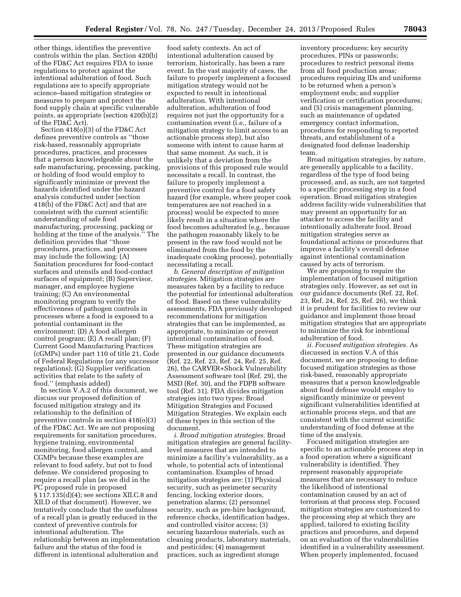other things, identifies the preventive controls within the plan. Section 420(b) of the FD&C Act requires FDA to issue regulations to protect against the intentional adulteration of food. Such regulations are to specify appropriate science–based mitigation strategies or measures to prepare and protect the food supply chain at specific vulnerable points, as appropriate (section 420(b)(2) of the FD&C Act).

Section 418(o)(3) of the FD&C Act defines preventive controls as ''those risk-based, reasonably appropriate procedures, practices, and processes that a person knowledgeable about the safe manufacturing, processing, packing, or holding of food would employ to significantly minimize or prevent the hazards identified under the hazard analysis conducted under [section 418(b) of the FD&C Act] and that are consistent with the current scientific understanding of safe food manufacturing, processing, packing or holding at the time of the analysis.'' The definition provides that ''those procedures, practices, and processes may include the following: (A) Sanitation procedures for food-contact surfaces and utensils and food-contact surfaces of equipment; (B) Supervisor, manager, and employee hygiene training; (C) An environmental monitoring program to verify the effectiveness of pathogen controls in processes where a food is exposed to a potential contaminant in the environment; (D) A food allergen control program; (E) A recall plan; (F) Current Good Manufacturing Practices (cGMPs) under part 110 of title 21, Code of Federal Regulations (or any successor regulations); (G) Supplier verification activities that relate to the safety of food.'' (emphasis added)

In section V.A.2 of this document, we discuss our proposed definition of focused mitigation strategy and its relationship to the definition of preventive controls in section 418(o)(3) of the FD&C Act. We are not proposing requirements for sanitation procedures, hygiene training, environmental monitoring, food allergen control, and CGMPs because these examples are relevant to food safety, but not to food defense. We considered proposing to require a recall plan (as we did in the PC proposed rule in proposed § 117.135(d)(4); see sections XII.C.8 and XII.D of that document). However, we tentatively conclude that the usefulness of a recall plan is greatly reduced in the context of preventive controls for intentional adulteration. The relationship between an implementation failure and the status of the food is different in intentional adulteration and

food safety contexts. An act of intentional adulteration caused by terrorism, historically, has been a rare event. In the vast majority of cases, the failure to properly implement a focused mitigation strategy would not be expected to result in intentional adulteration. With intentional adulteration, adulteration of food requires not just the opportunity for a contamination event (i.e., failure of a mitigation strategy to limit access to an actionable process step), but also someone with intent to cause harm at that same moment. As such, it is unlikely that a deviation from the provisions of this proposed rule would necessitate a recall. In contrast, the failure to properly implement a preventive control for a food safety hazard (for example, where proper cook temperatures are not reached in a process) would be expected to more likely result in a situation where the food becomes adulterated (e.g., because the pathogen reasonably likely to be present in the raw food would not be eliminated from the food by the inadequate cooking process), potentially necessitating a recall.

*b. General description of mitigation strategies.* Mitigation strategies are measures taken by a facility to reduce the potential for intentional adulteration of food. Based on these vulnerability assessments, FDA previously developed recommendations for mitigation strategies that can be implemented, as appropriate, to minimize or prevent intentional contamination of food. These mitigation strategies are presented in our guidance documents (Ref. 22, Ref. 23, Ref. 24, Ref. 25, Ref. 26), the CARVER+Shock Vulnerability Assessment software tool (Ref. 29), the MSD (Ref. 30), and the FDPB software tool (Ref. 31). FDA divides mitigation strategies into two types: Broad Mitigation Strategies and Focused Mitigation Strategies. We explain each of these types in this section of the document.

*i. Broad mitigation strategies.* Broad mitigation strategies are general facilitylevel measures that are intended to minimize a facility's vulnerability, as a whole, to potential acts of intentional contamination. Examples of broad mitigation strategies are: (1) Physical security, such as perimeter security fencing, locking exterior doors, penetration alarms; (2) personnel security, such as pre-hire background, reference checks, identification badges, and controlled visitor access; (3) securing hazardous materials, such as cleaning products, laboratory materials, and pesticides; (4) management practices, such as ingredient storage

inventory procedures; key security procedures, PINs or passwords; procedures to restrict personal items from all food production areas; procedures requiring IDs and uniforms to be returned when a person's employment ends; and supplier verification or certification procedures; and (5) crisis management planning, such as maintenance of updated emergency contact information, procedures for responding to reported threats, and establishment of a designated food defense leadership team.

Broad mitigation strategies, by nature, are generally applicable to a facility, regardless of the type of food being processed, and, as such, are not targeted to a specific processing step in a food operation. Broad mitigation strategies address facility-wide vulnerabilities that may present an opportunity for an attacker to access the facility and intentionally adulterate food. Broad mitigation strategies serve as foundational actions or procedures that improve a facility's overall defense against intentional contamination caused by acts of terrorism.

We are proposing to require the implementation of focused mitigation strategies only. However, as set out in our guidance documents (Ref. 22, Ref. 23, Ref. 24, Ref. 25, Ref. 26), we think it is prudent for facilities to review our guidance and implement those broad mitigation strategies that are appropriate to minimize the risk for intentional adulteration of food.

*ii. Focused mitigation strategies.* As discussed in section V.A of this document, we are proposing to define focused mitigation strategies as those risk-based, reasonably appropriate measures that a person knowledgeable about food defense would employ to significantly minimize or prevent significant vulnerabilities identified at actionable process steps, and that are consistent with the current scientific understanding of food defense at the time of the analysis.

Focused mitigation strategies are specific to an actionable process step in a food operation where a significant vulnerability is identified. They represent reasonably appropriate measures that are necessary to reduce the likelihood of intentional contamination caused by an act of terrorism at that process step. Focused mitigation strategies are customized to the processing step at which they are applied, tailored to existing facility practices and procedures, and depend on an evaluation of the vulnerabilities identified in a vulnerability assessment. When properly implemented, focused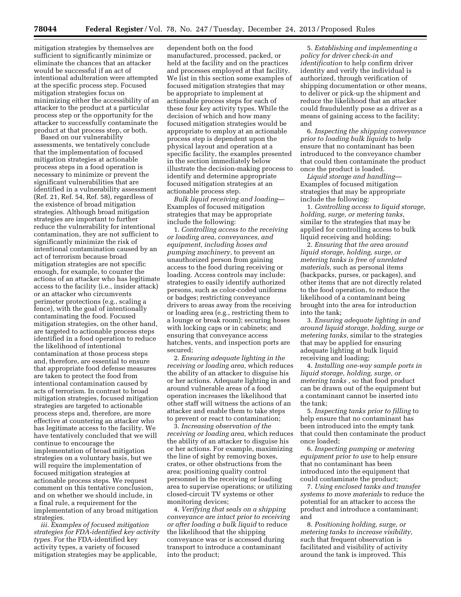mitigation strategies by themselves are sufficient to significantly minimize or eliminate the chances that an attacker would be successful if an act of intentional adulteration were attempted at the specific process step. Focused mitigation strategies focus on minimizing either the accessibility of an attacker to the product at a particular process step or the opportunity for the attacker to successfully contaminate the product at that process step, or both.

Based on our vulnerability assessments, we tentatively conclude that the implementation of focused mitigation strategies at actionable process steps in a food operation is necessary to minimize or prevent the significant vulnerabilities that are identified in a vulnerability assessment (Ref. 21, Ref. 54, Ref. 58), regardless of the existence of broad mitigation strategies. Although broad mitigation strategies are important to further reduce the vulnerability for intentional contamination, they are not sufficient to significantly minimize the risk of intentional contamination caused by an act of terrorism because broad mitigation strategies are not specific enough, for example, to counter the actions of an attacker who has legitimate access to the facility (i.e., insider attack) or an attacker who circumvents perimeter protections (e.g., scaling a fence), with the goal of intentionally contaminating the food. Focused mitigation strategies, on the other hand, are targeted to actionable process steps identified in a food operation to reduce the likelihood of intentional contamination at those process steps and, therefore, are essential to ensure that appropriate food defense measures are taken to protect the food from intentional contamination caused by acts of terrorism. In contrast to broad mitigation strategies, focused mitigation strategies are targeted to actionable process steps and, therefore, are more effective at countering an attacker who has legitimate access to the facility. We have tentatively concluded that we will continue to encourage the implementation of broad mitigation strategies on a voluntary basis, but we will require the implementation of focused mitigation strategies at actionable process steps. We request comment on this tentative conclusion, and on whether we should include, in a final rule, a requirement for the implementation of any broad mitigation strategies.

*iii. Examples of focused mitigation strategies for FDA-identified key activity types.* For the FDA-identified key activity types, a variety of focused mitigation strategies may be applicable,

dependent both on the food manufactured, processed, packed, or held at the facility and on the practices and processes employed at that facility. We list in this section some examples of focused mitigation strategies that may be appropriate to implement at actionable process steps for each of these four key activity types. While the decision of which and how many focused mitigation strategies would be appropriate to employ at an actionable process step is dependent upon the physical layout and operation at a specific facility, the examples presented in the section immediately below illustrate the decision-making process to identify and determine appropriate focused mitigation strategies at an actionable process step.

*Bulk liquid receiving and loading*— Examples of focused mitigation strategies that may be appropriate include the following:

1. *Controlling access to the receiving or loading area, conveyances, and equipment, including hoses and pumping machinery,* to prevent an unauthorized person from gaining access to the food during receiving or loading. Access controls may include: strategies to easily identify authorized persons, such as color-coded uniforms or badges; restricting conveyance drivers to areas away from the receiving or loading area (e.g., restricting them to a lounge or break room); securing hoses with locking caps or in cabinets; and ensuring that conveyance access hatches, vents, and inspection ports are secured;

2. *Ensuring adequate lighting in the receiving or loading area,* which reduces the ability of an attacker to disguise his or her actions. Adequate lighting in and around vulnerable areas of a food operation increases the likelihood that other staff will witness the actions of an attacker and enable them to take steps to prevent or react to contamination;

3. *Increasing observation of the receiving or loading area,* which reduces the ability of an attacker to disguise his or her actions. For example, maximizing the line of sight by removing boxes, crates, or other obstructions from the area; positioning quality control personnel in the receiving or loading area to supervise operations; or utilizing closed-circuit TV systems or other monitoring devices;

4. *Verifying that seals on a shipping conveyance are intact prior to receiving or after loading a bulk liquid* to reduce the likelihood that the shipping conveyance was or is accessed during transport to introduce a contaminant into the product;

5. *Establishing and implementing a policy for driver check-in and identification* to help confirm driver identity and verify the individual is authorized, through verification of shipping documentation or other means, to deliver or pick-up the shipment and reduce the likelihood that an attacker could fraudulently pose as a driver as a means of gaining access to the facility; and

6. *Inspecting the shipping conveyance prior to loading bulk liquids* to help ensure that no contaminant has been introduced to the conveyance chamber that could then contaminate the product once the product is loaded.

*Liquid storage and handling*— Examples of focused mitigation strategies that may be appropriate include the following:

1. *Controlling access to liquid storage, holding, surge, or metering tanks,*  similar to the strategies that may be applied for controlling access to bulk liquid receiving and holding;

2. *Ensuring that the area around liquid storage, holding, surge, or metering tanks is free of unrelated materials,* such as personal items (backpacks, purses, or packages), and other items that are not directly related to the food operation, to reduce the likelihood of a contaminant being brought into the area for introduction into the tank;

3. *Ensuring adequate lighting in and around liquid storage, holding, surge or metering tanks,* similar to the strategies that may be applied for ensuring adequate lighting at bulk liquid receiving and loading;

4. *Installing one-way sample ports in liquid storage, holding, surge, or metering tanks* , so that food product can be drawn out of the equipment but a contaminant cannot be inserted into the tank;

5. *Inspecting tanks prior to filling* to help ensure that no contaminant has been introduced into the empty tank that could then contaminate the product once loaded;

6. *Inspecting pumping or metering equipment prior to use* to help ensure that no contaminant has been introduced into the equipment that could contaminate the product;

7. *Using enclosed tanks and transfer systems to move materials* to reduce the potential for an attacker to access the product and introduce a contaminant; and

8. *Positioning holding, surge, or metering tanks to increase visibility,*  such that frequent observation is facilitated and visibility of activity around the tank is improved. This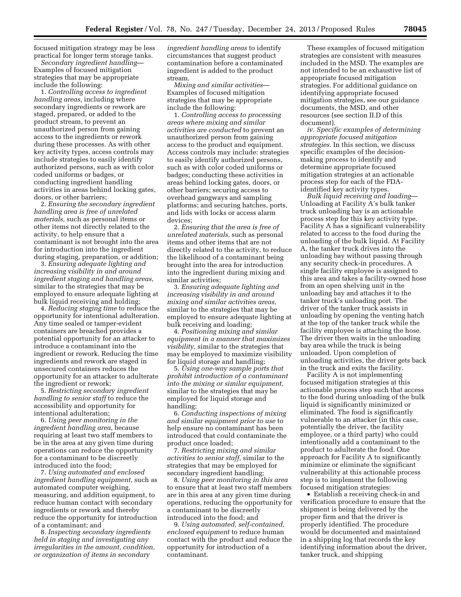focused mitigation strategy may be less practical for longer term storage tanks.

*Secondary ingredient handling*— Examples of focused mitigation strategies that may be appropriate include the following:

1. *Controlling access to ingredient handling areas,* including where secondary ingredients or rework are staged, prepared, or added to the product stream, to prevent an unauthorized person from gaining access to the ingredients or rework during these processes. As with other key activity types, access controls may include strategies to easily identify authorized persons, such as with color coded uniforms or badges, or conducting ingredient handling activities in areas behind locking gates, doors, or other barriers;

2. *Ensuring the secondary ingredient handling area is free of unrelated materials,* such as personal items or other items not directly related to the activity, to help ensure that a contaminant is not brought into the area for introduction into the ingredient during staging, preparation, or addition;

3. *Ensuring adequate lighting and increasing visibility in and around ingredient staging and handling areas,*  similar to the strategies that may be employed to ensure adequate lighting at bulk liquid receiving and holding;

4. *Reducing staging time* to reduce the opportunity for intentional adulteration. Any time sealed or tamper-evident containers are breached provides a potential opportunity for an attacker to introduce a contaminant into the ingredient or rework. Reducing the time ingredients and rework are staged in unsecured containers reduces the opportunity for an attacker to adulterate the ingredient or rework;

5. *Restricting secondary ingredient handling to senior staff* to reduce the accessibility and opportunity for intentional adulteration;

6. *Using peer monitoring in the ingredient handling area,* because requiring at least two staff members to be in the area at any given time during operations can reduce the opportunity for a contaminant to be discreetly introduced into the food;

7. *Using automated and enclosed ingredient handling equipment,* such as automated computer weighing, measuring, and addition equipment, to reduce human contact with secondary ingredients or rework and thereby reduce the opportunity for introduction of a contaminant; and

8. *Inspecting secondary ingredients held in staging and investigating any irregularities in the amount, condition, or organization of items in secondary* 

*ingredient handling areas* to identify circumstances that suggest product contamination before a contaminated ingredient is added to the product stream.

*Mixing and similar activities*— Examples of focused mitigation strategies that may be appropriate include the following:

1. *Controlling access to processing areas where mixing and similar activities are conducted* to prevent an unauthorized person from gaining access to the product and equipment. Access controls may include: strategies to easily identify authorized persons, such as with color coded uniforms or badges; conducting these activities in areas behind locking gates, doors, or other barriers; securing access to overhead gangways and sampling platforms; and securing hatches, ports, and lids with locks or access alarm devices;

2. *Ensuring that the area is free of unrelated materials,* such as personal items and other items that are not directly related to the activity, to reduce the likelihood of a contaminant being brought into the area for introduction into the ingredient during mixing and similar activities;

3. *Ensuring adequate lighting and increasing visibility in and around mixing and similar activities areas,*  similar to the strategies that may be employed to ensure adequate lighting at bulk receiving and loading;

4. *Positioning mixing and similar equipment in a manner that maximizes visibility,* similar to the strategies that may be employed to maximize visibility for liquid storage and handling;

5. *Using one-way sample ports that prohibit introduction of a contaminant into the mixing or similar equipment,*  similar to the strategies that may be employed for liquid storage and handling;

6. *Conducting inspections of mixing and similar equipment prior to use* to help ensure no contaminant has been introduced that could contaminate the product once loaded;

7. *Restricting mixing and similar activities to senior staff,* similar to the strategies that may be employed for secondary ingredient handling;

8. *Using peer monitoring in this area*  to ensure that at least two staff members are in this area at any given time during operations, reducing the opportunity for a contaminant to be discreetly introduced into the food; and

9. *Using automated, self-contained, enclosed equipment* to reduce human contact with the product and reduce the opportunity for introduction of a contaminant.

These examples of focused mitigation strategies are consistent with measures included in the MSD. The examples are not intended to be an exhaustive list of appropriate focused mitigation strategies. For additional guidance on identifying appropriate focused mitigation strategies, see our guidance documents, the MSD, and other resources (see section II.D of this document).

*iv. Specific examples of determining appropriate focused mitigation strategies.* In this section, we discuss specific examples of the decisionmaking process to identify and determine appropriate focused mitigation strategies at an actionable process step for each of the FDAidentified key activity types.

*Bulk liquid receiving and loading*— Unloading at Facility A's bulk tanker truck unloading bay is an actionable process step for this key activity type. Facility A has a significant vulnerability related to access to the food during the unloading of the bulk liquid. At Facility A, the tanker truck drives into the unloading bay without passing through any security check-in procedures. A single facility employee is assigned to this area and takes a facility-owned hose from an open shelving unit in the unloading bay and attaches it to the tanker truck's unloading port. The driver of the tanker truck assists in unloading by opening the venting hatch at the top of the tanker truck while the facility employee is attaching the hose. The driver then waits in the unloading bay area while the truck is being unloaded. Upon completion of unloading activities, the driver gets back in the truck and exits the facility.

Facility A is not implementing focused mitigation strategies at this actionable process step such that access to the food during unloading of the bulk liquid is significantly minimized or eliminated. The food is significantly vulnerable to an attacker (in this case, potentially the driver, the facility employee, or a third party) who could intentionally add a contaminant to the product to adulterate the food. One approach for Facility A to significantly minimize or eliminate the significant vulnerability at this actionable process step is to implement the following focused mitigation strategies:

• Establish a receiving check-in and verification procedure to ensure that the shipment is being delivered by the proper firm and that the driver is properly identified. The procedure would be documented and maintained in a shipping log that records the key identifying information about the driver, tanker truck, and shipping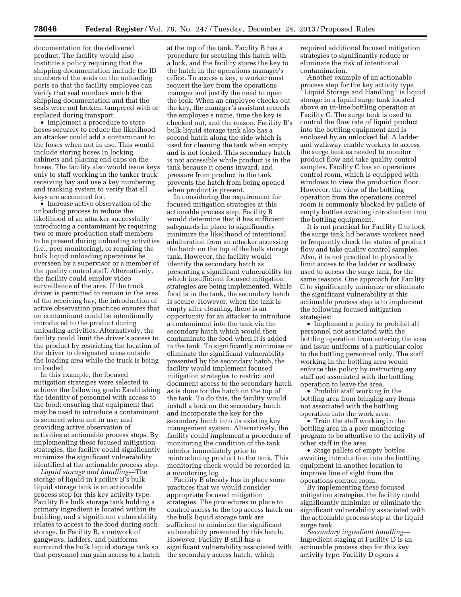documentation for the delivered product. The facility would also institute a policy requiring that the shipping documentation include the ID numbers of the seals on the unloading ports so that the facility employee can verify that seal numbers match the shipping documentation and that the seals were not broken, tampered with or replaced during transport.

• Implement a procedure to store hoses securely to reduce the likelihood an attacker could add a contaminant to the hoses when not in use. This would include storing hoses in locking cabinets and placing end caps on the hoses. The facility also would issue keys only to staff working in the tanker truck receiving bay and use a key numbering and tracking system to verify that all keys are accounted for.

• Increase active observation of the unloading process to reduce the likelihood of an attacker successfully introducing a contaminant by requiring two or more production staff members to be present during unloading activities (i.e., peer monitoring), or requiring the bulk liquid unloading operations be overseen by a supervisor or a member of the quality control staff. Alternatively, the facility could employ video surveillance of the area. If the truck driver is permitted to remain in the area of the receiving bay, the introduction of active observation practices ensures that no contaminant could be intentionally introduced to the product during unloading activities. Alternatively, the facility could limit the driver's access to the product by restricting the location of the driver to designated areas outside the loading area while the truck is being unloaded.

In this example, the focused mitigation strategies were selected to achieve the following goals: Establishing the identity of personnel with access to the food; ensuring that equipment that may be used to introduce a contaminant is secured when not in use; and providing active observation of activities at actionable process steps. By implementing these focused mitigation strategies, the facility could significantly minimize the significant vulnerability identified at the actionable process step.

*Liquid storage and handling—*The storage of liquid in Facility B's bulk liquid storage tank is an actionable process step for this key activity type. Facility B's bulk storage tank holding a primary ingredient is located within its building, and a significant vulnerability relates to access to the food during such storage. In Facility B, a network of gangways, ladders, and platforms surround the bulk liquid storage tank so that personnel can gain access to a hatch

at the top of the tank. Facility B has a procedure for securing this hatch with a lock, and the facility stores the key to the hatch in the operations manager's office. To access a key, a worker must request the key from the operations manager and justify the need to open the lock. When an employee checks out the key, the manager's assistant records the employee's name, time the key is checked out, and the reason. Facility B's bulk liquid storage tank also has a second hatch along the side which is used for cleaning the tank when empty and is not locked. This secondary hatch is not accessible while product is in the tank because it opens inward, and pressure from product in the tank prevents the hatch from being opened when product is present.

In considering the requirement for focused mitigation strategies at this actionable process step, Facility B would determine that it has sufficient safeguards in place to significantly minimize the likelihood of intentional adulteration from an attacker accessing the hatch on the top of the bulk storage tank. However, the facility would identify the secondary hatch as presenting a significant vulnerability for which insufficient focused mitigation strategies are being implemented. While food is in the tank, the secondary hatch is secure. However, when the tank is empty after cleaning, there is an opportunity for an attacker to introduce a contaminant into the tank via the secondary hatch which would then contaminate the food when it is added to the tank. To significantly minimize or eliminate the significant vulnerability presented by the secondary hatch, the facility would implement focused mitigation strategies to restrict and document access to the secondary hatch as is done for the hatch on the top of the tank. To do this, the facility would install a lock on the secondary hatch and incorporate the key for the secondary hatch into its existing key management system. Alternatively, the facility could implement a procedure of monitoring the condition of the tank interior immediately prior to reintroducing product to the tank. This monitoring check would be recorded in a monitoring log.

Facility B already has in place some practices that we would consider appropriate focused mitigation strategies. The procedures in place to control access to the top access hatch on the bulk liquid storage tank are sufficient to minimize the significant vulnerability presented by this hatch. However, Facility B still has a significant vulnerability associated with the secondary access hatch, which

required additional focused mitigation strategies to significantly reduce or eliminate the risk of intentional contamination.

Another example of an actionable process step for the key activity type ''Liquid Storage and Handling'' is liquid storage in a liquid surge tank located above an in-line bottling operation at Facility C. The surge tank is used to control the flow rate of liquid product into the bottling equipment and is enclosed by an unlocked lid. A ladder and walkway enable workers to access the surge tank as needed to monitor product flow and take quality control samples. Facility C has an operations control room, which is equipped with windows to view the production floor. However, the view of the bottling operation from the operations control room is commonly blocked by pallets of empty bottles awaiting introduction into the bottling equipment.

It is not practical for Facility C to lock the surge tank lid because workers need to frequently check the status of product flow and take quality control samples. Also, it is not practical to physically limit access to the ladder or walkway used to access the surge tank, for the same reasons. One approach for Facility C to significantly minimize or eliminate the significant vulnerability at this actionable process step is to implement the following focused mitigation strategies:

• Implement a policy to prohibit all personnel not associated with the bottling operation from entering the area and issue uniforms of a particular color to the bottling personnel only. The staff working in the bottling area would enforce this policy by instructing any staff not associated with the bottling operation to leave the area.

• Prohibit staff working in the bottling area from bringing any items not associated with the bottling operation into the work area.

• Train the staff working in the bottling area in a peer monitoring program to be attentive to the activity of other staff in the area.

• Stage pallets of empty bottles awaiting introduction into the bottling equipment in another location to improve line of sight from the operations control room.

By implementing these focused mitigation strategies, the facility could significantly minimize or eliminate the significant vulnerability associated with the actionable process step at the liquid surge tank.

*Secondary ingredient handling—*  Ingredient staging at Facility D is an actionable process step for this key activity type. Facility D opens a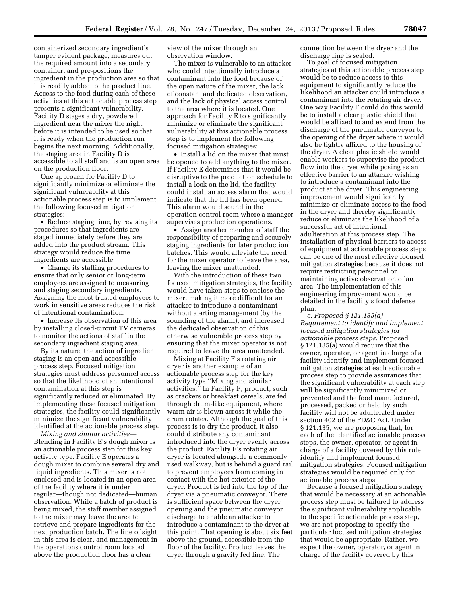containerized secondary ingredient's tamper evident package, measures out the required amount into a secondary container, and pre-positions the ingredient in the production area so that it is readily added to the product line. Access to the food during each of these activities at this actionable process step presents a significant vulnerability. Facility D stages a dry, powdered ingredient near the mixer the night before it is intended to be used so that it is ready when the production run begins the next morning. Additionally, the staging area in Facility D is accessible to all staff and is an open area on the production floor.

One approach for Facility D to significantly minimize or eliminate the significant vulnerability at this actionable process step is to implement the following focused mitigation strategies:

• Reduce staging time, by revising its procedures so that ingredients are staged immediately before they are added into the product stream. This strategy would reduce the time ingredients are accessible.

• Change its staffing procedures to ensure that only senior or long-term employees are assigned to measuring and staging secondary ingredients. Assigning the most trusted employees to work in sensitive areas reduces the risk of intentional contamination.

• Increase its observation of this area by installing closed-circuit TV cameras to monitor the actions of staff in the secondary ingredient staging area.

By its nature, the action of ingredient staging is an open and accessible process step. Focused mitigation strategies must address personnel access so that the likelihood of an intentional contamination at this step is significantly reduced or eliminated. By implementing these focused mitigation strategies, the facility could significantly minimize the significant vulnerability identified at the actionable process step.

*Mixing and similar activities—*  Blending in Facility E's dough mixer is an actionable process step for this key activity type. Facility E operates a dough mixer to combine several dry and liquid ingredients. This mixer is not enclosed and is located in an open area of the facility where it is under regular—though not dedicated—human observation. While a batch of product is being mixed, the staff member assigned to the mixer may leave the area to retrieve and prepare ingredients for the next production batch. The line of sight in this area is clear, and management in the operations control room located above the production floor has a clear

view of the mixer through an observation window.

The mixer is vulnerable to an attacker who could intentionally introduce a contaminant into the food because of the open nature of the mixer, the lack of constant and dedicated observation, and the lack of physical access control to the area where it is located. One approach for Facility E to significantly minimize or eliminate the significant vulnerability at this actionable process step is to implement the following focused mitigation strategies:

• Install a lid on the mixer that must be opened to add anything to the mixer. If Facility E determines that it would be disruptive to the production schedule to install a lock on the lid, the facility could install an access alarm that would indicate that the lid has been opened. This alarm would sound in the operation control room where a manager supervises production operations.

• Assign another member of staff the responsibility of preparing and securely staging ingredients for later production batches. This would alleviate the need for the mixer operator to leave the area, leaving the mixer unattended.

With the introduction of these two focused mitigation strategies, the facility would have taken steps to enclose the mixer, making it more difficult for an attacker to introduce a contaminant without alerting management (by the sounding of the alarm), and increased the dedicated observation of this otherwise vulnerable process step by ensuring that the mixer operator is not required to leave the area unattended.

Mixing at Facility F's rotating air dryer is another example of an actionable process step for the key activity type ''Mixing and similar activities.'' In Facility F, product, such as crackers or breakfast cereals, are fed through drum-like equipment, where warm air is blown across it while the drum rotates. Although the goal of this process is to dry the product, it also could distribute any contaminant introduced into the dryer evenly across the product. Facility F's rotating air dryer is located alongside a commonly used walkway, but is behind a guard rail to prevent employees from coming in contact with the hot exterior of the dryer. Product is fed into the top of the dryer via a pneumatic conveyor. There is sufficient space between the dryer opening and the pneumatic conveyor discharge to enable an attacker to introduce a contaminant to the dryer at this point. That opening is about six feet above the ground, accessible from the floor of the facility. Product leaves the dryer through a gravity fed line. The

connection between the dryer and the discharge line is sealed.

To goal of focused mitigation strategies at this actionable process step would be to reduce access to this equipment to significantly reduce the likelihood an attacker could introduce a contaminant into the rotating air dryer. One way Facility F could do this would be to install a clear plastic shield that would be affixed to and extend from the discharge of the pneumatic conveyor to the opening of the dryer where it would also be tightly affixed to the housing of the dryer. A clear plastic shield would enable workers to supervise the product flow into the dryer while posing as an effective barrier to an attacker wishing to introduce a contaminant into the product at the dryer. This engineering improvement would significantly minimize or eliminate access to the food in the dryer and thereby significantly reduce or eliminate the likelihood of a successful act of intentional adulteration at this process step. The installation of physical barriers to access of equipment at actionable process steps can be one of the most effective focused mitigation strategies because it does not require restricting personnel or maintaining active observation of an area. The implementation of this engineering improvement would be detailed in the facility's food defense plan.

*c. Proposed § 121.135(a)— Requirement to identify and implement focused mitigation strategies for actionable process steps.* Proposed § 121.135(a) would require that the owner, operator, or agent in charge of a facility identify and implement focused mitigation strategies at each actionable process step to provide assurances that the significant vulnerability at each step will be significantly minimized or prevented and the food manufactured, processed, packed or held by such facility will not be adulterated under section 402 of the FD&C Act. Under § 121.135, we are proposing that, for each of the identified actionable process steps, the owner, operator, or agent in charge of a facility covered by this rule identify and implement focused mitigation strategies. Focused mitigation strategies would be required only for actionable process steps.

Because a focused mitigation strategy that would be necessary at an actionable process step must be tailored to address the significant vulnerability applicable to the specific actionable process step, we are not proposing to specify the particular focused mitigation strategies that would be appropriate. Rather, we expect the owner, operator, or agent in charge of the facility covered by this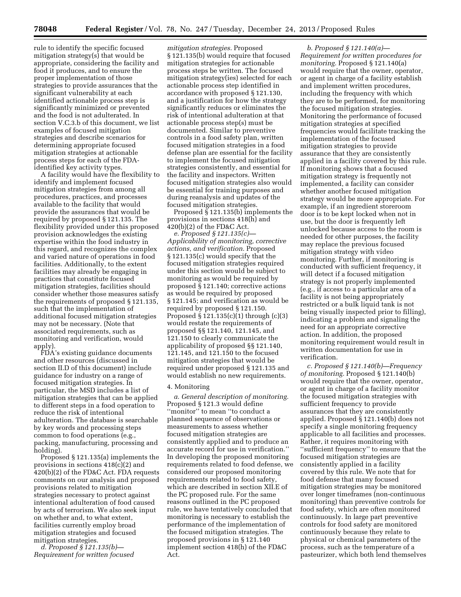rule to identify the specific focused mitigation strategy(s) that would be appropriate, considering the facility and food it produces, and to ensure the proper implementation of those strategies to provide assurances that the significant vulnerability at each identified actionable process step is significantly minimized or prevented and the food is not adulterated. In section V.C.3.b of this document, we list examples of focused mitigation strategies and describe scenarios for determining appropriate focused mitigation strategies at actionable process steps for each of the FDAidentified key activity types.

A facility would have the flexibility to identify and implement focused mitigation strategies from among all procedures, practices, and processes available to the facility that would provide the assurances that would be required by proposed § 121.135. The flexibility provided under this proposed provision acknowledges the existing expertise within the food industry in this regard, and recognizes the complex and varied nature of operations in food facilities. Additionally, to the extent facilities may already be engaging in practices that constitute focused mitigation strategies, facilities should consider whether those measures satisfy the requirements of proposed § 121.135, such that the implementation of additional focused mitigation strategies may not be necessary. (Note that associated requirements, such as monitoring and verification, would apply).

FDA's existing guidance documents and other resources (discussed in section II.D of this document) include guidance for industry on a range of focused mitigation strategies. In particular, the MSD includes a list of mitigation strategies that can be applied to different steps in a food operation to reduce the risk of intentional adulteration. The database is searchable by key words and processing steps common to food operations (e.g., packing, manufacturing, processing and holding).

Proposed § 121.135(a) implements the provisions in sections 418(c)(2) and 420(b)(2) of the FD&C Act. FDA requests comments on our analysis and proposed provisions related to mitigation strategies necessary to protect against intentional adulteration of food caused by acts of terrorism. We also seek input on whether and, to what extent, facilities currently employ broad mitigation strategies and focused mitigation strategies.

*d. Proposed § 121.135(b)— Requirement for written focused* 

*mitigation strategies.* Proposed § 121.135(b) would require that focused mitigation strategies for actionable process steps be written. The focused mitigation strategy(ies) selected for each actionable process step identified in accordance with proposed § 121.130, and a justification for how the strategy significantly reduces or eliminates the risk of intentional adulteration at that actionable process step(s) must be documented. Similar to preventive controls in a food safety plan, written focused mitigation strategies in a food defense plan are essential for the facility to implement the focused mitigation strategies consistently, and essential for the facility and inspectors. Written focused mitigation strategies also would be essential for training purposes and during reanalysis and updates of the focused mitigation strategies.

Proposed § 121.135(b) implements the provisions in sections 418(h) and  $420(b)(2)$  of the FD&C Act.

*e. Proposed § 121.135(c)— Applicability of monitoring, corrective actions, and verification.* Proposed § 121.135(c) would specify that the focused mitigation strategies required under this section would be subject to monitoring as would be required by proposed § 121.140; corrective actions as would be required by proposed § 121.145; and verification as would be required by proposed § 121.150. Proposed § 121.135(c)(1) through (c)(3) would restate the requirements of proposed §§ 121.140, 121.145, and 121.150 to clearly communicate the applicability of proposed §§ 121.140, 121.145, and 121.150 to the focused mitigation strategies that would be required under proposed § 121.135 and would establish no new requirements.

#### 4. Monitoring

*a. General description of monitoring.*  Proposed § 121.3 would define ''monitor'' to mean ''to conduct a planned sequence of observations or measurements to assess whether focused mitigation strategies are consistently applied and to produce an accurate record for use in verification.'' In developing the proposed monitoring requirements related to food defense, we considered our proposed monitoring requirements related to food safety, which are described in section XII.E of the PC proposed rule. For the same reasons outlined in the PC proposed rule, we have tentatively concluded that monitoring is necessary to establish the performance of the implementation of the focused mitigation strategies. The proposed provisions in § 121.140 implement section 418(h) of the FD&C Act.

*b. Proposed § 121.140(a)— Requirement for written procedures for monitoring.* Proposed § 121.140(a) would require that the owner, operator, or agent in charge of a facility establish and implement written procedures, including the frequency with which they are to be performed, for monitoring the focused mitigation strategies. Monitoring the performance of focused mitigation strategies at specified frequencies would facilitate tracking the implementation of the focused mitigation strategies to provide assurance that they are consistently applied in a facility covered by this rule. If monitoring shows that a focused mitigation strategy is frequently not implemented, a facility can consider whether another focused mitigation strategy would be more appropriate. For example, if an ingredient storeroom door is to be kept locked when not in use, but the door is frequently left unlocked because access to the room is needed for other purposes, the facility may replace the previous focused mitigation strategy with video monitoring. Further, if monitoring is conducted with sufficient frequency, it will detect if a focused mitigation strategy is not properly implemented (e.g., if access to a particular area of a facility is not being appropriately restricted or a bulk liquid tank is not being visually inspected prior to filling), indicating a problem and signaling the need for an appropriate corrective action. In addition, the proposed monitoring requirement would result in written documentation for use in verification.

*c. Proposed § 121.140(b)—Frequency of monitoring.* Proposed § 121.140(b) would require that the owner, operator, or agent in charge of a facility monitor the focused mitigation strategies with sufficient frequency to provide assurances that they are consistently applied. Proposed § 121.140(b) does not specify a single monitoring frequency applicable to all facilities and processes. Rather, it requires monitoring with ''sufficient frequency'' to ensure that the focused mitigation strategies are consistently applied in a facility covered by this rule. We note that for food defense that many focused mitigation strategies may be monitored over longer timeframes (non-continuous monitoring) than preventive controls for food safety, which are often monitored continuously. In large part preventive controls for food safety are monitored continuously because they relate to physical or chemical parameters of the process, such as the temperature of a pasteurizer, which both lend themselves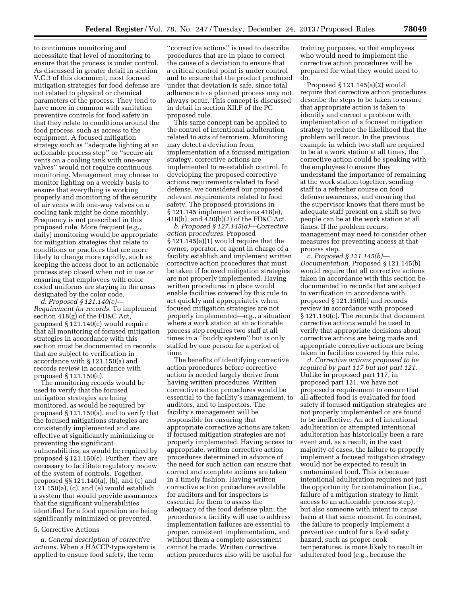to continuous monitoring and necessitate that level of monitoring to ensure that the process is under control. As discussed in greater detail in section V.C.3 of this document, most focused mitigation strategies for food defense are not related to physical or chemical parameters of the process. They tend to have more in common with sanitation preventive controls for food safety in that they relate to conditions around the food process, such as access to the equipment. A focused mitigation strategy such as ''adequate lighting at an actionable process step'' or ''secure air vents on a cooling tank with one-way valves'' would not require continuous monitoring. Management may choose to monitor lighting on a weekly basis to ensure that everything is working properly and monitoring of the security of air vents with one-way valves on a cooling tank might be done monthly. Frequency is not prescribed in this proposed rule. More frequent (e.g., daily) monitoring would be appropriate for mitigation strategies that relate to conditions or practices that are more likely to change more rapidly, such as keeping the access door to an actionable process step closed when not in use or ensuring that employees with color coded uniforms are staying in the areas designated by the color code.

*d. Proposed § 121.140(c)— Requirement for records.* To implement section 418(g) of the FD&C Act, proposed § 121.140(c) would require that all monitoring of focused mitigation strategies in accordance with this section must be documented in records that are subject to verification in accordance with § 121.150(a) and records review in accordance with proposed § 121.150(c).

The monitoring records would be used to verify that the focused mitigation strategies are being monitored, as would be required by proposed § 121.150(a), and to verify that the focused mitigations strategies are consistently implemented and are effective at significantly minimizing or preventing the significant vulnerabilities, as would be required by proposed § 121.150(c). Further, they are necessary to facilitate regulatory review of the system of controls. Together, proposed §§ 121.140(a), (b), and (c) and 121.150(a), (c), and (e) would establish a system that would provide assurances that the significant vulnerabilities identified for a food operation are being significantly minimized or prevented.

# 5. Corrective Actions

*a. General description of corrective actions.* When a HACCP-type system is applied to ensure food safety, the term

''corrective actions'' is used to describe procedures that are in place to correct the cause of a deviation to ensure that a critical control point is under control and to ensure that the product produced under that deviation is safe, since total adherence to a planned process may not always occur. This concept is discussed in detail in section XII.F of the PC proposed rule.

This same concept can be applied to the control of intentional adulteration related to acts of terrorism. Monitoring may detect a deviation from implementation of a focused mitigation strategy; corrective actions are implemented to re-establish control. In developing the proposed corrective actions requirements related to food defense, we considered our proposed relevant requirements related to food safety. The proposed provisions in § 121.145 implement sections 418(e), 418(h), and 420(b)(2) of the FD&C Act.

*b. Proposed § 127.145(a)—Corrective action procedures.* Proposed § 121.145(a)(1) would require that the owner, operator, or agent in charge of a facility establish and implement written corrective action procedures that must be taken if focused mitigation strategies are not properly implemented. Having written procedures in place would enable facilities covered by this rule to act quickly and appropriately when focused mitigation strategies are not properly implemented—e.g., a situation where a work station at an actionable process step requires two staff at all times in a ''buddy system'' but is only staffed by one person for a period of time.

The benefits of identifying corrective action procedures before corrective action is needed largely derive from having written procedures. Written corrective action procedures would be essential to the facility's management, to auditors, and to inspectors. The facility's management will be responsible for ensuring that appropriate corrective actions are taken if focused mitigation strategies are not properly implemented. Having access to appropriate, written corrective action procedures determined in advance of the need for such action can ensure that correct and complete actions are taken in a timely fashion. Having written corrective action procedures available for auditors and for inspectors is essential for them to assess the adequacy of the food defense plan; the procedures a facility will use to address implementation failures are essential to proper, consistent implementation, and without them a complete assessment cannot be made. Written corrective action procedures also will be useful for

training purposes, so that employees who would need to implement the corrective action procedures will be prepared for what they would need to do.

Proposed § 121.145(a)(2) would require that corrective action procedures describe the steps to be taken to ensure that appropriate action is taken to identify and correct a problem with implementation of a focused mitigation strategy to reduce the likelihood that the problem will recur. In the previous example in which two staff are required to be at a work station at all times, the corrective action could be speaking with the employees to ensure they understand the importance of remaining at the work station together, sending staff to a refresher course on food defense awareness, and ensuring that the supervisor knows that there must be adequate staff present on a shift so two people can be at the work station at all times. If the problem recurs, management may need to consider other measures for preventing access at that process step.

*c. Proposed § 121.145(b)— Documentation.* Proposed § 121.145(b) would require that all corrective actions taken in accordance with this section be documented in records that are subject to verification in accordance with proposed § 121.150(b) and records review in accordance with proposed § 121.150(c). The records that document corrective actions would be used to verify that appropriate decisions about corrective actions are being made and appropriate corrective actions are being taken in facilities covered by this rule.

*d. Corrective actions proposed to be required by part 117 but not part 121.*  Unlike in proposed part 117, in proposed part 121, we have not proposed a requirement to ensure that all affected food is evaluated for food safety if focused mitigation strategies are not properly implemented or are found to be ineffective. An act of intentional adulteration or attempted intentional adulteration has historically been a rare event and, as a result, in the vast majority of cases, the failure to properly implement a focused mitigation strategy would not be expected to result in contaminated food. This is because intentional adulteration requires not just the opportunity for contamination (i.e., failure of a mitigation strategy to limit access to an actionable process step), but also someone with intent to cause harm at that same moment. In contrast, the failure to properly implement a preventive control for a food safety hazard, such as proper cook temperatures, is more likely to result in adulterated food (e.g., because the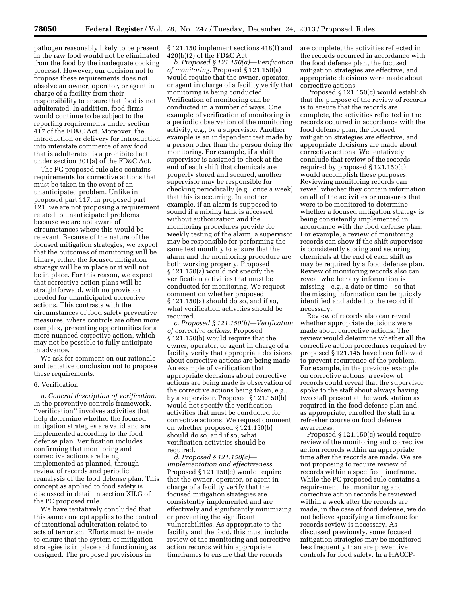pathogen reasonably likely to be present in the raw food would not be eliminated from the food by the inadequate cooking process). However, our decision not to propose these requirements does not absolve an owner, operator, or agent in charge of a facility from their responsibility to ensure that food is not adulterated. In addition, food firms would continue to be subject to the reporting requirements under section 417 of the FD&C Act. Moreover, the introduction or delivery for introduction into interstate commerce of any food that is adulterated is a prohibited act under section 301(a) of the FD&C Act.

The PC proposed rule also contains requirements for corrective actions that must be taken in the event of an unanticipated problem. Unlike in proposed part 117, in proposed part 121, we are not proposing a requirement related to unanticipated problems because we are not aware of circumstances where this would be relevant. Because of the nature of the focused mitigation strategies, we expect that the outcomes of monitoring will be binary, either the focused mitigation strategy will be in place or it will not be in place. For this reason, we expect that corrective action plans will be straightforward, with no provision needed for unanticipated corrective actions. This contrasts with the circumstances of food safety preventive measures, where controls are often more complex, presenting opportunities for a more nuanced corrective action, which may not be possible to fully anticipate in advance.

We ask for comment on our rationale and tentative conclusion not to propose these requirements.

# 6. Verification

*a. General description of verification.*  In the preventive controls framework, ''verification'' involves activities that help determine whether the focused mitigation strategies are valid and are implemented according to the food defense plan. Verification includes confirming that monitoring and corrective actions are being implemented as planned, through review of records and periodic reanalysis of the food defense plan. This concept as applied to food safety is discussed in detail in section XII.G of the PC proposed rule.

We have tentatively concluded that this same concept applies to the control of intentional adulteration related to acts of terrorism. Efforts must be made to ensure that the system of mitigation strategies is in place and functioning as designed. The proposed provisions in

§ 121.150 implement sections 418(f) and 420(b)(2) of the FD&C Act.

*b. Proposed § 121.150(a)—Verification of monitoring.* Proposed § 121.150(a) would require that the owner, operator, or agent in charge of a facility verify that monitoring is being conducted. Verification of monitoring can be conducted in a number of ways. One example of verification of monitoring is a periodic observation of the monitoring activity, e.g., by a supervisor. Another example is an independent test made by a person other than the person doing the monitoring. For example, if a shift supervisor is assigned to check at the end of each shift that chemicals are properly stored and secured, another supervisor may be responsible for checking periodically (e.g., once a week) that this is occurring. In another example, if an alarm is supposed to sound if a mixing tank is accessed without authorization and the monitoring procedures provide for weekly testing of the alarm, a supervisor may be responsible for performing the same test monthly to ensure that the alarm and the monitoring procedure are both working properly. Proposed § 121.150(a) would not specify the verification activities that must be conducted for monitoring. We request comment on whether proposed § 121.150(a) should do so, and if so, what verification activities should be required.

*c. Proposed § 121.150(b)—Verification of corrective actions.* Proposed § 121.150(b) would require that the owner, operator, or agent in charge of a facility verify that appropriate decisions about corrective actions are being made. An example of verification that appropriate decisions about corrective actions are being made is observation of the corrective actions being taken, e.g., by a supervisor. Proposed § 121.150(b) would not specify the verification activities that must be conducted for corrective actions. We request comment on whether proposed § 121.150(b) should do so, and if so, what verification activities should be required.

*d. Proposed § 121.150(c)— Implementation and effectiveness.*  Proposed § 121.150(c) would require that the owner, operator, or agent in charge of a facility verify that the focused mitigation strategies are consistently implemented and are effectively and significantly minimizing or preventing the significant vulnerabilities. As appropriate to the facility and the food, this must include review of the monitoring and corrective action records within appropriate timeframes to ensure that the records

are complete, the activities reflected in the records occurred in accordance with the food defense plan, the focused mitigation strategies are effective, and appropriate decisions were made about corrective actions.

Proposed § 121.150(c) would establish that the purpose of the review of records is to ensure that the records are complete, the activities reflected in the records occurred in accordance with the food defense plan, the focused mitigation strategies are effective, and appropriate decisions are made about corrective actions. We tentatively conclude that review of the records required by proposed § 121.150(c) would accomplish these purposes. Reviewing monitoring records can reveal whether they contain information on all of the activities or measures that were to be monitored to determine whether a focused mitigation strategy is being consistently implemented in accordance with the food defense plan. For example, a review of monitoring records can show if the shift supervisor is consistently storing and securing chemicals at the end of each shift as may be required by a food defense plan. Review of monitoring records also can reveal whether any information is missing—e.g., a date or time—so that the missing information can be quickly identified and added to the record if necessary.

Review of records also can reveal whether appropriate decisions were made about corrective actions. The review would determine whether all the corrective action procedures required by proposed § 121.145 have been followed to prevent recurrence of the problem. For example, in the previous example on corrective actions, a review of records could reveal that the supervisor spoke to the staff about always having two staff present at the work station as required in the food defense plan and, as appropriate, enrolled the staff in a refresher course on food defense awareness.

Proposed § 121.150(c) would require review of the monitoring and corrective action records within an appropriate time after the records are made. We are not proposing to require review of records within a specified timeframe. While the PC proposed rule contains a requirement that monitoring and corrective action records be reviewed within a week after the records are made, in the case of food defense, we do not believe specifying a timeframe for records review is necessary. As discussed previously, some focused mitigation strategies may be monitored less frequently than are preventive controls for food safety. In a HACCP-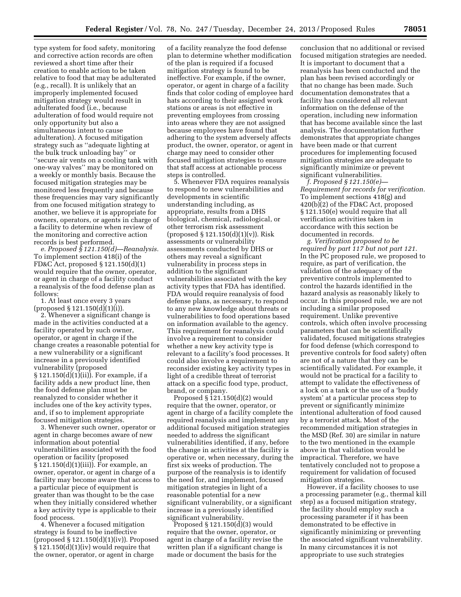type system for food safety, monitoring and corrective action records are often reviewed a short time after their creation to enable action to be taken relative to food that may be adulterated (e.g., recall). It is unlikely that an improperly implemented focused mitigation strategy would result in adulterated food (i.e., because adulteration of food would require not only opportunity but also a simultaneous intent to cause adulteration). A focused mitigation strategy such as ''adequate lighting at the bulk truck unloading bay'' or ''secure air vents on a cooling tank with one-way valves'' may be monitored on a weekly or monthly basis. Because the focused mitigation strategies may be monitored less frequently and because these frequencies may vary significantly from one focused mitigation strategy to another, we believe it is appropriate for owners, operators, or agents in charge of a facility to determine when review of the monitoring and corrective action records is best performed.

*e. Proposed § 121.150(d)—Reanalysis.*  To implement section 418(i) of the FD&C Act, proposed § 121.150(d)(1) would require that the owner, operator, or agent in charge of a facility conduct a reanalysis of the food defense plan as follows:

1. At least once every 3 years  $(proposed \S 121.150(d)(1)(i)).$ 

2. Whenever a significant change is made in the activities conducted at a facility operated by such owner, operator, or agent in charge if the change creates a reasonable potential for a new vulnerability or a significant increase in a previously identified vulnerability (proposed § 121.150(d)(1)(ii)). For example, if a facility adds a new product line, then the food defense plan must be reanalyzed to consider whether it includes one of the key activity types, and, if so to implement appropriate focused mitigation strategies.

3. Whenever such owner, operator or agent in charge becomes aware of new information about potential vulnerabilities associated with the food operation or facility (proposed § 121.150(d)(1)(iii)). For example, an owner, operator, or agent in charge of a facility may become aware that access to a particular piece of equipment is greater than was thought to be the case when they initially considered whether a key activity type is applicable to their food process.

4. Whenever a focused mitigation strategy is found to be ineffective (proposed § 121.150(d)(1)(iv)). Proposed  $§ 121.150(d)(1)(iv)$  would require that the owner, operator, or agent in charge

of a facility reanalyze the food defense plan to determine whether modification of the plan is required if a focused mitigation strategy is found to be ineffective. For example, if the owner, operator, or agent in charge of a facility finds that color coding of employee hard hats according to their assigned work stations or areas is not effective in preventing employees from crossing into areas where they are not assigned because employees have found that adhering to the system adversely affects product, the owner, operator, or agent in charge may need to consider other focused mitigation strategies to ensure that staff access at actionable process steps is controlled.

5. Whenever FDA requires reanalysis to respond to new vulnerabilities and developments in scientific understanding including, as appropriate, results from a DHS biological, chemical, radiological, or other terrorism risk assessment (proposed § 121.150(d)(1)(v)). Risk assessments or vulnerability assessments conducted by DHS or others may reveal a significant vulnerability in process steps in addition to the significant vulnerabilities associated with the key activity types that FDA has identified. FDA would require reanalysis of food defense plans, as necessary, to respond to any new knowledge about threats or vulnerabilities to food operations based on information available to the agency. This requirement for reanalysis could involve a requirement to consider whether a new key activity type is relevant to a facility's food processes. It could also involve a requirement to reconsider existing key activity types in light of a credible threat of terrorist attack on a specific food type, product, brand, or company.

Proposed § 121.150(d)(2) would require that the owner, operator, or agent in charge of a facility complete the required reanalysis and implement any additional focused mitigation strategies needed to address the significant vulnerabilities identified, if any, before the change in activities at the facility is operative or, when necessary, during the first six weeks of production. The purpose of the reanalysis is to identify the need for, and implement, focused mitigation strategies in light of a reasonable potential for a new significant vulnerability, or a significant increase in a previously identified significant vulnerability.

Proposed § 121.150(d)(3) would require that the owner, operator, or agent in charge of a facility revise the written plan if a significant change is made or document the basis for the

conclusion that no additional or revised focused mitigation strategies are needed. It is important to document that a reanalysis has been conducted and the plan has been revised accordingly or that no change has been made. Such documentation demonstrates that a facility has considered all relevant information on the defense of the operation, including new information that has become available since the last analysis. The documentation further demonstrates that appropriate changes have been made or that current procedures for implementing focused mitigation strategies are adequate to significantly minimize or prevent significant vulnerabilities.

*f. Proposed § 121.150(e)— Requirement for records for verification.*  To implement sections 418(g) and 420(b)(2) of the FD&C Act, proposed § 121.150(e) would require that all verification activities taken in accordance with this section be documented in records.

*g. Verification proposed to be required by part 117 but not part 121.*  In the PC proposed rule, we proposed to require, as part of verification, the validation of the adequacy of the preventive controls implemented to control the hazards identified in the hazard analysis as reasonably likely to occur. In this proposed rule, we are not including a similar proposed requirement. Unlike preventive controls, which often involve processing parameters that can be scientifically validated, focused mitigations strategies for food defense (which correspond to preventive controls for food safety) often are not of a nature that they can be scientifically validated. For example, it would not be practical for a facility to attempt to validate the effectiveness of a lock on a tank or the use of a 'buddy system' at a particular process step to prevent or significantly minimize intentional adulteration of food caused by a terrorist attack. Most of the recommended mitigation strategies in the MSD (Ref. 30) are similar in nature to the two mentioned in the example above in that validation would be impractical. Therefore, we have tentatively concluded not to propose a requirement for validation of focused mitigation strategies.

However, if a facility chooses to use a processing parameter (e.g., thermal kill step) as a focused mitigation strategy, the facility should employ such a processing parameter if it has been demonstrated to be effective in significantly minimizing or preventing the associated significant vulnerability. In many circumstances it is not appropriate to use such strategies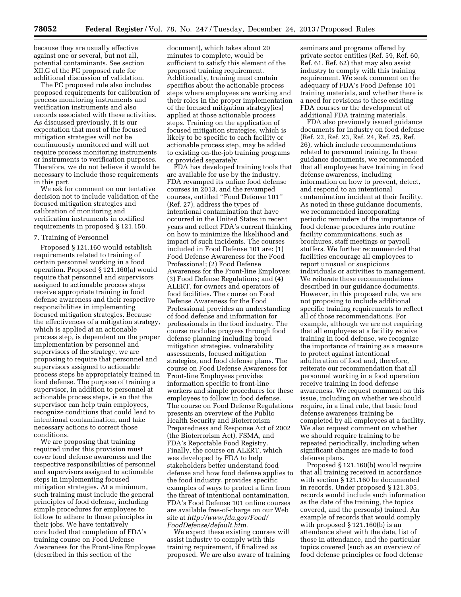because they are usually effective against one or several, but not all, potential contaminants. See section XII.G of the PC proposed rule for additional discussion of validation.

The PC proposed rule also includes proposed requirements for calibration of process monitoring instruments and verification instruments and also records associated with these activities. As discussed previously, it is our expectation that most of the focused mitigation strategies will not be continuously monitored and will not require process monitoring instruments or instruments to verification purposes. Therefore, we do not believe it would be necessary to include those requirements in this part.

We ask for comment on our tentative decision not to include validation of the focused mitigation strategies and calibration of monitoring and verification instruments in codified requirements in proposed § 121.150.

#### 7. Training of Personnel

Proposed § 121.160 would establish requirements related to training of certain personnel working in a food operation. Proposed § 121.160(a) would require that personnel and supervisors assigned to actionable process steps receive appropriate training in food defense awareness and their respective responsibilities in implementing focused mitigation strategies. Because the effectiveness of a mitigation strategy, which is applied at an actionable process step, is dependent on the proper implementation by personnel and supervisors of the strategy, we are proposing to require that personnel and supervisors assigned to actionable process steps be appropriately trained in food defense. The purpose of training a supervisor, in addition to personnel at actionable process steps, is so that the supervisor can help train employees, recognize conditions that could lead to intentional contamination, and take necessary actions to correct those conditions.

We are proposing that training required under this provision must cover food defense awareness and the respective responsibilities of personnel and supervisors assigned to actionable steps in implementing focused mitigation strategies. At a minimum, such training must include the general principles of food defense, including simple procedures for employees to follow to adhere to those principles in their jobs. We have tentatively concluded that completion of FDA's training course on Food Defense Awareness for the Front-line Employee (described in this section of the

document), which takes about 20 minutes to complete, would be sufficient to satisfy this element of the proposed training requirement. Additionally, training must contain specifics about the actionable process steps where employees are working and their roles in the proper implementation of the focused mitigation strategy(ies) applied at those actionable process steps. Training on the application of focused mitigation strategies, which is likely to be specific to each facility or actionable process step, may be added to existing on-the-job training programs or provided separately.

FDA has developed training tools that are available for use by the industry. FDA revamped its online food defense courses in 2013, and the revamped courses, entitled ''Food Defense 101'' (Ref. 27), address the types of intentional contamination that have occurred in the United States in recent years and reflect FDA's current thinking on how to minimize the likelihood and impact of such incidents. The courses included in Food Defense 101 are: (1) Food Defense Awareness for the Food Professional; (2) Food Defense Awareness for the Front-line Employee; (3) Food Defense Regulations; and (4) ALERT, for owners and operators of food facilities. The course on Food Defense Awareness for the Food Professional provides an understanding of food defense and information for professionals in the food industry. The course modules progress through food defense planning including broad mitigation strategies, vulnerability assessments, focused mitigation strategies, and food defense plans. The course on Food Defense Awareness for Front-line Employees provides information specific to front-line workers and simple procedures for these employees to follow in food defense. The course on Food Defense Regulations presents an overview of the Public Health Security and Bioterrorism Preparedness and Response Act of 2002 (the Bioterrorism Act), FSMA, and FDA's Reportable Food Registry. Finally, the course on ALERT, which was developed by FDA to help stakeholders better understand food defense and how food defense applies to the food industry, provides specific examples of ways to protect a firm from the threat of intentional contamination. FDA's Food Defense 101 online courses are available free-of-charge on our Web site at *[http://www.fda.gov/Food/](http://www.fda.gov/Food/FoodDefense/default.htm) [FoodDefense/default.htm.](http://www.fda.gov/Food/FoodDefense/default.htm)* 

We expect these existing courses will assist industry to comply with this training requirement, if finalized as proposed. We are also aware of training seminars and programs offered by private sector entities (Ref. 59, Ref. 60, Ref. 61, Ref. 62) that may also assist industry to comply with this training requirement. We seek comment on the adequacy of FDA's Food Defense 101 training materials, and whether there is a need for revisions to these existing FDA courses or the development of additional FDA training materials.

FDA also previously issued guidance documents for industry on food defense (Ref. 22, Ref. 23, Ref. 24, Ref. 25, Ref. 26), which include recommendations related to personnel training. In these guidance documents, we recommended that all employees have training in food defense awareness, including information on how to prevent, detect, and respond to an intentional contamination incident at their facility. As noted in these guidance documents, we recommended incorporating periodic reminders of the importance of food defense procedures into routine facility communications, such as brochures, staff meetings or payroll stuffers. We further recommended that facilities encourage all employees to report unusual or suspicious individuals or activities to management. We reiterate these recommendations described in our guidance documents. However, in this proposed rule, we are not proposing to include additional specific training requirements to reflect all of those recommendations. For example, although we are not requiring that all employees at a facility receive training in food defense, we recognize the importance of training as a measure to protect against intentional adulteration of food and, therefore, reiterate our recommendation that all personnel working in a food operation receive training in food defense awareness. We request comment on this issue, including on whether we should require, in a final rule, that basic food defense awareness training be completed by all employees at a facility. We also request comment on whether we should require training to be repeated periodically, including when significant changes are made to food defense plans.

Proposed § 121.160(b) would require that all training received in accordance with section § 121.160 be documented in records. Under proposed § 121.305, records would include such information as the date of the training, the topics covered, and the person(s) trained. An example of records that would comply with proposed § 121.160(b) is an attendance sheet with the date, list of those in attendance, and the particular topics covered (such as an overview of food defense principles or food defense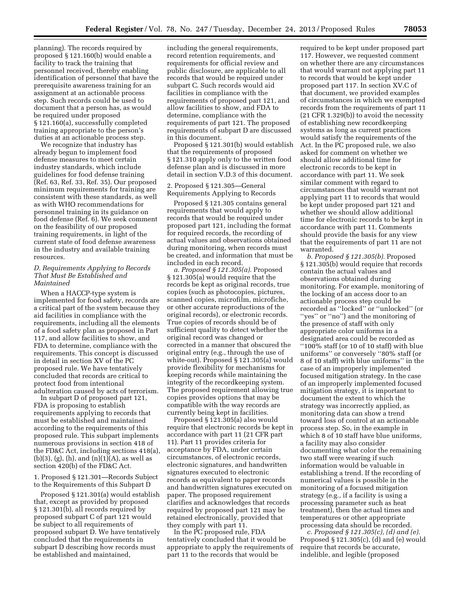planning). The records required by proposed § 121.160(b) would enable a facility to track the training that personnel received, thereby enabling identification of personnel that have the prerequisite awareness training for an assignment at an actionable process step. Such records could be used to document that a person has, as would be required under proposed § 121.160(a), successfully completed training appropriate to the person's duties at an actionable process step.

We recognize that industry has already begun to implement food defense measures to meet certain industry standards, which include guidelines for food defense training (Ref. 63, Ref. 33, Ref. 35). Our proposed minimum requirements for training are consistent with these standards, as well as with WHO recommendations for personnel training in its guidance on food defense (Ref. 6). We seek comment on the feasibility of our proposed training requirements, in light of the current state of food defense awareness in the industry and available training resources.

# *D. Requirements Applying to Records That Must Be Established and Maintained*

When a HACCP-type system is implemented for food safety, records are a critical part of the system because they aid facilities in compliance with the requirements, including all the elements of a food safety plan as proposed in Part 117, and allow facilities to show, and FDA to determine, compliance with the requirements. This concept is discussed in detail in section XV of the PC proposed rule. We have tentatively concluded that records are critical to protect food from intentional adulteration caused by acts of terrorism.

In subpart D of proposed part 121, FDA is proposing to establish requirements applying to records that must be established and maintained according to the requirements of this proposed rule. This subpart implements numerous provisions in section 418 of the FD&C Act, including sections 418(a), (b)(3), (g), (h), and  $(n)(1)(A)$ , as well as section 420(b) of the FD&C Act.

1. Proposed § 121.301—Records Subject to the Requirements of this Subpart D

Proposed § 121.301(a) would establish that, except as provided by proposed § 121.301(b), all records required by proposed subpart C of part 121 would be subject to all requirements of proposed subpart D. We have tentatively concluded that the requirements in subpart D describing how records must be established and maintained,

including the general requirements, record retention requirements, and requirements for official review and public disclosure, are applicable to all records that would be required under subpart C. Such records would aid facilities in compliance with the requirements of proposed part 121, and allow facilities to show, and FDA to determine, compliance with the requirements of part 121. The proposed requirements of subpart D are discussed in this document.

Proposed § 121.301(b) would establish that the requirements of proposed § 121.310 apply only to the written food defense plan and is discussed in more detail in section V.D.3 of this document.

2. Proposed § 121.305—General Requirements Applying to Records

Proposed § 121.305 contains general requirements that would apply to records that would be required under proposed part 121, including the format for required records, the recording of actual values and observations obtained during monitoring, when records must be created, and information that must be included in each record.

*a. Proposed § 121.305(a).* Proposed § 121.305(a) would require that the records be kept as original records, true copies (such as photocopies, pictures, scanned copies, microfilm, microfiche, or other accurate reproductions of the original records), or electronic records. True copies of records should be of sufficient quality to detect whether the original record was changed or corrected in a manner that obscured the original entry (e.g., through the use of white-out). Proposed § 121.305(a) would provide flexibility for mechanisms for keeping records while maintaining the integrity of the recordkeeping system. The proposed requirement allowing true copies provides options that may be compatible with the way records are currently being kept in facilities.

Proposed § 121.305(a) also would require that electronic records be kept in accordance with part 11 (21 CFR part 11). Part 11 provides criteria for acceptance by FDA, under certain circumstances, of electronic records, electronic signatures, and handwritten signatures executed to electronic records as equivalent to paper records and handwritten signatures executed on paper. The proposed requirement clarifies and acknowledges that records required by proposed part 121 may be retained electronically, provided that they comply with part 11.

In the PC proposed rule, FDA tentatively concluded that it would be appropriate to apply the requirements of part 11 to the records that would be

required to be kept under proposed part 117. However, we requested comment on whether there are any circumstances that would warrant not applying part 11 to records that would be kept under proposed part 117. In section XV.C of that document, we provided examples of circumstances in which we exempted records from the requirements of part 11 (21 CFR 1.329(b)) to avoid the necessity of establishing new recordkeeping systems as long as current practices would satisfy the requirements of the Act. In the PC proposed rule, we also asked for comment on whether we should allow additional time for electronic records to be kept in accordance with part 11. We seek similar comment with regard to circumstances that would warrant not applying part 11 to records that would be kept under proposed part 121 and whether we should allow additional time for electronic records to be kept in accordance with part 11. Comments should provide the basis for any view that the requirements of part 11 are not warranted.

*b. Proposed § 121.305(b).* Proposed § 121.305(b) would require that records contain the actual values and observations obtained during monitoring. For example, monitoring of the locking of an access door to an actionable process step could be recorded as ''locked'' or ''unlocked'' (or ''yes'' or ''no'') and the monitoring of the presence of staff with only appropriate color uniforms in a designated area could be recorded as ''100% staff (or 10 of 10 staff) with blue uniforms'' or conversely ''80% staff (or 8 of 10 staff) with blue uniforms'' in the case of an improperly implemented focused mitigation strategy. In the case of an improperly implemented focused mitigation strategy, it is important to document the extent to which the strategy was incorrectly applied, as monitoring data can show a trend toward loss of control at an actionable process step. So, in the example in which 8 of 10 staff have blue uniforms, a facility may also consider documenting what color the remaining two staff were wearing if such information would be valuable in establishing a trend. If the recording of numerical values is possible in the monitoring of a focused mitigation strategy (e.g., if a facility is using a processing parameter such as heat treatment), then the actual times and temperatures or other appropriate processing data should be recorded.

*c. Proposed § 121.305(c), (d) and (e).*  Proposed § 121.305(c), (d) and (e) would require that records be accurate, indelible, and legible (proposed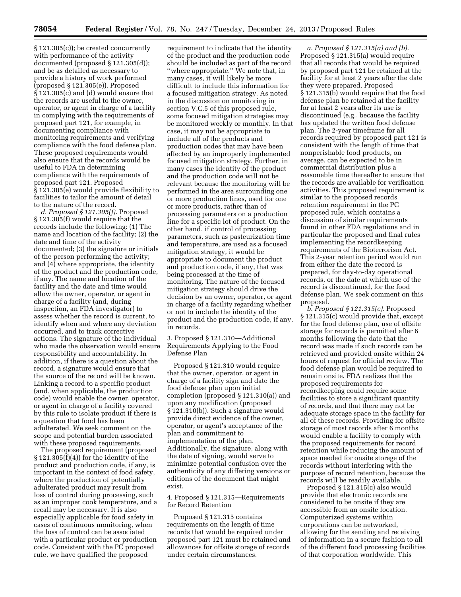§ 121.305(c)); be created concurrently with performance of the activity documented (proposed § 121.305(d)); and be as detailed as necessary to provide a history of work performed (proposed § 121.305(e)). Proposed § 121.305(c) and (d) would ensure that the records are useful to the owner, operator, or agent in charge of a facility in complying with the requirements of proposed part 121, for example, in documenting compliance with monitoring requirements and verifying compliance with the food defense plan. These proposed requirements would also ensure that the records would be useful to FDA in determining compliance with the requirements of proposed part 121. Proposed § 121.305(e) would provide flexibility to facilities to tailor the amount of detail to the nature of the record.

*d. Proposed § 121.305(f).* Proposed § 121.305(f) would require that the records include the following: (1) The name and location of the facility; (2) the date and time of the activity documented; (3) the signature or initials of the person performing the activity; and (4) where appropriate, the identity of the product and the production code, if any. The name and location of the facility and the date and time would allow the owner, operator, or agent in charge of a facility (and, during inspection, an FDA investigator) to assess whether the record is current, to identify when and where any deviation occurred, and to track corrective actions. The signature of the individual who made the observation would ensure responsibility and accountability. In addition, if there is a question about the record, a signature would ensure that the source of the record will be known. Linking a record to a specific product (and, when applicable, the production code) would enable the owner, operator, or agent in charge of a facility covered by this rule to isolate product if there is a question that food has been adulterated. We seek comment on the scope and potential burden associated with these proposed requirements.

The proposed requirement (proposed § 121.305(f)(4)) for the identity of the product and production code, if any, is important in the context of food safety, where the production of potentially adulterated product may result from loss of control during processing, such as an improper cook temperature, and a recall may be necessary. It is also especially applicable for food safety in cases of continuous monitoring, when the loss of control can be associated with a particular product or production code. Consistent with the PC proposed rule, we have qualified the proposed

requirement to indicate that the identity of the product and the production code should be included as part of the record ''where appropriate.'' We note that, in many cases, it will likely be more difficult to include this information for a focused mitigation strategy. As noted in the discussion on monitoring in section V.C.5 of this proposed rule, some focused mitigation strategies may be monitored weekly or monthly. In that case, it may not be appropriate to include all of the products and production codes that may have been affected by an improperly implemented focused mitigation strategy. Further, in many cases the identity of the product and the production code will not be relevant because the monitoring will be performed in the area surrounding one or more production lines, used for one or more products, rather than of processing parameters on a production line for a specific lot of product. On the other hand, if control of processing parameters, such as pasteurization time and temperature, are used as a focused mitigation strategy, it would be appropriate to document the product and production code, if any, that was being processed at the time of monitoring. The nature of the focused mitigation strategy should drive the decision by an owner, operator, or agent in charge of a facility regarding whether or not to include the identity of the product and the production code, if any, in records.

3. Proposed § 121.310—Additional Requirements Applying to the Food Defense Plan

Proposed § 121.310 would require that the owner, operator, or agent in charge of a facility sign and date the food defense plan upon initial completion (proposed § 121.310(a)) and upon any modification (proposed § 121.310(b)). Such a signature would provide direct evidence of the owner, operator, or agent's acceptance of the plan and commitment to implementation of the plan. Additionally, the signature, along with the date of signing, would serve to minimize potential confusion over the authenticity of any differing versions or editions of the document that might exist.

# 4. Proposed § 121.315—Requirements for Record Retention

Proposed § 121.315 contains requirements on the length of time records that would be required under proposed part 121 must be retained and allowances for offsite storage of records under certain circumstances.

*a. Proposed § 121.315(a) and (b).*  Proposed § 121.315(a) would require that all records that would be required by proposed part 121 be retained at the facility for at least 2 years after the date they were prepared. Proposed § 121.315(b) would require that the food defense plan be retained at the facility for at least 2 years after its use is discontinued (e.g., because the facility has updated the written food defense plan. The 2-year timeframe for all records required by proposed part 121 is consistent with the length of time that nonperishable food products, on average, can be expected to be in commercial distribution plus a reasonable time thereafter to ensure that the records are available for verification activities. This proposed requirement is similar to the proposed records retention requirement in the PC proposed rule, which contains a discussion of similar requirements found in other FDA regulations and in particular the proposed and final rules implementing the recordkeeping requirements of the Bioterrorism Act. This 2-year retention period would run from either the date the record is prepared, for day-to-day operational records, or the date at which use of the record is discontinued, for the food defense plan. We seek comment on this proposal.

*b. Proposed § 121.315(c).* Proposed § 121.315(c) would provide that, except for the food defense plan, use of offsite storage for records is permitted after 6 months following the date that the record was made if such records can be retrieved and provided onsite within 24 hours of request for official review. The food defense plan would be required to remain onsite. FDA realizes that the proposed requirements for recordkeeping could require some facilities to store a significant quantity of records, and that there may not be adequate storage space in the facility for all of these records. Providing for offsite storage of most records after 6 months would enable a facility to comply with the proposed requirements for record retention while reducing the amount of space needed for onsite storage of the records without interfering with the purpose of record retention, because the records will be readily available.

Proposed § 121.315(c) also would provide that electronic records are considered to be onsite if they are accessible from an onsite location. Computerized systems within corporations can be networked, allowing for the sending and receiving of information in a secure fashion to all of the different food processing facilities of that corporation worldwide. This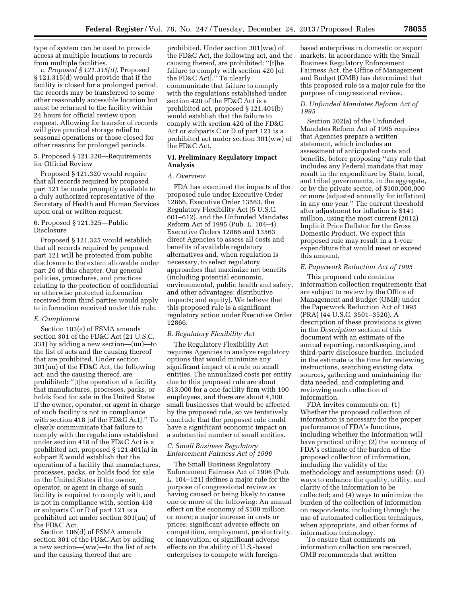type of system can be used to provide access at multiple locations to records from multiple facilities.

*c. Proposed § 121.315(d).* Proposed § 121.315(d) would provide that if the facility is closed for a prolonged period, the records may be transferred to some other reasonably accessible location but must be returned to the facility within 24 hours for official review upon request. Allowing for transfer of records will give practical storage relief to seasonal operations or those closed for other reasons for prolonged periods.

5. Proposed § 121.320—Requirements for Official Review

Proposed § 121.320 would require that all records required by proposed part 121 be made promptly available to a duly authorized representative of the Secretary of Health and Human Services upon oral or written request.

# 6. Proposed § 121.325—Public Disclosure

Proposed § 121.325 would establish that all records required by proposed part 121 will be protected from public disclosure to the extent allowable under part 20 of this chapter. Our general policies, procedures, and practices relating to the protection of confidential or otherwise protected information received from third parties would apply to information received under this rule.

#### *E. Compliance*

Section 103(e) of FSMA amends section 301 of the FD&C Act (21 U.S.C. 331) by adding a new section—(uu)—to the list of acts and the causing thereof that are prohibited. Under section 301(uu) of the FD&C Act, the following act, and the causing thereof, are prohibited: ''[t]he operation of a facility that manufactures, processes, packs, or holds food for sale in the United States if the owner, operator, or agent in charge of such facility is not in compliance with section 418 [of the FD&C Act].'' To clearly communicate that failure to comply with the regulations established under section 418 of the FD&C Act is a prohibited act, proposed § 121.401(a) in subpart E would establish that the operation of a facility that manufactures, processes, packs, or holds food for sale in the United States if the owner, operator, or agent in charge of such facility is required to comply with, and is not in compliance with, section 418 or subparts C or D of part 121 is a prohibited act under section 301(uu) of the FD&C Act.

Section 106(d) of FSMA amends section 301 of the FD&C Act by adding a new section—(ww)—to the list of acts and the causing thereof that are

prohibited. Under section 301(ww) of the FD&C Act, the following act, and the causing thereof, are prohibited: ''[t]he failure to comply with section 420 [of the FD&C Act].'' To clearly communicate that failure to comply with the regulations established under section 420 of the FD&C Act is a prohibited act, proposed § 121.401(b) would establish that the failure to comply with section 420 of the FD&C Act or subparts C or D of part 121 is a prohibited act under section 301(ww) of the FD&C Act.

# **VI. Preliminary Regulatory Impact Analysis**

#### *A. Overview*

FDA has examined the impacts of the proposed rule under Executive Order 12866, Executive Order 13563, the Regulatory Flexibility Act (5 U.S.C. 601–612), and the Unfunded Mandates Reform Act of 1995 (Pub. L. 104–4). Executive Orders 12866 and 13563 direct Agencies to assess all costs and benefits of available regulatory alternatives and, when regulation is necessary, to select regulatory approaches that maximize net benefits (including potential economic, environmental, public health and safety, and other advantages; distributive impacts; and equity). We believe that this proposed rule is a significant regulatory action under Executive Order 12866.

#### *B. Regulatory Flexibility Act*

The Regulatory Flexibility Act requires Agencies to analyze regulatory options that would minimize any significant impact of a rule on small entities. The annualized costs per entity due to this proposed rule are about \$13,000 for a one-facility firm with 100 employees, and there are about 4,100 small businesses that would be affected by the proposed rule, so we tentatively conclude that the proposed rule could have a significant economic impact on a substantial number of small entities.

# *C. Small Business Regulatory Enforcement Fairness Act of 1996*

The Small Business Regulatory Enforcement Fairness Act of 1996 (Pub. L. 104–121) defines a major rule for the purpose of congressional review as having caused or being likely to cause one or more of the following: An annual effect on the economy of \$100 million or more; a major increase in costs or prices; significant adverse effects on competition, employment, productivity, or innovation; or significant adverse effects on the ability of U.S.-based enterprises to compete with foreignbased enterprises in domestic or export markets. In accordance with the Small Business Regulatory Enforcement Fairness Act, the Office of Management and Budget (OMB) has determined that this proposed rule is a major rule for the purpose of congressional review.

# *D. Unfunded Mandates Reform Act of 1995*

Section 202(a) of the Unfunded Mandates Reform Act of 1995 requires that Agencies prepare a written statement, which includes an assessment of anticipated costs and benefits, before proposing ''any rule that includes any Federal mandate that may result in the expenditure by State, local, and tribal governments, in the aggregate, or by the private sector, of \$100,000,000 or more (adjusted annually for inflation) in any one year.'' The current threshold after adjustment for inflation is \$141 million, using the most current (2012) Implicit Price Deflator for the Gross Domestic Product. We expect this proposed rule may result in a 1-year expenditure that would meet or exceed this amount.

#### *E. Paperwork Reduction Act of 1995*

This proposed rule contains information collection requirements that are subject to review by the Office of Management and Budget (OMB) under the Paperwork Reduction Act of 1995 (PRA) (44 U.S.C. 3501–3520). A description of these provisions is given in the *Description* section of this document with an estimate of the annual reporting, recordkeeping, and third-party disclosure burden. Included in the estimate is the time for reviewing instructions, searching existing data sources, gathering and maintaining the data needed, and completing and reviewing each collection of information.

FDA invites comments on: (1) Whether the proposed collection of information is necessary for the proper performance of FDA's functions, including whether the information will have practical utility; (2) the accuracy of FDA's estimate of the burden of the proposed collection of information, including the validity of the methodology and assumptions used; (3) ways to enhance the quality, utility, and clarity of the information to be collected; and (4) ways to minimize the burden of the collection of information on respondents, including through the use of automated collection techniques, when appropriate, and other forms of information technology.

To ensure that comments on information collection are received, OMB recommends that written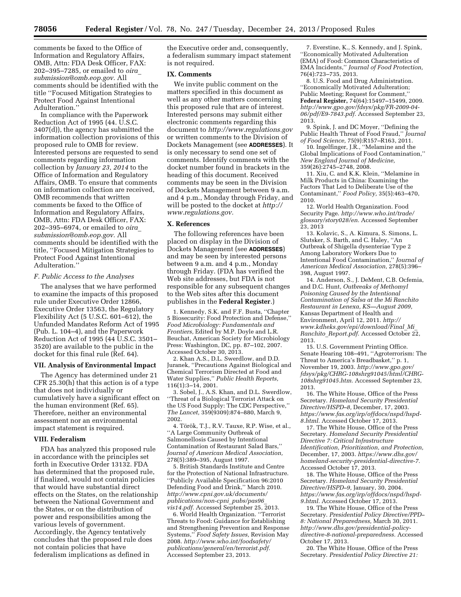comments be faxed to the Office of Information and Regulatory Affairs, OMB, Attn: FDA Desk Officer, FAX: 202–395–7285, or emailed to *[oira](mailto:oira_submission@omb.eop.gov)*\_ *[submission@omb.eop.gov.](mailto:oira_submission@omb.eop.gov)* All comments should be identified with the title ''Focused Mitigation Strategies to Protect Food Against Intentional Adulteration.''

In compliance with the Paperwork Reduction Act of 1995 (44. U.S.C. 3407(d)), the agency has submitted the information collection provisions of this proposed rule to OMB for review. Interested persons are requested to send comments regarding information collection by *January 23, 2014* to the Office of Information and Regulatory Affairs, OMB. To ensure that comments on information collection are received, OMB recommends that written comments be faxed to the Office of Information and Regulatory Affairs, OMB, Attn: FDA Desk Officer, FAX: 202–395–6974, or emailed to *[oira](mailto:oira_submission@omb.eop.gov)*\_ *[submission@omb.eop.gov.](mailto:oira_submission@omb.eop.gov)* All comments should be identified with the title, ''Focused Mitigation Strategies to Protect Food Against Intentional Adulteration.''

#### *F. Public Access to the Analyses*

The analyses that we have performed to examine the impacts of this proposed rule under Executive Order 12866, Executive Order 13563, the Regulatory Flexibility Act (5 U.S.C. 601–612), the Unfunded Mandates Reform Act of 1995 (Pub. L. 104–4), and the Paperwork Reduction Act of 1995 (44 U.S.C. 3501– 3520) are available to the public in the docket for this final rule (Ref. 64).

#### **VII. Analysis of Environmental Impact**

The Agency has determined under 21 CFR 25.30(h) that this action is of a type that does not individually or cumulatively have a significant effect on the human environment (Ref. 65). Therefore, neither an environmental assessment nor an environmental impact statement is required.

#### **VIII. Federalism**

FDA has analyzed this proposed rule in accordance with the principles set forth in Executive Order 13132. FDA has determined that the proposed rule, if finalized, would not contain policies that would have substantial direct effects on the States, on the relationship between the National Government and the States, or on the distribution of power and responsibilities among the various levels of government. Accordingly, the Agency tentatively concludes that the proposed rule does not contain policies that have federalism implications as defined in

the Executive order and, consequently, a federalism summary impact statement is not required.

#### **IX. Comments**

We invite public comment on the matters specified in this document as well as any other matters concerning this proposed rule that are of interest. Interested persons may submit either electronic comments regarding this document to *<http://www.regulations.gov>* or written comments to the Division of Dockets Management (see **ADDRESSES**). It is only necessary to send one set of comments. Identify comments with the docket number found in brackets in the heading of this document. Received comments may be seen in the Division of Dockets Management between 9 a.m. and 4 p.m., Monday through Friday, and will be posted to the docket at *[http://](http://www.regulations.gov) [www.regulations.gov.](http://www.regulations.gov)* 

#### **X. References**

The following references have been placed on display in the Division of Dockets Management (see **ADDRESSES**) and may be seen by interested persons between 9 a.m. and 4 p.m., Monday through Friday. (FDA has verified the Web site addresses, but FDA is not responsible for any subsequent changes to the Web sites after this document publishes in the **Federal Register**.)

1. Kennedy, S.K. and F.F. Busta, ''Chapter 5 Biosecurity: Food Protection and Defense,'' *Food Microbiology: Fundamentals and Frontiers,* Edited by M.P. Doyle and L.R. Beuchat, American Society for Microbiology Press: Washington, DC, pp. 87–102, 2007. Accessed October 30, 2013.

2. Khan A.S., D.L. Swerdlow, and D.D. Juranek, ''Precautions Against Biological and Chemical Terrorism Directed at Food and Water Supplies,'' *Public Health Reports,*  116(1):3–14, 2001.

3. Sobel, J., A.S. Khan, and D.L. Swerdlow, ''Threat of a Biological Terrorist Attack on the US Food Supply: The CDC Perspective,'' *The Lancet,* 359(9309):874–880, March 9, 2002.

4. Török, T.J., R.V. Tauxe, R.P. Wise, et al., ''A Large Community Outbreak of Salmonellosis Caused by Intentional Contamination of Restaurant Salad Bars,'' *Journal of American Medical Association,*  278(5):389–395, August 1997.

5. British Standards Institute and Centre for the Protection of National Infrastructure. ''Publicly Available Specification 96:2010 Defending Food and Drink,'' March 2010. *[http://www.cpni.gov.uk/documents/](http://www.cpni.gov.uk/documents/publications/non-cpni_pubs/pas96_vis14.pdf) [publications/non-cpni](http://www.cpni.gov.uk/documents/publications/non-cpni_pubs/pas96_vis14.pdf)*\_*pubs/pas96*\_ *[vis14.pdf.](http://www.cpni.gov.uk/documents/publications/non-cpni_pubs/pas96_vis14.pdf)* Accessed September 25, 2013.

6. World Health Organization. ''Terrorist Threats to Food: Guidance for Establishing and Strengthening Prevention and Response Systems,'' *Food Safety Issues,* Revision May 2008. *[http://www.who.int/foodsafety/](http://www.who.int/foodsafety/publications/general/en/terrorist.pdf) [publications/general/en/terrorist.pdf.](http://www.who.int/foodsafety/publications/general/en/terrorist.pdf)*  Accessed September 23, 2013.

7. Everstine, K., S. Kennedy, and J. Spink, ''Economically Motivated Adulteration (EMA) of Food: Common Characteristics of EMA Incidents,'' *Journal of Food Protection,*  76(4):723–735, 2013.

8. U.S. Food and Drug Administration. ''Economically Motivated Adulteration; Public Meeting; Request for Comment,'' **Federal Register,** 74(64):15497–15499, 2009. *[http://www.gpo.gov/fdsys/pkg/FR-2009-04-](http://www.gpo.gov/fdsys/pkg/FR-2009-04-06/pdf/E9-7843.pdf) [06/pdf/E9-7843.pdf.](http://www.gpo.gov/fdsys/pkg/FR-2009-04-06/pdf/E9-7843.pdf)* Accessed September 23, 2013.

9. Spink, J. and DC Moyer, ''Defining the Public Health Threat of Food Fraud,'' *Journal of Food Science,* 75(9):R157–R163, 2011.

10. Ingelfinger, J.R., ''Melamine and the Global Implications of Food Contamination,'' *New England Journal of Medicine,*  359(26):2745–2748, 2008.

11. Xiu, C. and K.K. Klein, ''Melamine in Milk Products in China: Examining the Factors That Led to Deliberate Use of the Contaminant,'' *Food Policy,* 35(5):463–470, 2010.

12. World Health Organization. Food Security Page. *[http://www.who.int/trade/](http://www.who.int/trade/glossary/story028/en) [glossary/story028/en.](http://www.who.int/trade/glossary/story028/en)* Accessed September 23, 2013

13. Kolavic, S., A. Kimura, S. Simons, L. Slutsker, S. Barth, and C. Haley, ''An Outbreak of Shigella dysenteriae Type 2 Among Laboratory Workers Due to Intentional Food Contamination,'' *Journal of American Medical Association,* 278(5):396– 398, August 1997.

14. Anderson, S., J. DeMent, C.B. Ocfemia, and D.C. Hunt, *Outbreaks of Methomyl Poisoning Caused by the Intentional Contamination of Salsa at the Mi Ranchito Restaurant in Lenexa, KS—August 2009,*  Kansas Department of Health and Environment, April 12, 2011. *[http://](http://www.kdheks.gov/epi/download/Final_Mi_Ranchito_Report.pdf) [www.kdheks.gov/epi/download/Final](http://www.kdheks.gov/epi/download/Final_Mi_Ranchito_Report.pdf)*\_*Mi*\_ *Ranchito*\_*[Report.pdf.](http://www.kdheks.gov/epi/download/Final_Mi_Ranchito_Report.pdf)* Accessed October 22, 2013.

15. U.S. Government Printing Office. Senate Hearing 108–491, ''Agroterrorism: The Threat to America's Breadbasket,'' p. 1, November 19, 2003. *[http://www.gpo.gov/](http://www.gpo.gov/fdsys/pkg/CHRG-108shrg91045/html/CHRG-108shrg91045.htm) [fdsys/pkg/CHRG-108shrg91045/html/CHRG-](http://www.gpo.gov/fdsys/pkg/CHRG-108shrg91045/html/CHRG-108shrg91045.htm)[108shrg91045.htm.](http://www.gpo.gov/fdsys/pkg/CHRG-108shrg91045/html/CHRG-108shrg91045.htm)* Accessed September 23, 2013.

16. The White House, Office of the Press Secretary. *Homeland Security Presidential Directive/HSPD–8,* December, 17, 2003. *[https://www.fas.org/irp/offdocs/nspd/hspd-](https://www.fas.org/irp/offdocs/nspd/hspd-8.html)[8.html.](https://www.fas.org/irp/offdocs/nspd/hspd-8.html)* Accessed October 17, 2013.

17. The White House, Office of the Press Secretary. *Homeland Security Presidential Directive 7: Critical Infrastructure Identification, Prioritization, and Protection,*  December, 17, 2003. *[https://www.dhs.gov/](https://www.dhs.gov/homeland-security-presidential-directive-7) [homeland-security-presidential-directive-7.](https://www.dhs.gov/homeland-security-presidential-directive-7)*  Accessed October 17, 2013.

18. The White House, Office of the Press Secretary. *Homeland Security Presidential Directive/HSPD–9,* January, 30, 2004. *[https://www.fas.org/irp/offdocs/nspd/hspd-](https://www.fas.org/irp/offdocs/nspd/hspd-9.html)[9.html.](https://www.fas.org/irp/offdocs/nspd/hspd-9.html)* Accessed October 17, 2013.

19. The White House, Office of the Press Secretary. *Presidential Policy Directive/PPD– 8: National Preparedness,* March 30, 2011. *[http://www.dhs.gov/presidential-policy](http://www.dhs.gov/presidential-policy-directive-8-national-preparedness)[directive-8-national-preparedness.](http://www.dhs.gov/presidential-policy-directive-8-national-preparedness)* Accessed October 17, 2013.

20. The White House, Office of the Press Secretary. *Presidential Policy Directive 21:*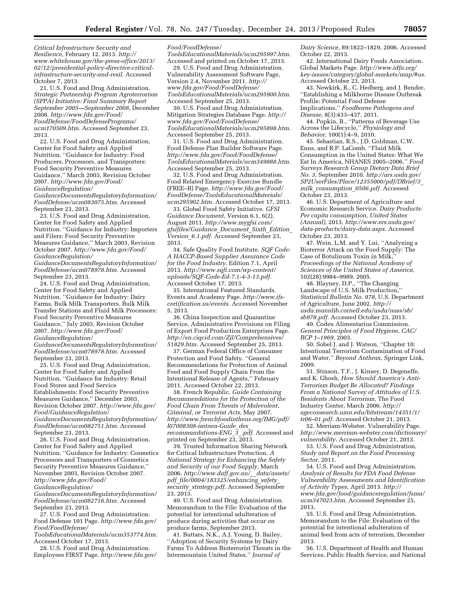*Critical Infrastructure Security and Resilience,* February 12, 2013. *[http://](http://www.whitehouse.gov/the-press-office/2013/02/12/presidential-policy-directive-critical-infrastructure-security-and-resil) [www.whitehouse.gov/the-press-office/2013/](http://www.whitehouse.gov/the-press-office/2013/02/12/presidential-policy-directive-critical-infrastructure-security-and-resil) [02/12/presidential-policy-directive-critical](http://www.whitehouse.gov/the-press-office/2013/02/12/presidential-policy-directive-critical-infrastructure-security-and-resil)[infrastructure-security-and-resil.](http://www.whitehouse.gov/the-press-office/2013/02/12/presidential-policy-directive-critical-infrastructure-security-and-resil)* Accessed October 7, 2013.

21. U.S. Food and Drug Administration. *Strategic Partnership Program Agroterrorism (SPPA) Initiative: Final Summary Report September 2005—September 2008,* December 2008. *[http://www.fda.gov/Food/](http://www.fda.gov/Food/FoodDefense/FoodDefensePrograms/ucm170509.htm) [FoodDefense/FoodDefensePrograms/](http://www.fda.gov/Food/FoodDefense/FoodDefensePrograms/ucm170509.htm) [ucm170509.htm.](http://www.fda.gov/Food/FoodDefense/FoodDefensePrograms/ucm170509.htm)* Accessed September 23, 2013.

22. U.S. Food and Drug Administration, Center for Food Safety and Applied Nutrition. ''Guidance for Industry: Food Producers, Processors, and Transporters: Food Security Preventive Measures Guidance,'' March 2003, Revision October 2007. *[http://www.fda.gov/Food/](http://www.fda.gov/Food/GuidanceRegulation/GuidanceDocumentsRegulatoryInformation/FoodDefense/ucm083075.htm) [GuidanceRegulation/](http://www.fda.gov/Food/GuidanceRegulation/GuidanceDocumentsRegulatoryInformation/FoodDefense/ucm083075.htm)*

*[GuidanceDocumentsRegulatoryInformation/](http://www.fda.gov/Food/GuidanceRegulation/GuidanceDocumentsRegulatoryInformation/FoodDefense/ucm083075.htm) [FoodDefense/ucm083075.htm.](http://www.fda.gov/Food/GuidanceRegulation/GuidanceDocumentsRegulatoryInformation/FoodDefense/ucm083075.htm)* Accessed September 23, 2013.

23. U.S. Food and Drug Administration, Center for Food Safety and Applied Nutrition. ''Guidance for Industry: Importers and Filers: Food Security Preventive Measures Guidance,'' March 2003, Revision October 2007. *[http://www.fda.gov/Food/](http://www.fda.gov/Food/GuidanceRegulation/GuidanceDocumentsRegulatoryInformation/FoodDefense/ucm078978.htm) [GuidanceRegulation/](http://www.fda.gov/Food/GuidanceRegulation/GuidanceDocumentsRegulatoryInformation/FoodDefense/ucm078978.htm)*

*[GuidanceDocumentsRegulatoryInformation/](http://www.fda.gov/Food/GuidanceRegulation/GuidanceDocumentsRegulatoryInformation/FoodDefense/ucm078978.htm) [FoodDefense/ucm078978.htm.](http://www.fda.gov/Food/GuidanceRegulation/GuidanceDocumentsRegulatoryInformation/FoodDefense/ucm078978.htm)* Accessed September 23, 2013.

24. U.S. Food and Drug Administration, Center for Food Safety and Applied Nutrition. ''Guidance for Industry: Dairy Farms, Bulk Milk Transporters, Bulk Milk Transfer Stations and Fluid Milk Processors: Food Security Preventive Measures Guidance,'' July 2003, Revision October 2007. *[http://www.fda.gov/Food/](http://www.fda.gov/Food/GuidanceRegulation/GuidanceDocumentsRegulatoryInformation/FoodDefense/ucm078978.htm) [GuidanceRegulation/](http://www.fda.gov/Food/GuidanceRegulation/GuidanceDocumentsRegulatoryInformation/FoodDefense/ucm078978.htm)*

*[GuidanceDocumentsRegulatoryInformation/](http://www.fda.gov/Food/GuidanceRegulation/GuidanceDocumentsRegulatoryInformation/FoodDefense/ucm078978.htm) [FoodDefense/ucm078978.htm.](http://www.fda.gov/Food/GuidanceRegulation/GuidanceDocumentsRegulatoryInformation/FoodDefense/ucm078978.htm)* Accessed September 23, 2013.

25. U.S. Food and Drug Administration, Center for Food Safety and Applied Nutrition. ''Guidance for Industry: Retail Food Stores and Food Service Establishments: Food Security Preventive Measures Guidance,'' December 2003, Revision October 2007. *[http://www.fda.gov/](http://www.fda.gov/Food/GuidanceRegulation/GuidanceDocumentsRegulatoryInformation/FoodDefense/ucm082751.htm) [Food/GuidanceRegulation/](http://www.fda.gov/Food/GuidanceRegulation/GuidanceDocumentsRegulatoryInformation/FoodDefense/ucm082751.htm)*

*[GuidanceDocumentsRegulatoryInformation/](http://www.fda.gov/Food/GuidanceRegulation/GuidanceDocumentsRegulatoryInformation/FoodDefense/ucm082751.htm) [FoodDefense/ucm082751.htm.](http://www.fda.gov/Food/GuidanceRegulation/GuidanceDocumentsRegulatoryInformation/FoodDefense/ucm082751.htm)* Accessed September 23, 2013.

26. U.S. Food and Drug Administration, Center for Food Safety and Applied Nutrition. ''Guidance for Industry: Cosmetics Processors and Transporters of Cosmetics Security Preventive Measures Guidance,'' November 2003, Revision October 2007. *[http://www.fda.gov/Food/](http://www.fda.gov/Food/GuidanceRegulation/GuidanceDocumentsRegulatoryInformation/FoodDefense/ucm082716.htm)*

*[GuidanceRegulation/](http://www.fda.gov/Food/GuidanceRegulation/GuidanceDocumentsRegulatoryInformation/FoodDefense/ucm082716.htm)*

*[GuidanceDocumentsRegulatoryInformation/](http://www.fda.gov/Food/GuidanceRegulation/GuidanceDocumentsRegulatoryInformation/FoodDefense/ucm082716.htm) [FoodDefense/ucm082716.htm.](http://www.fda.gov/Food/GuidanceRegulation/GuidanceDocumentsRegulatoryInformation/FoodDefense/ucm082716.htm)* Accessed September 23, 2013.

27. U.S. Food and Drug Administration. Food Defense 101 Page. *[http://www.fda.gov/](http://www.fda.gov/Food/FoodDefense/ToolsEducationalMaterials/ucm353774.htm)  [Food/FoodDefense/](http://www.fda.gov/Food/FoodDefense/ToolsEducationalMaterials/ucm353774.htm)*

*[ToolsEducationalMaterials/ucm353774.htm.](http://www.fda.gov/Food/FoodDefense/ToolsEducationalMaterials/ucm353774.htm)*  Accessed October 17, 2013.

28. U.S. Food and Drug Administration. Employees FIRST Page. *[http://www.fda.gov/](http://www.fda.gov/Food/FoodDefense/ToolsEducationalMaterials/ucm295997.htm)* 

# *[Food/FoodDefense/](http://www.fda.gov/Food/FoodDefense/ToolsEducationalMaterials/ucm295997.htm)*

*[ToolsEducationalMaterials/ucm295997.htm.](http://www.fda.gov/Food/FoodDefense/ToolsEducationalMaterials/ucm295997.htm)*  Accessed and printed on October 17, 2013.

29. U.S. Food and Drug Administration. Vulnerability Assessment Software Page, Version 2.4, November 2011. *[http://](http://www.fda.gov/Food/FoodDefense/ToolsEducationalMaterials/ucm295900.htm) [www.fda.gov/Food/FoodDefense/](http://www.fda.gov/Food/FoodDefense/ToolsEducationalMaterials/ucm295900.htm) [ToolsEducationalMaterials/ucm295900.htm.](http://www.fda.gov/Food/FoodDefense/ToolsEducationalMaterials/ucm295900.htm)*  Accessed September 25, 2013.

30. U.S. Food and Drug Administration. Mitigation Strategies Database Page. *[http://](http://www.fda.gov/Food/FoodDefense/ToolsEducationalMaterials/ucm295898.htm) [www.fda.gov/Food/FoodDefense/](http://www.fda.gov/Food/FoodDefense/ToolsEducationalMaterials/ucm295898.htm) [ToolsEducationalMaterials/ucm295898.htm.](http://www.fda.gov/Food/FoodDefense/ToolsEducationalMaterials/ucm295898.htm)*  Accessed September 25, 2013.

31. U.S. Food and Drug Administration. Food Defense Plan Builder Software Page. *[http://www.fda.gov/Food/FoodDefense/](http://www.fda.gov/Food/FoodDefense/ToolsEducationalMaterials/ucm349888.htm) [ToolsEducationalMaterials/ucm349888.htm.](http://www.fda.gov/Food/FoodDefense/ToolsEducationalMaterials/ucm349888.htm)*  Accessed September 25, 2013.

32. U.S. Food and Drug Administration. Food Related Emergency Exercise Bundle (FREE–B) Page. *[http://www.fda.gov/Food/](http://www.fda.gov/Food/FoodDefense/ToolsEducationalMaterials/ucm295902.htm) [FoodDefense/ToolsEducationalMaterials/](http://www.fda.gov/Food/FoodDefense/ToolsEducationalMaterials/ucm295902.htm) [ucm295902.htm.](http://www.fda.gov/Food/FoodDefense/ToolsEducationalMaterials/ucm295902.htm)* Accessed October 17, 2013.

33. Global Food Safety Initiative. *GFSI Guidance Document,* Version 6.1, 6(2), August 2011. *[http://www.mygfsi.com/](http://www.mygfsi.com/gfsifiles/Guidance_Document_Sixth_Edition_Version_6.1.pdf) [gfsifiles/Guidance](http://www.mygfsi.com/gfsifiles/Guidance_Document_Sixth_Edition_Version_6.1.pdf)*\_*Document*\_*Sixth*\_*Edition*\_ *[Version](http://www.mygfsi.com/gfsifiles/Guidance_Document_Sixth_Edition_Version_6.1.pdf)*\_*6.1.pdf.* Accessed September 23, 2013.

34. Safe Quality Food Institute. *SQF Code: A HACCP-Based Supplier Assurance Code for the Food Industry,* Edition 7.1, April 2013. *[http://www.sqfi.com/wp-content/](http://www.sqfi.com/wp-content/uploads/SQF-Code-Ed-7.1-4-3-13.pdf) [uploads/SQF-Code-Ed-7.1-4-3-13.pdf.](http://www.sqfi.com/wp-content/uploads/SQF-Code-Ed-7.1-4-3-13.pdf)*  Accessed October 17, 2013.

35. International Featured Standards. Events and Academy Page. *[http://www.ifs](http://www.ifs-certification.us/events)[certification.us/events.](http://www.ifs-certification.us/events)* Accessed November 5, 2013.

36. China Inspection and Quarantine Service, Administrative Provisions on Filing of Export Food Production Enterprises Page. *[http://en.ciqcid.com/Zjl/Comprehensives/](http://en.ciqcid.com/Zjl/Comprehensives/51829.htm) [51829.htm.](http://en.ciqcid.com/Zjl/Comprehensives/51829.htm)* Accessed September 25, 2013.

37. German Federal Office of Consumer Protection and Food Safety. ''General Recommendations for Protection of Animal Feed and Food Supply Chain From the Intentional Release of Agents,'' February 2011. Accessed October 22, 2013.

38. French Republic. *Guide Containing Recommendations for the Protection of the Food Chain From Threats of Malevolent, Criminal, or Terrorist Acts,* May 2007. *[http://www.frenchfoodintheus.org/IMG/pdf/](http://www.frenchfoodintheus.org/IMG/pdf/I07008308-imtnea-Guide_des_recommandations-ENG_3_.pdf) [I07008308-imtnea-Guide](http://www.frenchfoodintheus.org/IMG/pdf/I07008308-imtnea-Guide_des_recommandations-ENG_3_.pdf)*\_*des*\_ *[recommandations-ENG](http://www.frenchfoodintheus.org/IMG/pdf/I07008308-imtnea-Guide_des_recommandations-ENG_3_.pdf)*\_*3*\_*.pdf.* Accessed and printed on September 23, 2013.

39. Trusted Information Sharing Network for Critical Infrastructure Protection. *A National Strategy for Enhancing the Safety and Security of our Food Supply,* March 2006. *[http://www.daff.gov.au/](http://www.daff.gov.au/__data/assets/pdf_file/0004/183325/enhancing_safety_security_strategy.pdf)*\_\_*data/assets/ pdf*\_*[file/0004/183325/enhancing](http://www.daff.gov.au/__data/assets/pdf_file/0004/183325/enhancing_safety_security_strategy.pdf)*\_*safety*\_ *security*\_*[strategy.pdf.](http://www.daff.gov.au/__data/assets/pdf_file/0004/183325/enhancing_safety_security_strategy.pdf)* Accessed September 23, 2013.

40. U.S. Food and Drug Administration. Memorandum to the File: Evaluation of the potential for intentional adulteration of produce during activities that occur on produce farms, September 2013.

41. Buttars, N.K., A.J. Young, D. Bailey, ''Adoption of Security Systems by Dairy Farms To Address Bioterrorist Threats in the Intermountain United States,'' *Journal of* 

*Dairy Science,* 89:1822–1829, 2006. Accessed October 22, 2013.

42. International Dairy Foods Association. Global Markets Page. *[http://www.idfa.org/](http://www.idfa.org/key-issues/category/global-markets/map/#us) [key-issues/category/global-markets/map/#us.](http://www.idfa.org/key-issues/category/global-markets/map/#us)*  Accessed October 23, 2013.

43. Newkirk, R., C. Hedberg, and J. Bender, ''Establishing a Milkborne Disease Outbreak Profile: Potential Food Defense Implications,'' *Foodborne Pathogens and Disease,* 8(3):433–437, 2011.

44. Popkin, B., ''Patterns of Beverage Use Across the Lifecycle,'' *Physiology and Behavior,* 100(1):4–9, 2010.

45. Sebastian, R.S., J.D. Goldman, C.W. Enns, and R.P. LaComb, ''Fluid Milk Consumption in the United States: What We Eat In America, NHANES 2005–2006,'' *Food Surveys Research Group Dietary Data Brief No. 3,* September 2010. *[http://ars.usda.gov/](http://ars.usda.gov/SP2UserFiles/Place/12355000/pdf/DBrief/3_milk_consumption_0506.pdf) [SP2UserFiles/Place/12355000/pdf/DBrief/3](http://ars.usda.gov/SP2UserFiles/Place/12355000/pdf/DBrief/3_milk_consumption_0506.pdf)*\_ *milk*\_*[consumption](http://ars.usda.gov/SP2UserFiles/Place/12355000/pdf/DBrief/3_milk_consumption_0506.pdf)*\_*0506.pdf.* Accessed October 23, 2013.

46. U.S. Department of Agriculture and Economic Research Service. *Dairy Products: Per capita consumption, United States (Annual),* 2013. *[http://www.ers.usda.gov/](http://www.ers.usda.gov/data-products/dairy-data.aspx) [data-products/dairy-data.aspx.](http://www.ers.usda.gov/data-products/dairy-data.aspx)* Accessed October 23, 2013.

47. Wein, L.M. and Y. Lui, ''Analyzing a Bioterror Attack on the Food Supply: The Case of Botulinum Toxin in Milk,'' *Proceedings of the National Academy of Sciences of the United States of America,*  102(28):9984–9989, 2005.

48. Blayney, D.P., "The Changing Landscape of U.S. Milk Production, *Statistical Bulletin No. 978,* U.S. Department of Agriculture, June 2002. *[http://](http://usda.mannlib.cornell.edu/usda/nass/sb/sb978.pdf) [usda.mannlib.cornell.edu/usda/nass/sb/](http://usda.mannlib.cornell.edu/usda/nass/sb/sb978.pdf) [sb978.pdf.](http://usda.mannlib.cornell.edu/usda/nass/sb/sb978.pdf)* Accessed October 23, 2013.

49. Codex Alimentarius Commission. *General Principles of Food Hygiene, CAC/ RCP 1–1969,* 2003.

50. Sobel J. and J. Watson, ''Chapter 10: Intentional Terrorism Contamination of Food and Water,'' *Beyond Anthrax,* Springer Link, 2009.

51. Stinson, T.F., J. Kinsey, D. Degeneffe, and K. Ghosh, *How Should America's Anti-Terrorism Budget Be Allocated? Findings From a National Survey of Attitudes of U.S. Residents About Terrorism,* The Food Industry Center, March 2006. *[http://](http://ageconsearch.umn.edu/bitstream/14351/1/tr06-01.pdf) [ageconsearch.umn.edu/bitstream/14351/1/](http://ageconsearch.umn.edu/bitstream/14351/1/tr06-01.pdf) [tr06–01.pdf.](http://ageconsearch.umn.edu/bitstream/14351/1/tr06-01.pdf)* Accessed October 21, 2013.

52. Merriam-Webster. Vulnerability Page. *[http://www.merriam-webster.com/dictionary/](http://www.merriam-webster.com/dictionary/vulnerability) [vulnerability.](http://www.merriam-webster.com/dictionary/vulnerability)* Accessed October 21, 2013.

53. U.S. Food and Drug Administration, *Study and Report on the Food Processing Sector,* 2011.

54. U.S. Food and Drug Administration. *Analysis of Results for FDA Food Defense Vulnerability Assessments and Identification of Activity Types,* April 2013. *[http://](http://www.fda.gov/food/guidanceregulation/fsma/ucm347023.htm) [www.fda.gov/food/guidanceregulation/fsma/](http://www.fda.gov/food/guidanceregulation/fsma/ucm347023.htm) [ucm347023.htm.](http://www.fda.gov/food/guidanceregulation/fsma/ucm347023.htm)* Accessed September 25, 2013.

55. U.S. Food and Drug Administration. Memorandum to the File: Evaluation of the potential for intentional adulteration of animal feed from acts of terrorism, December 2013.

56. U.S. Department of Health and Human Services, Public Health Service, and National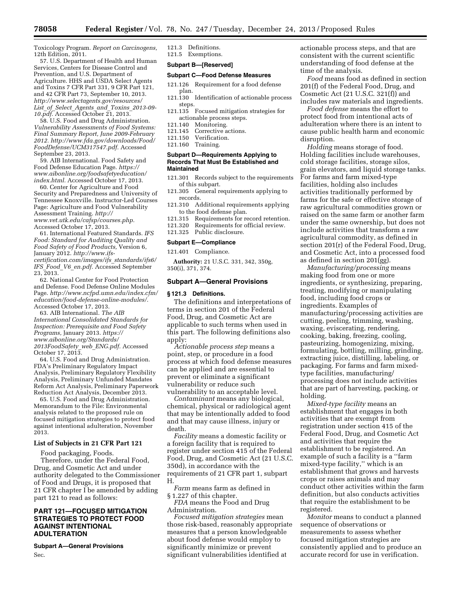Toxicology Program. *Report on Carcinogens,*  12th Edition, 2011.

57. U.S. Department of Health and Human Services, Centers for Disease Control and Prevention, and U.S. Department of Agriculture. HHS and USDA Select Agents and Toxins 7 CFR Part 331, 9 CFR Part 121, and 42 CFR Part 73, September 10, 2013. *[http://www.selectagents.gov/resources/](http://www.selectagents.gov/resources/List_of_Select_Agents_and_Toxins_2013-09-10.pdf)  List*\_*of*\_*Select*\_*Agents*\_*and*\_*Toxins*\_*[2013-09-](http://www.selectagents.gov/resources/List_of_Select_Agents_and_Toxins_2013-09-10.pdf)  [10.pdf.](http://www.selectagents.gov/resources/List_of_Select_Agents_and_Toxins_2013-09-10.pdf)* Accessed October 21, 2013.

58. U.S. Food and Drug Administration. *Vulnerability Assessments of Food Systems: Final Summary Report, June 2009-February 2012. [http://www.fda.gov/downloads/Food/](http://www.fda.gov/downloads/Food/FoodDefense/UCM317547.pdf) [FoodDefense/UCM317547.pdf.](http://www.fda.gov/downloads/Food/FoodDefense/UCM317547.pdf)* Accessed September 23, 2013.

59. AIB International. Food Safety and Food Defense Education Page. *[https://](https://www.aibonline.org/foodsafetyeducation/index.html) [www.aibonline.org/foodsafetyeducation/](https://www.aibonline.org/foodsafetyeducation/index.html) [index.html.](https://www.aibonline.org/foodsafetyeducation/index.html)* Accessed October 17, 2013.

60. Center for Agriculture and Food Security and Preparedness and University of Tennessee Knoxville. Instructor-Led Courses Page: Agriculture and Food Vulnerability Assessment Training. *[http://](http://www.vet.utk.edu/cafsp/courses.php) [www.vet.utk.edu/cafsp/courses.php.](http://www.vet.utk.edu/cafsp/courses.php)*  Accessed October 17, 2013.

61. International Featured Standards. *IFS Food: Standard for Auditing Quality and Food Safety of Food Products,* Version 6, January 2012. *[http://www.ifs](http://www.ifs-certification.com/images/ifs_standards/ifs6/IFS_Food_V6_en.pdf)[certification.com/images/ifs](http://www.ifs-certification.com/images/ifs_standards/ifs6/IFS_Food_V6_en.pdf)*\_*standards/ifs6/ IFS*\_*Food*\_*V6*\_*[en.pdf.](http://www.ifs-certification.com/images/ifs_standards/ifs6/IFS_Food_V6_en.pdf)* Accessed September 23, 2013.

62. National Center for Food Protection and Defense. Food Defense Online Modules Page. *[http://www.ncfpd.umn.edu/index.cfm/](http://www.ncfpd.umn.edu/index.cfm/education/food-defense-online-modules/) [education/food-defense-online-modules/.](http://www.ncfpd.umn.edu/index.cfm/education/food-defense-online-modules/)*  Accessed October 17, 2013.

63. AIB International. *The AIB International Consolidated Standards for Inspection: Prerequisite and Food Safety Programs,* January 2013. *[https://](https://www.aibonline.org/Standards/2013FoodSafety_web_ENG.pdf) [www.aibonline.org/Standards/](https://www.aibonline.org/Standards/2013FoodSafety_web_ENG.pdf) [2013FoodSafety](https://www.aibonline.org/Standards/2013FoodSafety_web_ENG.pdf)*\_*web*\_*ENG.pdf.* Accessed October 17, 2013.

64. U.S. Food and Drug Administration. FDA's Preliminary Regulatory Impact Analysis, Preliminary Regulatory Flexibility Analysis, Preliminary Unfunded Mandates Reform Act Analysis, Preliminary Paperwork Reduction Act Analysis, December 2013.

65. U.S. Food and Drug Administration. Memorandum to the File: Environmental analysis related to the proposed rule on focused mitigation strategies to protect food against intentional adulteration, November 2013.

#### **List of Subjects in 21 CFR Part 121**

Food packaging, Foods.

Therefore, under the Federal Food, Drug, and Cosmetic Act and under authority delegated to the Commissioner of Food and Drugs, it is proposed that 21 CFR chapter I be amended by adding part 121 to read as follows:

# **PART 121—FOCUSED MITIGATION STRATEGIES TO PROTECT FOOD AGAINST INTENTIONAL ADULTERATION**

**Subpart A—General Provisions**  Sec.

121.3 Definitions. 121.5 Exemptions.

**Subpart B—[Reserved]** 

# **Subpart C—Food Defense Measures**

- 121.126 Requirement for a food defense plan.
- 121.130 Identification of actionable process steps.
- 121.135 Focused mitigation strategies for actionable process steps.
- 121.140 Monitoring.<br>121.145 Corrective a
- Corrective actions.
- 121.150 Verification. 121.160 Training.

#### **Subpart D—Requirements Applying to Records That Must Be Established and Maintained**

- 121.301 Records subject to the requirements of this subpart.
- 121.305 General requirements applying to records.
- 121.310 Additional requirements applying to the food defense plan.
- 121.315 Requirements for record retention.
- 121.320 Requirements for official review.
- 121.325 Public disclosure.

#### **Subpart E—Compliance**

121.401 Compliance.

**Authority:** 21 U.S.C. 331, 342, 350g, 350(i), 371, 374.

#### **Subpart A—General Provisions**

#### **§ 121.3 Definitions.**

The definitions and interpretations of terms in section 201 of the Federal Food, Drug, and Cosmetic Act are applicable to such terms when used in this part. The following definitions also apply:

*Actionable process step* means a point, step, or procedure in a food process at which food defense measures can be applied and are essential to prevent or eliminate a significant vulnerability or reduce such vulnerability to an acceptable level.

*Contaminant* means any biological, chemical, physical or radiological agent that may be intentionally added to food and that may cause illness, injury or death.

*Facility* means a domestic facility or a foreign facility that is required to register under section 415 of the Federal Food, Drug, and Cosmetic Act (21 U.S.C. 350d), in accordance with the requirements of 21 CFR part 1, subpart H.

*Farm* means farm as defined in § 1.227 of this chapter.

*FDA* means the Food and Drug Administration.

*Focused mitigation strategies* mean those risk-based, reasonably appropriate measures that a person knowledgeable about food defense would employ to significantly minimize or prevent significant vulnerabilities identified at

actionable process steps, and that are consistent with the current scientific understanding of food defense at the time of the analysis.

*Food* means food as defined in section 201(f) of the Federal Food, Drug, and Cosmetic Act (21 U.S.C. 321(f)) and includes raw materials and ingredients.

*Food defense* means the effort to protect food from intentional acts of adulteration where there is an intent to cause public health harm and economic disruption.

*Holding* means storage of food. Holding facilities include warehouses, cold storage facilities, storage silos, grain elevators, and liquid storage tanks. For farms and farm mixed-type facilities, holding also includes activities traditionally performed by farms for the safe or effective storage of raw agricultural commodities grown or raised on the same farm or another farm under the same ownership, but does not include activities that transform a raw agricultural commodity, as defined in section 201(r) of the Federal Food, Drug, and Cosmetic Act, into a processed food as defined in section 201(gg).

*Manufacturing/processing* means making food from one or more ingredients, or synthesizing, preparing, treating, modifying or manipulating food, including food crops or ingredients. Examples of manufacturing/processing activities are cutting, peeling, trimming, washing, waxing, eviscerating, rendering, cooking, baking, freezing, cooling, pasteurizing, homogenizing, mixing, formulating, bottling, milling, grinding, extracting juice, distilling, labeling, or packaging. For farms and farm mixedtype facilities, manufacturing/ processing does not include activities that are part of harvesting, packing, or holding.

*Mixed-type facility* means an establishment that engages in both activities that are exempt from registration under section 415 of the Federal Food, Drug, and Cosmetic Act and activities that require the establishment to be registered. An example of such a facility is a ''farm mixed-type facility,'' which is an establishment that grows and harvests crops or raises animals and may conduct other activities within the farm definition, but also conducts activities that require the establishment to be registered.

*Monitor* means to conduct a planned sequence of observations or measurements to assess whether focused mitigation strategies are consistently applied and to produce an accurate record for use in verification.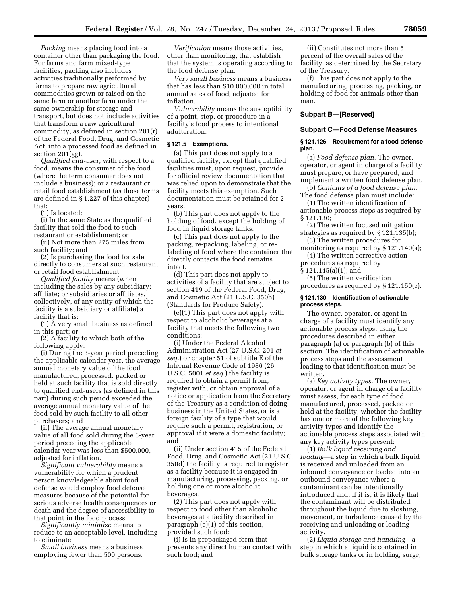*Packing* means placing food into a container other than packaging the food. For farms and farm mixed-type facilities, packing also includes activities traditionally performed by farms to prepare raw agricultural commodities grown or raised on the same farm or another farm under the same ownership for storage and transport, but does not include activities that transform a raw agricultural commodity, as defined in section 201(r) of the Federal Food, Drug, and Cosmetic Act, into a processed food as defined in section 201(gg).

*Qualified end-user,* with respect to a food, means the consumer of the food (where the term consumer does not include a business); or a restaurant or retail food establishment (as those terms are defined in § 1.227 of this chapter) that:

(1) Is located:

(i) In the same State as the qualified facility that sold the food to such restaurant or establishment; or

(ii) Not more than 275 miles from such facility; and

(2) Is purchasing the food for sale directly to consumers at such restaurant or retail food establishment.

*Qualified facility* means (when including the sales by any subsidiary; affiliate; or subsidiaries or affiliates, collectively, of any entity of which the facility is a subsidiary or affiliate) a facility that is:

(1) A very small business as defined in this part; or

(2) A facility to which both of the following apply:

(i) During the 3-year period preceding the applicable calendar year, the average annual monetary value of the food manufactured, processed, packed or held at such facility that is sold directly to qualified end-users (as defined in this part) during such period exceeded the average annual monetary value of the food sold by such facility to all other purchasers; and

(ii) The average annual monetary value of all food sold during the 3-year period preceding the applicable calendar year was less than \$500,000, adjusted for inflation.

*Significant vulnerability* means a vulnerability for which a prudent person knowledgeable about food defense would employ food defense measures because of the potential for serious adverse health consequences or death and the degree of accessibility to that point in the food process.

*Significantly minimize* means to reduce to an acceptable level, including to eliminate.

*Small business* means a business employing fewer than 500 persons.

*Verification* means those activities, other than monitoring, that establish that the system is operating according to the food defense plan.

*Very small business* means a business that has less than \$10,000,000 in total annual sales of food, adjusted for inflation.

*Vulnerability* means the susceptibility of a point, step, or procedure in a facility's food process to intentional adulteration.

# **§ 121.5 Exemptions.**

(a) This part does not apply to a qualified facility, except that qualified facilities must, upon request, provide for official review documentation that was relied upon to demonstrate that the facility meets this exemption. Such documentation must be retained for 2 years.

(b) This part does not apply to the holding of food, except the holding of food in liquid storage tanks.

(c) This part does not apply to the packing, re-packing, labeling, or relabeling of food where the container that directly contacts the food remains intact.

(d) This part does not apply to activities of a facility that are subject to section 419 of the Federal Food, Drug, and Cosmetic Act (21 U.S.C. 350h) (Standards for Produce Safety).

(e)(1) This part does not apply with respect to alcoholic beverages at a facility that meets the following two conditions:

(i) Under the Federal Alcohol Administration Act (27 U.S.C. 201 *et seq.*) or chapter 51 of subtitle E of the Internal Revenue Code of 1986 (26 U.S.C. 5001 *et seq.*) the facility is required to obtain a permit from, register with, or obtain approval of a notice or application from the Secretary of the Treasury as a condition of doing business in the United States, or is a foreign facility of a type that would require such a permit, registration, or approval if it were a domestic facility; and

(ii) Under section 415 of the Federal Food, Drug, and Cosmetic Act (21 U.S.C. 350d) the facility is required to register as a facility because it is engaged in manufacturing, processing, packing, or holding one or more alcoholic beverages.

(2) This part does not apply with respect to food other than alcoholic beverages at a facility described in paragraph (e)(1) of this section, provided such food:

(i) Is in prepackaged form that prevents any direct human contact with such food; and

(ii) Constitutes not more than 5 percent of the overall sales of the facility, as determined by the Secretary of the Treasury.

(f) This part does not apply to the manufacturing, processing, packing, or holding of food for animals other than man.

#### **Subpart B—[Reserved]**

#### **Subpart C—Food Defense Measures**

#### **§ 121.126 Requirement for a food defense plan.**

(a) *Food defense plan.* The owner, operator, or agent in charge of a facility must prepare, or have prepared, and implement a written food defense plan.

(b) *Contents of a food defense plan.*  The food defense plan must include:

(1) The written identification of actionable process steps as required by § 121.130;

(2) The written focused mitigation strategies as required by § 121.135(b);

(3) The written procedures for

monitoring as required by § 121.140(a); (4) The written corrective action

procedures as required by § 121.145(a)(1); and

(5) The written verification

procedures as required by § 121.150(e).

#### **§ 121.130 Identification of actionable process steps.**

The owner, operator, or agent in charge of a facility must identify any actionable process steps, using the procedures described in either paragraph (a) or paragraph (b) of this section. The identification of actionable process steps and the assessment leading to that identification must be written.

(a) *Key activity types.* The owner, operator, or agent in charge of a facility must assess, for each type of food manufactured, processed, packed or held at the facility, whether the facility has one or more of the following key activity types and identify the actionable process steps associated with any key activity types present:

(1) *Bulk liquid receiving and loading*—a step in which a bulk liquid is received and unloaded from an inbound conveyance or loaded into an outbound conveyance where a contaminant can be intentionally introduced and, if it is, it is likely that the contaminant will be distributed throughout the liquid due to sloshing, movement, or turbulence caused by the receiving and unloading or loading activity.

(2) *Liquid storage and handling*—a step in which a liquid is contained in bulk storage tanks or in holding, surge,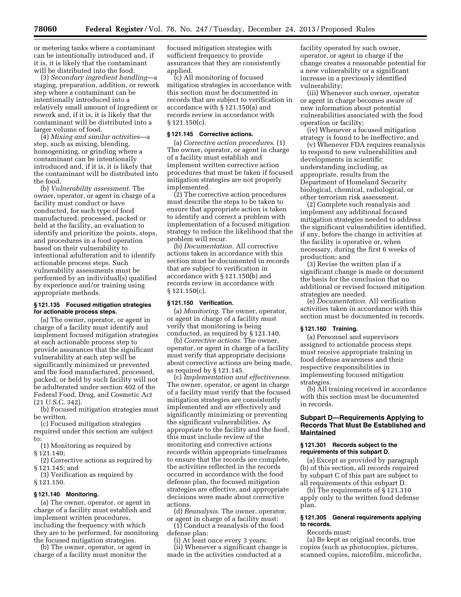or metering tanks where a contaminant can be intentionally introduced and, if it is, it is likely that the contaminant will be distributed into the food.

(3) *Secondary ingredient handling*—a staging, preparation, addition, or rework step where a contaminant can be intentionally introduced into a relatively small amount of ingredient or rework and, if it is, it is likely that the contaminant will be distributed into a larger volume of food.

(4) *Mixing and similar activities*—a step, such as mixing, blending, homogenizing, or grinding where a contaminant can be intentionally introduced and, if it is, it is likely that the contaminant will be distributed into the food.

(b) *Vulnerability assessment.* The owner, operator, or agent in charge of a facility must conduct or have conducted, for each type of food manufactured, processed, packed or held at the facility, an evaluation to identify and prioritize the points, steps, and procedures in a food operation based on their vulnerability to intentional adulteration and to identify actionable process steps. Such vulnerability assessments must be performed by an individual(s) qualified by experience and/or training using appropriate methods.

# **§ 121.135 Focused mitigation strategies for actionable process steps.**

(a) The owner, operator, or agent in charge of a facility must identify and implement focused mitigation strategies at each actionable process step to provide assurances that the significant vulnerability at each step will be significantly minimized or prevented and the food manufactured, processed, packed, or held by such facility will not be adulterated under section 402 of the Federal Food, Drug, and Cosmetic Act (21 U.S.C. 342).

(b) Focused mitigation strategies must be written.

(c) Focused mitigation strategies required under this section are subject to:

(1) Monitoring as required by

§ 121.140;

(2) Corrective actions as required by § 121.145; and

(3) Verification as required by § 121.150.

#### **§ 121.140 Monitoring.**

(a) The owner, operator, or agent in charge of a facility must establish and implement written procedures, including the frequency with which they are to be performed, for monitoring the focused mitigation strategies.

(b) The owner, operator, or agent in charge of a facility must monitor the

focused mitigation strategies with sufficient frequency to provide assurances that they are consistently applied.

(c) All monitoring of focused mitigation strategies in accordance with this section must be documented in records that are subject to verification in accordance with § 121.150(a) and records review in accordance with § 121.150(c).

#### **§ 121.145 Corrective actions.**

(a) *Corrective action procedures.* (1) The owner, operator, or agent in charge of a facility must establish and implement written corrective action procedures that must be taken if focused mitigation strategies are not properly implemented.

(2) The corrective action procedures must describe the steps to be taken to ensure that appropriate action is taken to identify and correct a problem with implementation of a focused mitigation strategy to reduce the likelihood that the problem will recur.

(b) *Documentation.* All corrective actions taken in accordance with this section must be documented in records that are subject to verification in accordance with § 121.150(b) and records review in accordance with § 121.150(c).

#### **§ 121.150 Verification.**

(a) *Monitoring.* The owner, operator, or agent in charge of a facility must verify that monitoring is being conducted, as required by § 121.140.

(b) *Corrective actions.* The owner, operator, or agent in charge of a facility must verify that appropriate decisions about corrective actions are being made, as required by § 121.145.

(c) *Implementation and effectiveness.*  The owner, operator, or agent in charge of a facility must verify that the focused mitigation strategies are consistently implemented and are effectively and significantly minimizing or preventing the significant vulnerabilities. As appropriate to the facility and the food, this must include review of the monitoring and corrective actions records within appropriate timeframes to ensure that the records are complete, the activities reflected in the records occurred in accordance with the food defense plan, the focused mitigation strategies are effective, and appropriate decisions were made about corrective actions.

(d) *Reanalysis.* The owner, operator, or agent in charge of a facility must:

(1) Conduct a reanalysis of the food defense plan:

(i) At least once every 3 years;

(ii) Whenever a significant change is made in the activities conducted at a

facility operated by such owner, operator, or agent in charge if the change creates a reasonable potential for a new vulnerability or a significant increase in a previously identified vulnerability;

(iii) Whenever such owner, operator or agent in charge becomes aware of new information about potential vulnerabilities associated with the food operation or facility;

(iv) Whenever a focused mitigation strategy is found to be ineffective; and

(v) Whenever FDA requires reanalysis to respond to new vulnerabilities and developments in scientific understanding including, as appropriate, results from the Department of Homeland Security biological, chemical, radiological, or other terrorism risk assessment.

(2) Complete such reanalysis and implement any additional focused mitigation strategies needed to address the significant vulnerabilities identified, if any, before the change in activities at the facility is operative or, when necessary, during the first 6 weeks of production; and

(3) Revise the written plan if a significant change is made or document the basis for the conclusion that no additional or revised focused mitigation strategies are needed.

(e) *Documentation.* All verification activities taken in accordance with this section must be documented in records.

# **§ 121.160 Training.**

(a) Personnel and supervisors assigned to actionable process steps must receive appropriate training in food defense awareness and their respective responsibilities in implementing focused mitigation strategies.

(b) All training received in accordance with this section must be documented in records.

# **Subpart D—Requirements Applying to Records That Must Be Established and Maintained**

#### **§ 121.301 Records subject to the requirements of this subpart D.**

(a) Except as provided by paragraph (b) of this section, all records required by subpart C of this part are subject to all requirements of this subpart D.

(b) The requirements of § 121.310 apply only to the written food defense plan.

# **§ 121.305 General requirements applying to records.**

Records must:

(a) Be kept as original records, true copies (such as photocopies, pictures, scanned copies, microfilm, microfiche,